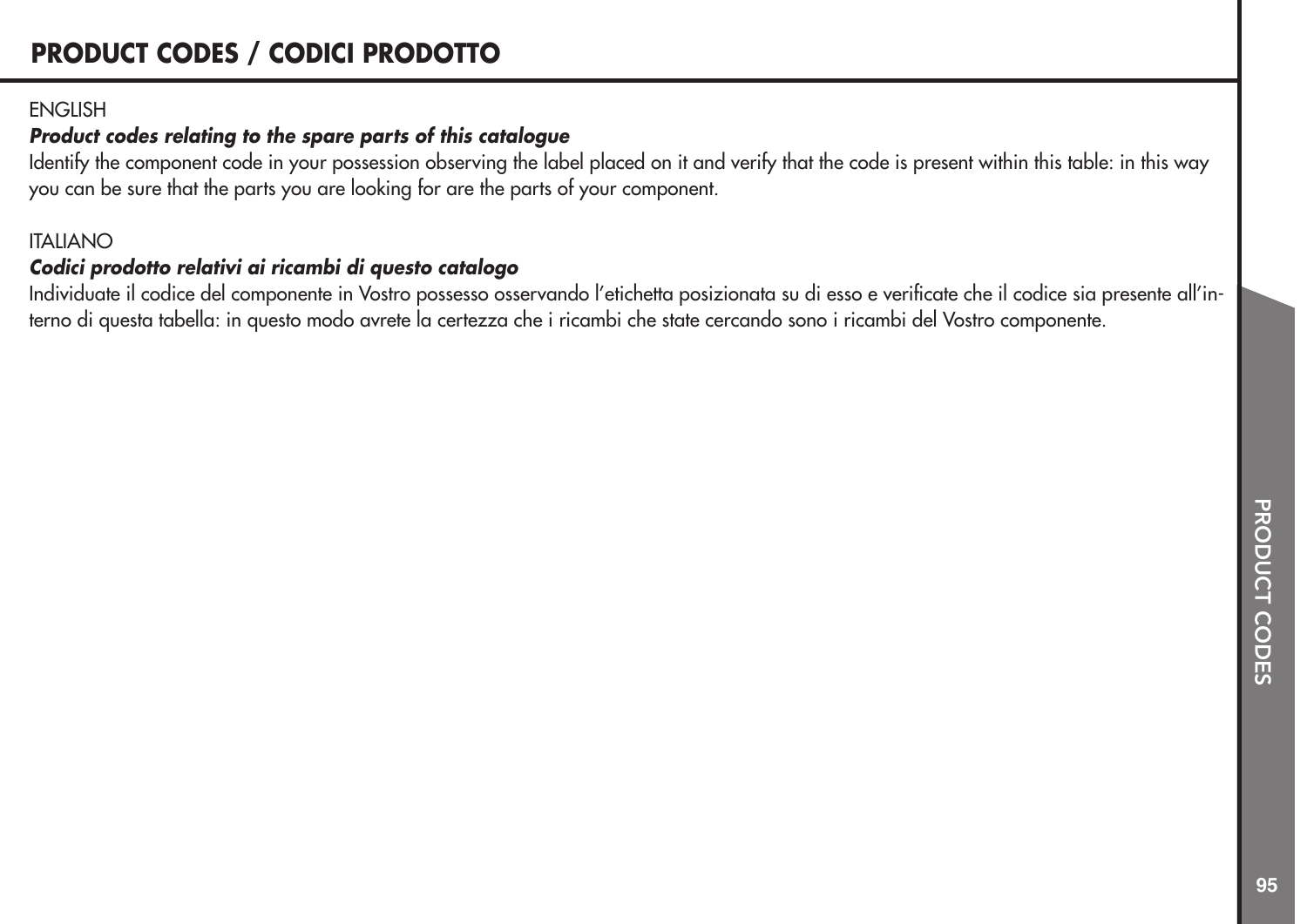#### **ENGLISH**

#### *Product codes relating to the spare parts of this catalogue*

Identify the component code in your possession observing the label placed on it and verify that the code is present within this table: in this way you can be sure that the parts you are looking for are the parts of your component.

#### ITALIANO

#### *Codici prodotto relativi ai ricambi di questo catalogo*

Individuate il codice del componente in Vostro possesso osservando l'etichetta posizionata su di esso e verificate che il codice sia presente all'interno di questa tabella: in questo modo avrete la certezza che i ricambi che state cercando sono i ricambi del Vostro componente.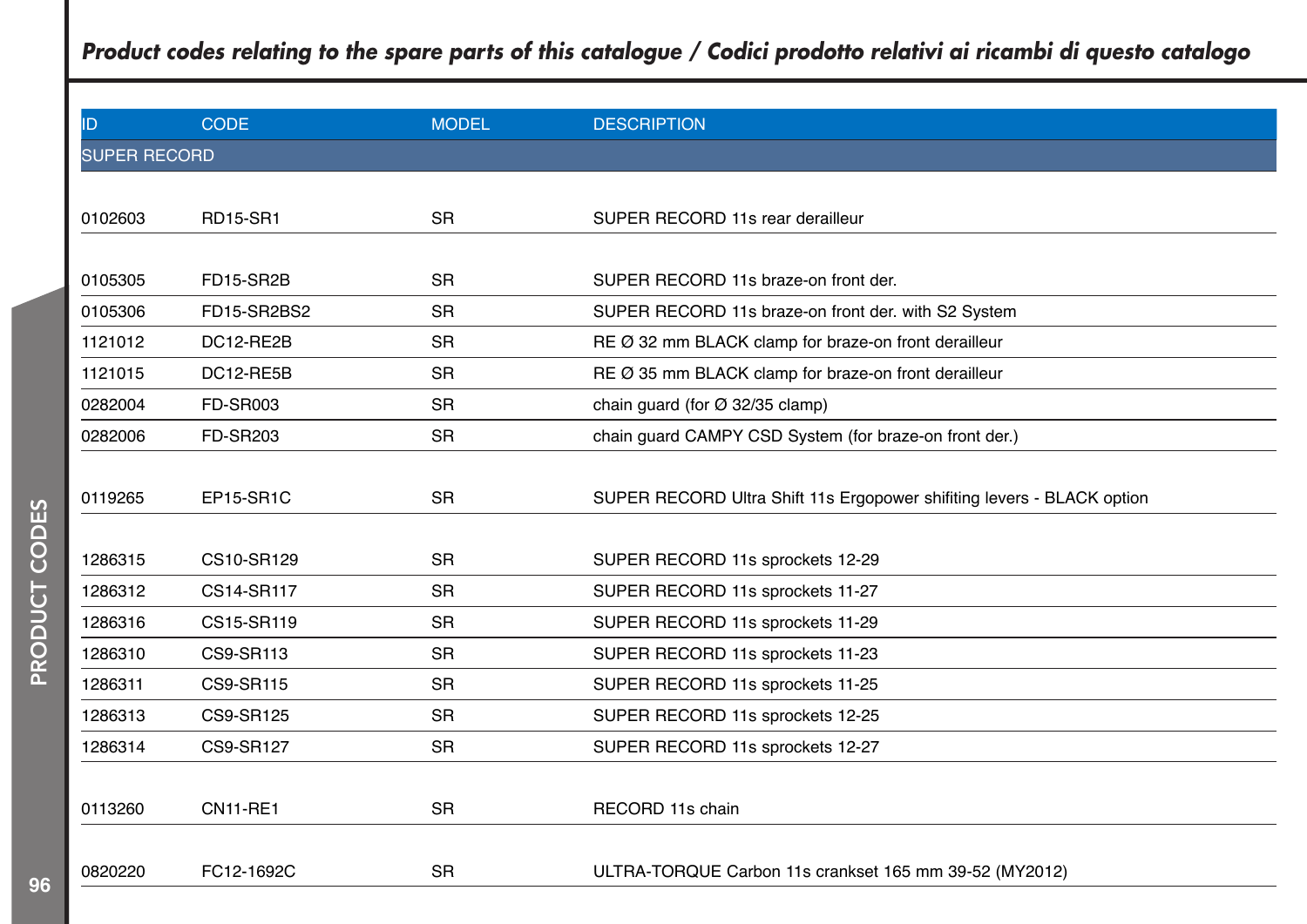# *Product codes relating to the spare parts of this catalogue / Codici prodotto relativi ai ricambi di questo catalogo* ID CODE CODE MODEL DESCRIPTION SUPER RECORD

| <u> 91 LII ILOOI ID</u> |                 |           |                                                                       |
|-------------------------|-----------------|-----------|-----------------------------------------------------------------------|
|                         |                 |           |                                                                       |
| 0102603                 | <b>RD15-SR1</b> | <b>SR</b> | SUPER RECORD 11s rear derailleur                                      |
|                         |                 |           |                                                                       |
| 0105305                 | FD15-SR2B       | <b>SR</b> | SUPER RECORD 11s braze-on front der.                                  |
| 0105306                 | FD15-SR2BS2     | <b>SR</b> | SUPER RECORD 11s braze-on front der. with S2 System                   |
| 1121012                 | DC12-RE2B       | <b>SR</b> | RE Ø 32 mm BLACK clamp for braze-on front derailleur                  |
| 1121015                 | DC12-RE5B       | <b>SR</b> | RE Ø 35 mm BLACK clamp for braze-on front derailleur                  |
| 0282004                 | <b>FD-SR003</b> | <b>SR</b> | chain quard (for $\varnothing$ 32/35 clamp)                           |
| 0282006                 | <b>FD-SR203</b> | <b>SR</b> | chain guard CAMPY CSD System (for braze-on front der.)                |
|                         |                 |           |                                                                       |
| 0119265                 | EP15-SR1C       | <b>SR</b> | SUPER RECORD Ultra Shift 11s Ergopower shifting levers - BLACK option |
|                         |                 |           |                                                                       |
| 1286315                 | CS10-SR129      | <b>SR</b> | SUPER RECORD 11s sprockets 12-29                                      |
| 1286312                 | CS14-SR117      | <b>SR</b> | SUPER RECORD 11s sprockets 11-27                                      |
| 1286316                 | CS15-SR119      | <b>SR</b> | SUPER RECORD 11s sprockets 11-29                                      |
| 1286310                 | CS9-SR113       | <b>SR</b> | SUPER RECORD 11s sprockets 11-23                                      |
| 1286311                 | CS9-SR115       | <b>SR</b> | SUPER RECORD 11s sprockets 11-25                                      |
| 1286313                 | CS9-SR125       | <b>SR</b> | SUPER RECORD 11s sprockets 12-25                                      |
| 1286314                 | CS9-SR127       | <b>SR</b> | SUPER RECORD 11s sprockets 12-27                                      |
|                         |                 |           |                                                                       |
| 0113260                 | <b>CN11-RE1</b> | <b>SR</b> | RECORD 11s chain                                                      |
|                         |                 |           |                                                                       |
| 0820220                 | FC12-1692C      | <b>SR</b> | ULTRA-TORQUE Carbon 11s crankset 165 mm 39-52 (MY2012)                |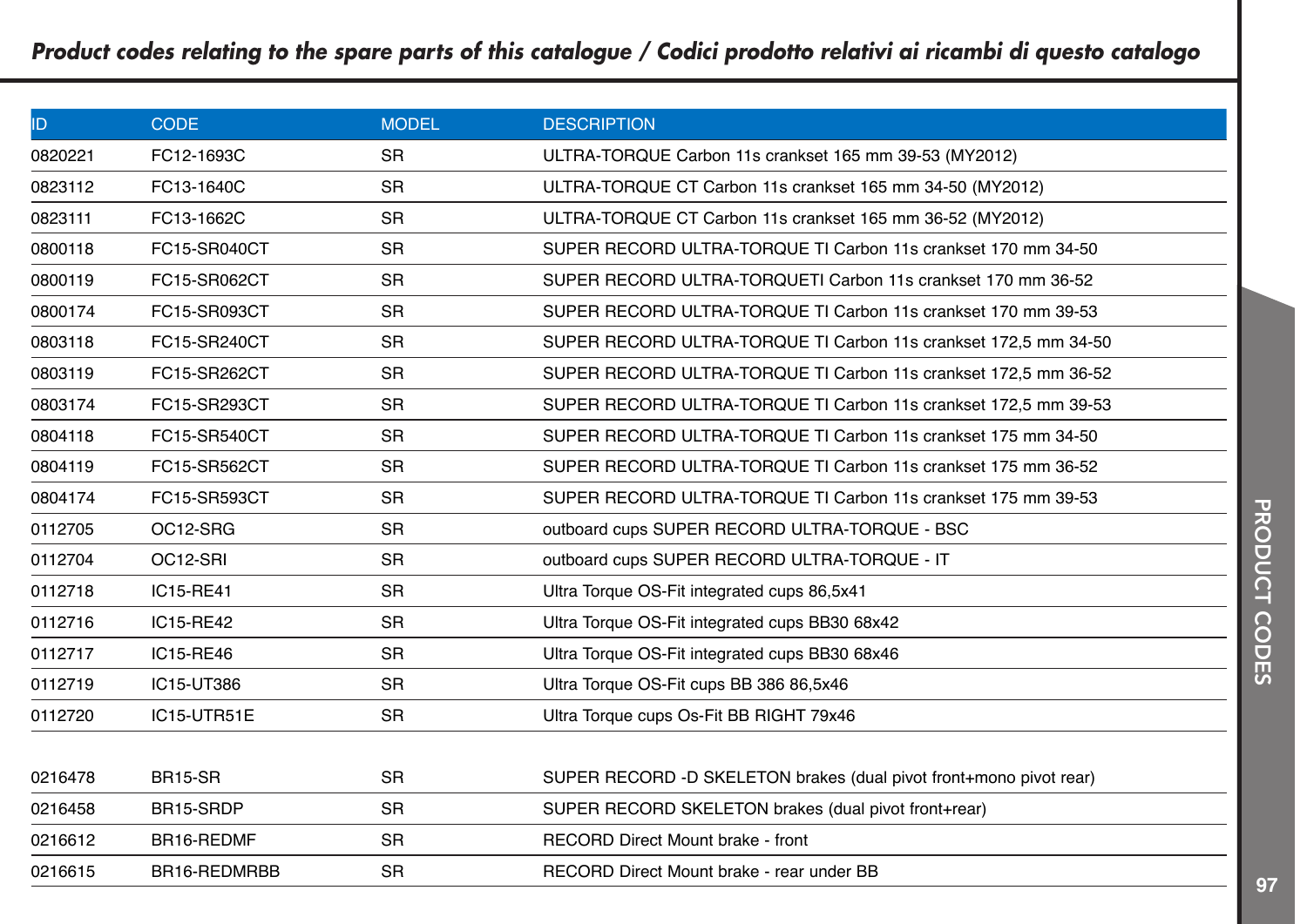| ID.     | <b>CODE</b>    | <b>MODEL</b> | <b>DESCRIPTION</b>                                                 |
|---------|----------------|--------------|--------------------------------------------------------------------|
| 0820221 | FC12-1693C     | <b>SR</b>    | ULTRA-TORQUE Carbon 11s crankset 165 mm 39-53 (MY2012)             |
| 0823112 | FC13-1640C     | <b>SR</b>    | ULTRA-TORQUE CT Carbon 11s crankset 165 mm 34-50 (MY2012)          |
| 0823111 | FC13-1662C     | <b>SR</b>    | ULTRA-TORQUE CT Carbon 11s crankset 165 mm 36-52 (MY2012)          |
| 0800118 | FC15-SR040CT   | <b>SR</b>    | SUPER RECORD ULTRA-TORQUE TI Carbon 11s crankset 170 mm 34-50      |
| 0800119 | FC15-SR062CT   | <b>SR</b>    | SUPER RECORD ULTRA-TORQUETI Carbon 11s crankset 170 mm 36-52       |
| 0800174 | FC15-SR093CT   | <b>SR</b>    | SUPER RECORD ULTRA-TORQUE TI Carbon 11s crankset 170 mm 39-53      |
| 0803118 | FC15-SR240CT   | <b>SR</b>    | SUPER RECORD ULTRA-TORQUE TI Carbon 11s crankset 172,5 mm 34-50    |
| 0803119 | FC15-SR262CT   | <b>SR</b>    | SUPER RECORD ULTRA-TORQUE TI Carbon 11s crankset 172,5 mm 36-52    |
| 0803174 | FC15-SR293CT   | <b>SR</b>    | SUPER RECORD ULTRA-TORQUE TI Carbon 11s crankset 172,5 mm 39-53    |
| 0804118 | FC15-SR540CT   | <b>SR</b>    | SUPER RECORD ULTRA-TORQUE TI Carbon 11s crankset 175 mm 34-50      |
| 0804119 | FC15-SR562CT   | <b>SR</b>    | SUPER RECORD ULTRA-TORQUE TI Carbon 11s crankset 175 mm 36-52      |
| 0804174 | FC15-SR593CT   | <b>SR</b>    | SUPER RECORD ULTRA-TORQUE TI Carbon 11s crankset 175 mm 39-53      |
| 0112705 | OC12-SRG       | <b>SR</b>    | outboard cups SUPER RECORD ULTRA-TORQUE - BSC                      |
| 0112704 | OC12-SRI       | <b>SR</b>    | outboard cups SUPER RECORD ULTRA-TORQUE - IT                       |
| 0112718 | IC15-RE41      | <b>SR</b>    | Ultra Torque OS-Fit integrated cups 86,5x41                        |
| 0112716 | IC15-RE42      | <b>SR</b>    | Ultra Torque OS-Fit integrated cups BB30 68x42                     |
| 0112717 | IC15-RE46      | <b>SR</b>    | Ultra Torque OS-Fit integrated cups BB30 68x46                     |
| 0112719 | IC15-UT386     | <b>SR</b>    | Ultra Torque OS-Fit cups BB 386 86,5x46                            |
| 0112720 | IC15-UTR51E    | <b>SR</b>    | Ultra Torque cups Os-Fit BB RIGHT 79x46                            |
|         |                |              |                                                                    |
| 0216478 | <b>BR15-SR</b> | <b>SR</b>    | SUPER RECORD -D SKELETON brakes (dual pivot front+mono pivot rear) |
| 0216458 | BR15-SRDP      | <b>SR</b>    | SUPER RECORD SKELETON brakes (dual pivot front+rear)               |
| 0216612 | BR16-REDMF     | <b>SR</b>    | RECORD Direct Mount brake - front                                  |
| 0216615 | BR16-REDMRBB   | <b>SR</b>    | RECORD Direct Mount brake - rear under BB                          |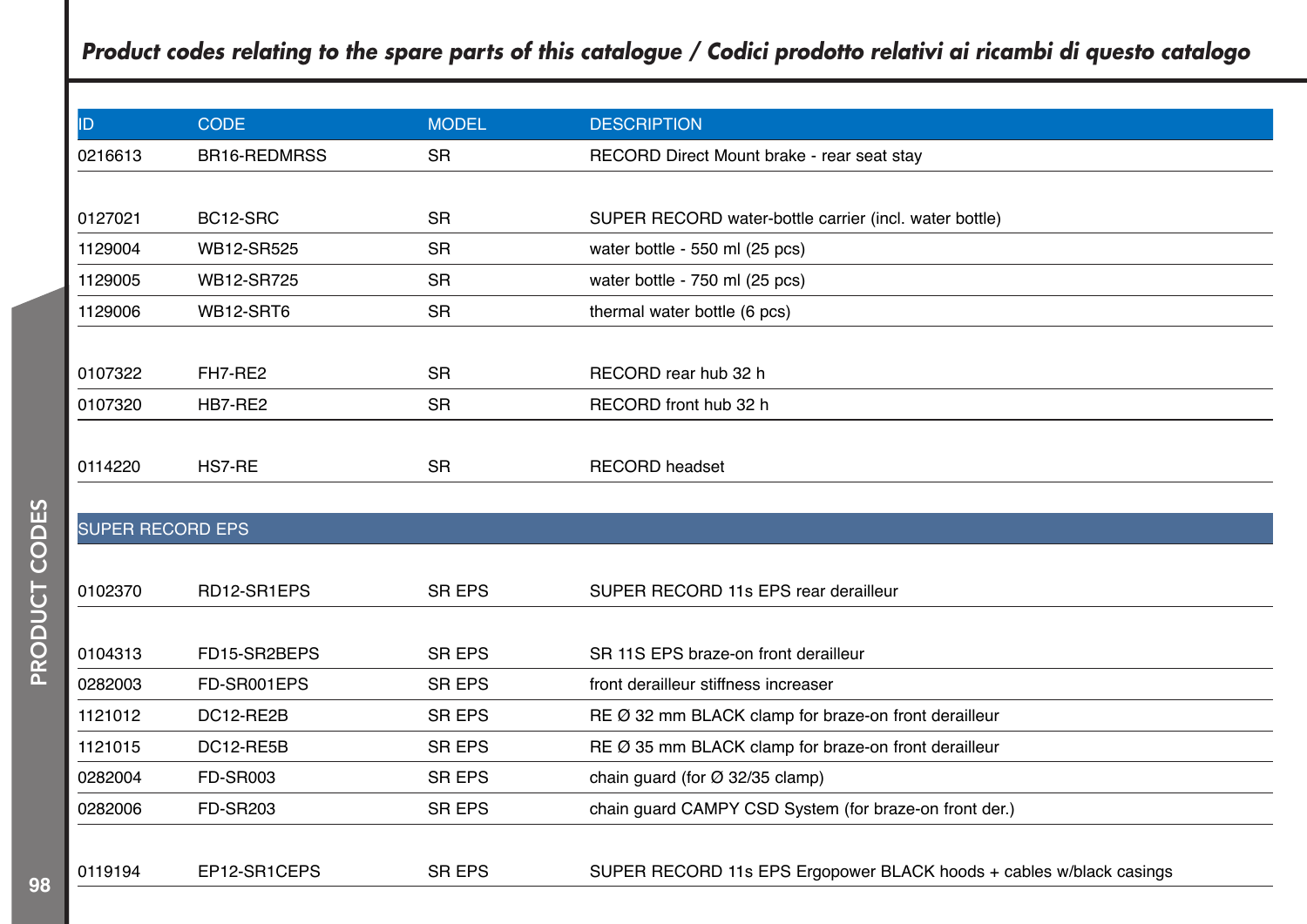| ID.                     | <b>CODE</b>     | <b>MODEL</b>  | <b>DESCRIPTION</b>                                                  |
|-------------------------|-----------------|---------------|---------------------------------------------------------------------|
| 0216613                 | BR16-REDMRSS    | <b>SR</b>     | RECORD Direct Mount brake - rear seat stay                          |
|                         |                 |               |                                                                     |
| 0127021                 | BC12-SRC        | <b>SR</b>     | SUPER RECORD water-bottle carrier (incl. water bottle)              |
| 1129004                 | WB12-SR525      | <b>SR</b>     | water bottle - 550 ml (25 pcs)                                      |
| 1129005                 | WB12-SR725      | <b>SR</b>     | water bottle - 750 ml (25 pcs)                                      |
| 1129006                 | WB12-SRT6       | <b>SR</b>     | thermal water bottle (6 pcs)                                        |
|                         |                 |               |                                                                     |
| 0107322                 | FH7-RE2         | <b>SR</b>     | RECORD rear hub 32 h                                                |
| 0107320                 | HB7-RE2         | <b>SR</b>     | RECORD front hub 32 h                                               |
|                         |                 |               |                                                                     |
| 0114220                 | HS7-RE          | <b>SR</b>     | <b>RECORD</b> headset                                               |
|                         |                 |               |                                                                     |
| <b>SUPER RECORD EPS</b> |                 |               |                                                                     |
|                         |                 |               |                                                                     |
| 0102370                 | RD12-SR1EPS     | SR EPS        | SUPER RECORD 11s EPS rear derailleur                                |
|                         |                 |               |                                                                     |
| 0104313                 | FD15-SR2BEPS    | <b>SR EPS</b> | SR 11S EPS braze-on front derailleur                                |
| 0282003                 | FD-SR001EPS     | <b>SR EPS</b> | front derailleur stiffness increaser                                |
| 1121012                 | DC12-RE2B       | SR EPS        | RE Ø 32 mm BLACK clamp for braze-on front derailleur                |
| 1121015                 | DC12-RE5B       | SR EPS        | RE Ø 35 mm BLACK clamp for braze-on front derailleur                |
| 0282004                 | <b>FD-SR003</b> | <b>SR EPS</b> | chain guard (for $\varnothing$ 32/35 clamp)                         |
| 0282006                 | <b>FD-SR203</b> | SR EPS        | chain guard CAMPY CSD System (for braze-on front der.)              |
|                         |                 |               |                                                                     |
| 0119194                 | EP12-SR1CEPS    | <b>SR EPS</b> | SUPER RECORD 11s EPS Ergopower BLACK hoods + cables w/black casings |
|                         |                 |               |                                                                     |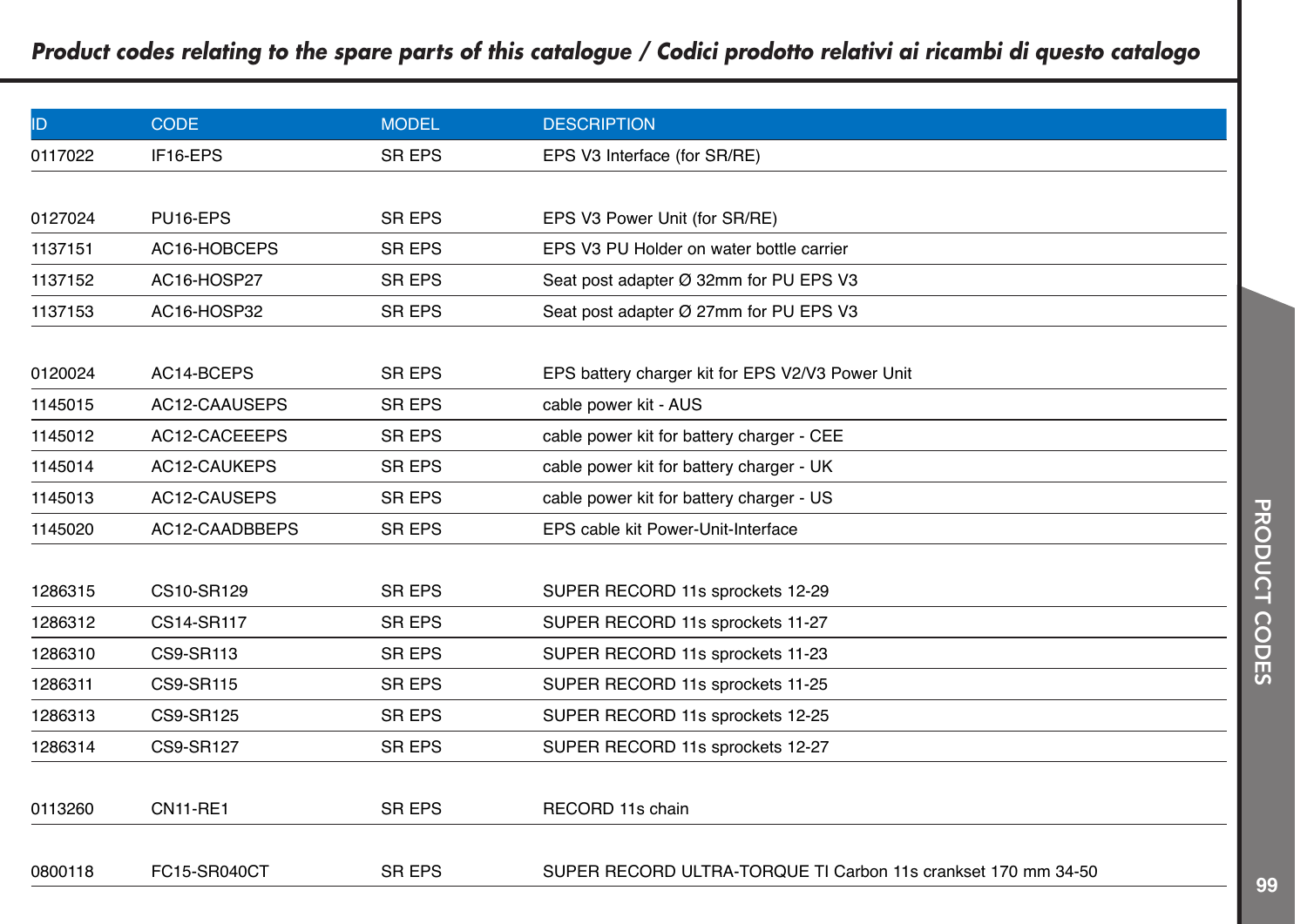| ID      | <b>CODE</b>      | <b>MODEL</b>  | <b>DESCRIPTION</b>                                            |
|---------|------------------|---------------|---------------------------------------------------------------|
| 0117022 | IF16-EPS         | <b>SR EPS</b> | EPS V3 Interface (for SR/RE)                                  |
|         |                  |               |                                                               |
| 0127024 | PU16-EPS         | <b>SR EPS</b> | EPS V3 Power Unit (for SR/RE)                                 |
| 1137151 | AC16-HOBCEPS     | <b>SR EPS</b> | EPS V3 PU Holder on water bottle carrier                      |
| 1137152 | AC16-HOSP27      | <b>SR EPS</b> | Seat post adapter Ø 32mm for PU EPS V3                        |
| 1137153 | AC16-HOSP32      | <b>SR EPS</b> | Seat post adapter Ø 27mm for PU EPS V3                        |
|         |                  |               |                                                               |
| 0120024 | AC14-BCEPS       | <b>SR EPS</b> | EPS battery charger kit for EPS V2/V3 Power Unit              |
| 1145015 | AC12-CAAUSEPS    | <b>SR EPS</b> | cable power kit - AUS                                         |
| 1145012 | AC12-CACEEEPS    | <b>SR EPS</b> | cable power kit for battery charger - CEE                     |
| 1145014 | AC12-CAUKEPS     | <b>SR EPS</b> | cable power kit for battery charger - UK                      |
| 1145013 | AC12-CAUSEPS     | <b>SR EPS</b> | cable power kit for battery charger - US                      |
| 1145020 | AC12-CAADBBEPS   | <b>SR EPS</b> | EPS cable kit Power-Unit-Interface                            |
|         |                  |               |                                                               |
| 1286315 | CS10-SR129       | <b>SR EPS</b> | SUPER RECORD 11s sprockets 12-29                              |
| 1286312 | CS14-SR117       | <b>SR EPS</b> | SUPER RECORD 11s sprockets 11-27                              |
| 1286310 | CS9-SR113        | <b>SR EPS</b> | SUPER RECORD 11s sprockets 11-23                              |
| 1286311 | <b>CS9-SR115</b> | <b>SR EPS</b> | SUPER RECORD 11s sprockets 11-25                              |
| 1286313 | CS9-SR125        | <b>SR EPS</b> | SUPER RECORD 11s sprockets 12-25                              |
| 1286314 | <b>CS9-SR127</b> | <b>SR EPS</b> | SUPER RECORD 11s sprockets 12-27                              |
|         |                  |               |                                                               |
| 0113260 | <b>CN11-RE1</b>  | <b>SR EPS</b> | RECORD 11s chain                                              |
|         |                  |               |                                                               |
| 0800118 | FC15-SR040CT     | <b>SR EPS</b> | SUPER RECORD ULTRA-TORQUE TI Carbon 11s crankset 170 mm 34-50 |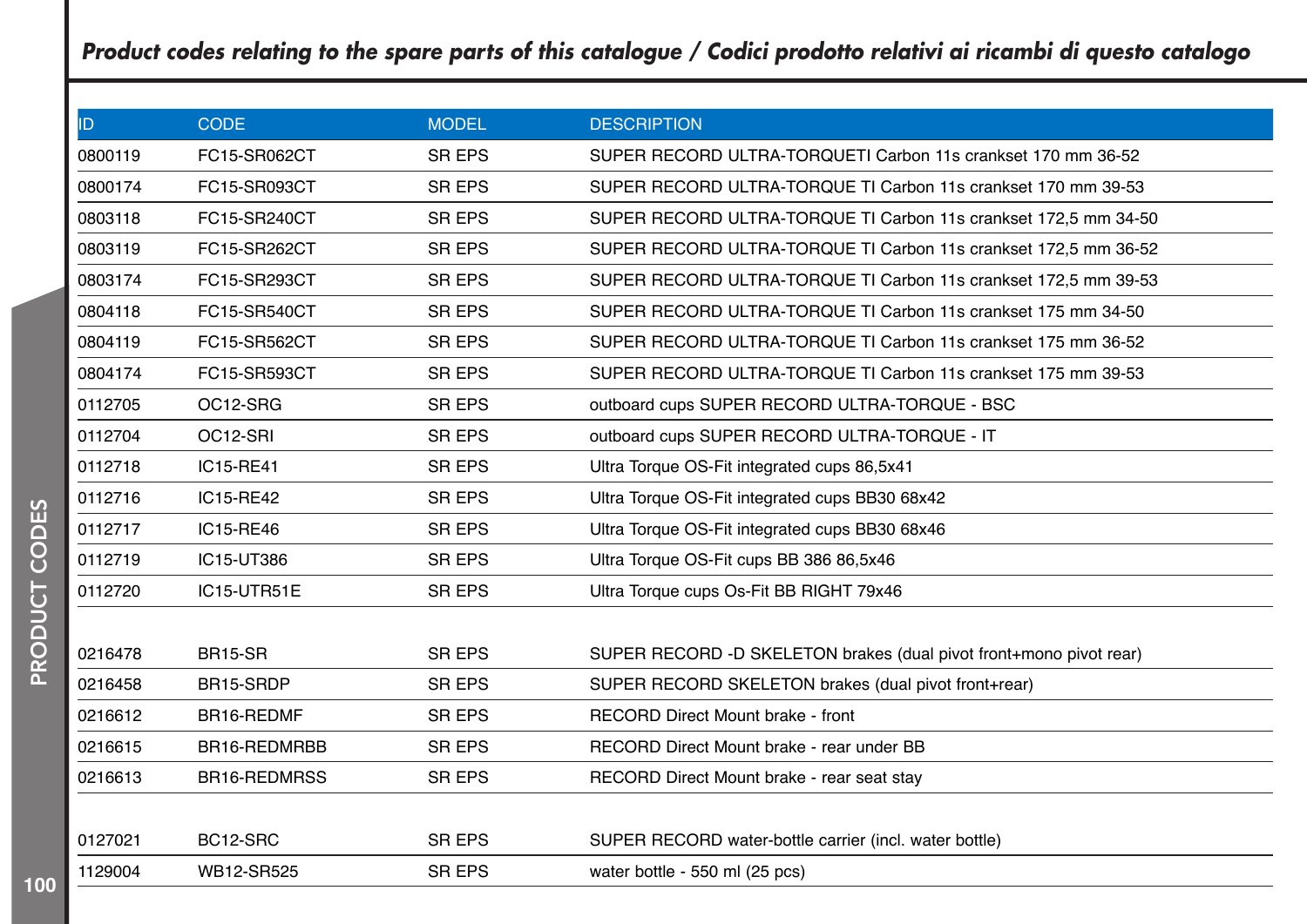| ID.     | <b>CODE</b>    | <b>MODEL</b>  | <b>DESCRIPTION</b>                                                 |
|---------|----------------|---------------|--------------------------------------------------------------------|
| 0800119 | FC15-SR062CT   | <b>SR EPS</b> | SUPER RECORD ULTRA-TORQUETI Carbon 11s crankset 170 mm 36-52       |
| 0800174 | FC15-SR093CT   | <b>SR EPS</b> | SUPER RECORD ULTRA-TORQUE TI Carbon 11s crankset 170 mm 39-53      |
| 0803118 | FC15-SR240CT   | <b>SR EPS</b> | SUPER RECORD ULTRA-TORQUE TI Carbon 11s crankset 172,5 mm 34-50    |
| 0803119 | FC15-SR262CT   | <b>SR EPS</b> | SUPER RECORD ULTRA-TORQUE TI Carbon 11s crankset 172,5 mm 36-52    |
| 0803174 | FC15-SR293CT   | <b>SR EPS</b> | SUPER RECORD ULTRA-TORQUE TI Carbon 11s crankset 172,5 mm 39-53    |
| 0804118 | FC15-SR540CT   | <b>SR EPS</b> | SUPER RECORD ULTRA-TORQUE TI Carbon 11s crankset 175 mm 34-50      |
| 0804119 | FC15-SR562CT   | <b>SR EPS</b> | SUPER RECORD ULTRA-TORQUE TI Carbon 11s crankset 175 mm 36-52      |
| 0804174 | FC15-SR593CT   | <b>SR EPS</b> | SUPER RECORD ULTRA-TORQUE TI Carbon 11s crankset 175 mm 39-53      |
| 0112705 | OC12-SRG       | <b>SR EPS</b> | outboard cups SUPER RECORD ULTRA-TORQUE - BSC                      |
| 0112704 | OC12-SRI       | <b>SR EPS</b> | outboard cups SUPER RECORD ULTRA-TORQUE - IT                       |
| 0112718 | IC15-RE41      | <b>SR EPS</b> | Ultra Torque OS-Fit integrated cups 86,5x41                        |
| 0112716 | IC15-RE42      | <b>SR EPS</b> | Ultra Torque OS-Fit integrated cups BB30 68x42                     |
| 0112717 | IC15-RE46      | <b>SR EPS</b> | Ultra Torque OS-Fit integrated cups BB30 68x46                     |
| 0112719 | IC15-UT386     | <b>SR EPS</b> | Ultra Torque OS-Fit cups BB 386 86,5x46                            |
| 0112720 | IC15-UTR51E    | <b>SR EPS</b> | Ultra Torque cups Os-Fit BB RIGHT 79x46                            |
|         |                |               |                                                                    |
| 0216478 | <b>BR15-SR</b> | <b>SR EPS</b> | SUPER RECORD -D SKELETON brakes (dual pivot front+mono pivot rear) |
| 0216458 | BR15-SRDP      | <b>SR EPS</b> | SUPER RECORD SKELETON brakes (dual pivot front+rear)               |
| 0216612 | BR16-REDMF     | <b>SR EPS</b> | <b>RECORD Direct Mount brake - front</b>                           |
| 0216615 | BR16-REDMRBB   | <b>SR EPS</b> | RECORD Direct Mount brake - rear under BB                          |
| 0216613 | BR16-REDMRSS   | <b>SR EPS</b> | RECORD Direct Mount brake - rear seat stay                         |
|         |                |               |                                                                    |
| 0127021 | BC12-SRC       | <b>SR EPS</b> | SUPER RECORD water-bottle carrier (incl. water bottle)             |
| 1129004 | WB12-SR525     | <b>SR EPS</b> | water bottle - 550 ml (25 pcs)                                     |
|         |                |               |                                                                    |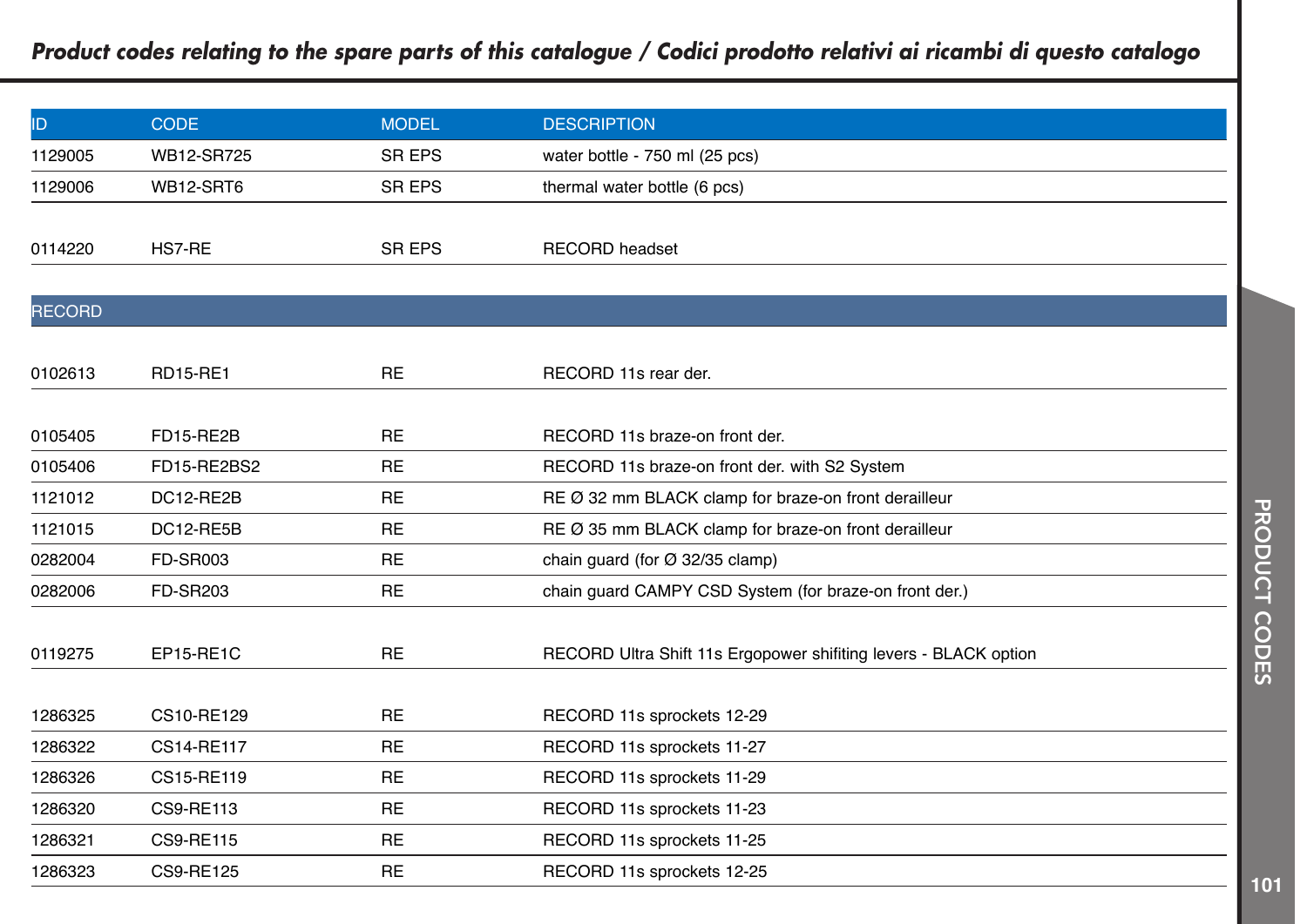| ID            | <b>CODE</b>      | <b>MODEL</b>  | <b>DESCRIPTION</b>                                               |
|---------------|------------------|---------------|------------------------------------------------------------------|
| 1129005       | WB12-SR725       | <b>SR EPS</b> | water bottle - 750 ml (25 pcs)                                   |
| 1129006       | WB12-SRT6        | <b>SR EPS</b> | thermal water bottle (6 pcs)                                     |
|               |                  |               |                                                                  |
| 0114220       | HS7-RE           | <b>SR EPS</b> | <b>RECORD</b> headset                                            |
|               |                  |               |                                                                  |
| <b>RECORD</b> |                  |               |                                                                  |
|               |                  |               |                                                                  |
| 0102613       | <b>RD15-RE1</b>  | <b>RE</b>     | RECORD 11s rear der.                                             |
|               |                  |               |                                                                  |
| 0105405       | FD15-RE2B        | <b>RE</b>     | RECORD 11s braze-on front der.                                   |
| 0105406       | FD15-RE2BS2      | <b>RE</b>     | RECORD 11s braze-on front der. with S2 System                    |
| 1121012       | DC12-RE2B        | <b>RE</b>     | RE Ø 32 mm BLACK clamp for braze-on front derailleur             |
| 1121015       | DC12-RE5B        | <b>RE</b>     | RE Ø 35 mm BLACK clamp for braze-on front derailleur             |
| 0282004       | <b>FD-SR003</b>  | <b>RE</b>     | chain guard (for $\varnothing$ 32/35 clamp)                      |
| 0282006       | <b>FD-SR203</b>  | <b>RE</b>     | chain guard CAMPY CSD System (for braze-on front der.)           |
|               |                  |               |                                                                  |
| 0119275       | EP15-RE1C        | <b>RE</b>     | RECORD Ultra Shift 11s Ergopower shiftting levers - BLACK option |
|               |                  |               |                                                                  |
| 1286325       | CS10-RE129       | <b>RE</b>     | RECORD 11s sprockets 12-29                                       |
| 1286322       | CS14-RE117       | <b>RE</b>     | RECORD 11s sprockets 11-27                                       |
| 1286326       | CS15-RE119       | <b>RE</b>     | RECORD 11s sprockets 11-29                                       |
| 1286320       | CS9-RE113        | <b>RE</b>     | RECORD 11s sprockets 11-23                                       |
| 1286321       | <b>CS9-RE115</b> | <b>RE</b>     | RECORD 11s sprockets 11-25                                       |
| 1286323       | CS9-RE125        | <b>RE</b>     | RECORD 11s sprockets 12-25                                       |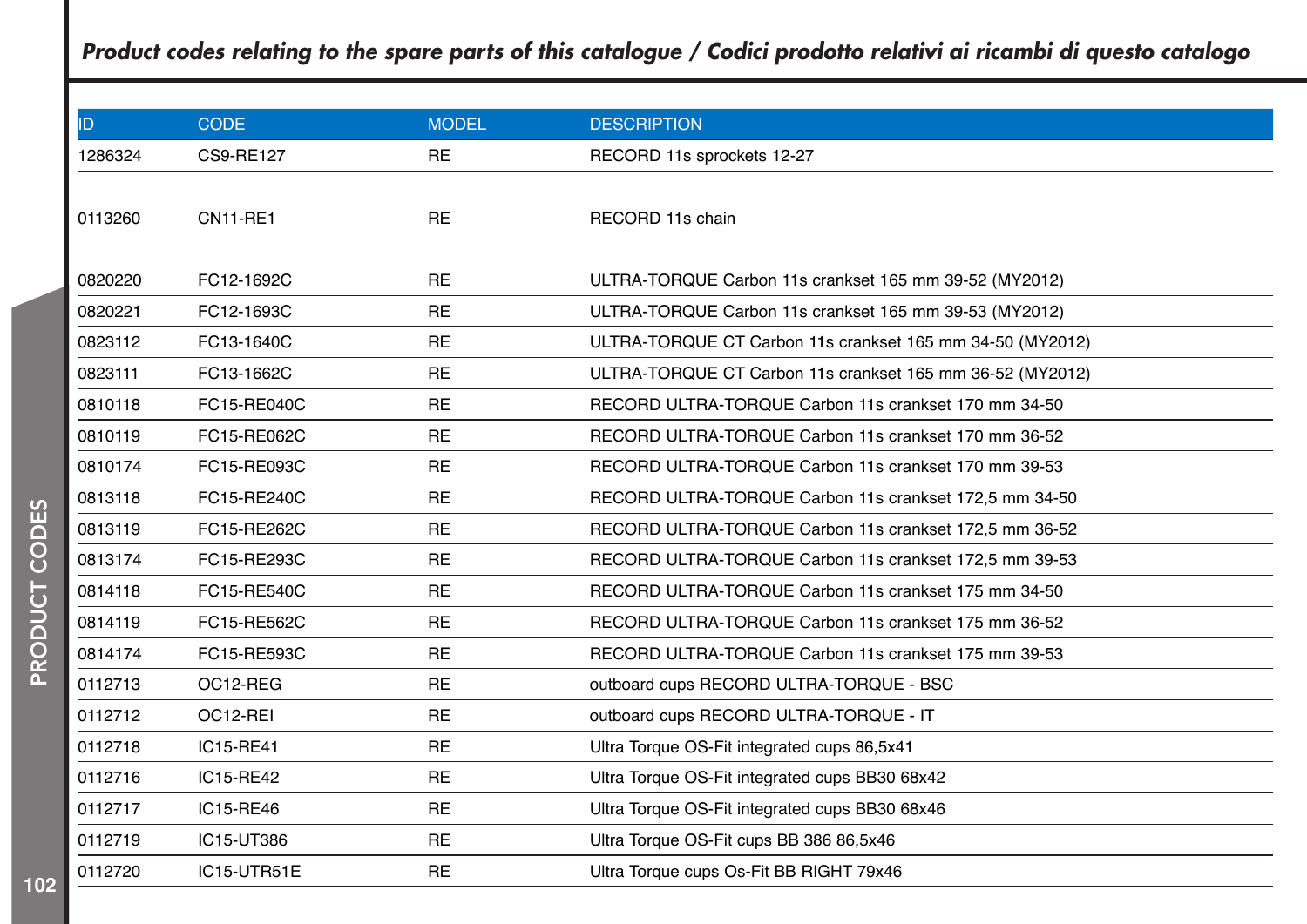| ID.     | <b>CODE</b>      | <b>MODEL</b> | <b>DESCRIPTION</b>                                        |
|---------|------------------|--------------|-----------------------------------------------------------|
| 1286324 | <b>CS9-RE127</b> | <b>RE</b>    | RECORD 11s sprockets 12-27                                |
|         |                  |              |                                                           |
| 0113260 | <b>CN11-RE1</b>  | <b>RE</b>    | RECORD 11s chain                                          |
|         |                  |              |                                                           |
| 0820220 | FC12-1692C       | <b>RE</b>    | ULTRA-TORQUE Carbon 11s crankset 165 mm 39-52 (MY2012)    |
| 0820221 | FC12-1693C       | <b>RE</b>    | ULTRA-TORQUE Carbon 11s crankset 165 mm 39-53 (MY2012)    |
| 0823112 | FC13-1640C       | <b>RE</b>    | ULTRA-TORQUE CT Carbon 11s crankset 165 mm 34-50 (MY2012) |
| 0823111 | FC13-1662C       | <b>RE</b>    | ULTRA-TORQUE CT Carbon 11s crankset 165 mm 36-52 (MY2012) |
| 0810118 | FC15-RE040C      | <b>RE</b>    | RECORD ULTRA-TORQUE Carbon 11s crankset 170 mm 34-50      |
| 0810119 | FC15-RE062C      | <b>RE</b>    | RECORD ULTRA-TORQUE Carbon 11s crankset 170 mm 36-52      |
| 0810174 | FC15-RE093C      | <b>RE</b>    | RECORD ULTRA-TORQUE Carbon 11s crankset 170 mm 39-53      |
| 0813118 | FC15-RE240C      | <b>RE</b>    | RECORD ULTRA-TORQUE Carbon 11s crankset 172,5 mm 34-50    |
| 0813119 | FC15-RE262C      | <b>RE</b>    | RECORD ULTRA-TORQUE Carbon 11s crankset 172,5 mm 36-52    |
| 0813174 | FC15-RE293C      | <b>RE</b>    | RECORD ULTRA-TORQUE Carbon 11s crankset 172,5 mm 39-53    |
| 0814118 | FC15-RE540C      | <b>RE</b>    | RECORD ULTRA-TORQUE Carbon 11s crankset 175 mm 34-50      |
| 0814119 | FC15-RE562C      | <b>RE</b>    | RECORD ULTRA-TORQUE Carbon 11s crankset 175 mm 36-52      |
| 0814174 | FC15-RE593C      | <b>RE</b>    | RECORD ULTRA-TORQUE Carbon 11s crankset 175 mm 39-53      |
| 0112713 | OC12-REG         | <b>RE</b>    | outboard cups RECORD ULTRA-TORQUE - BSC                   |
| 0112712 | OC12-REI         | <b>RE</b>    | outboard cups RECORD ULTRA-TORQUE - IT                    |
| 0112718 | IC15-RE41        | <b>RE</b>    | Ultra Torque OS-Fit integrated cups 86,5x41               |
| 0112716 | IC15-RE42        | <b>RE</b>    | Ultra Torque OS-Fit integrated cups BB30 68x42            |
| 0112717 | IC15-RE46        | <b>RE</b>    | Ultra Torque OS-Fit integrated cups BB30 68x46            |
| 0112719 | IC15-UT386       | <b>RE</b>    | Ultra Torque OS-Fit cups BB 386 86,5x46                   |
| 0112720 | IC15-UTR51E      | <b>RE</b>    | Ultra Torque cups Os-Fit BB RIGHT 79x46                   |
|         |                  |              |                                                           |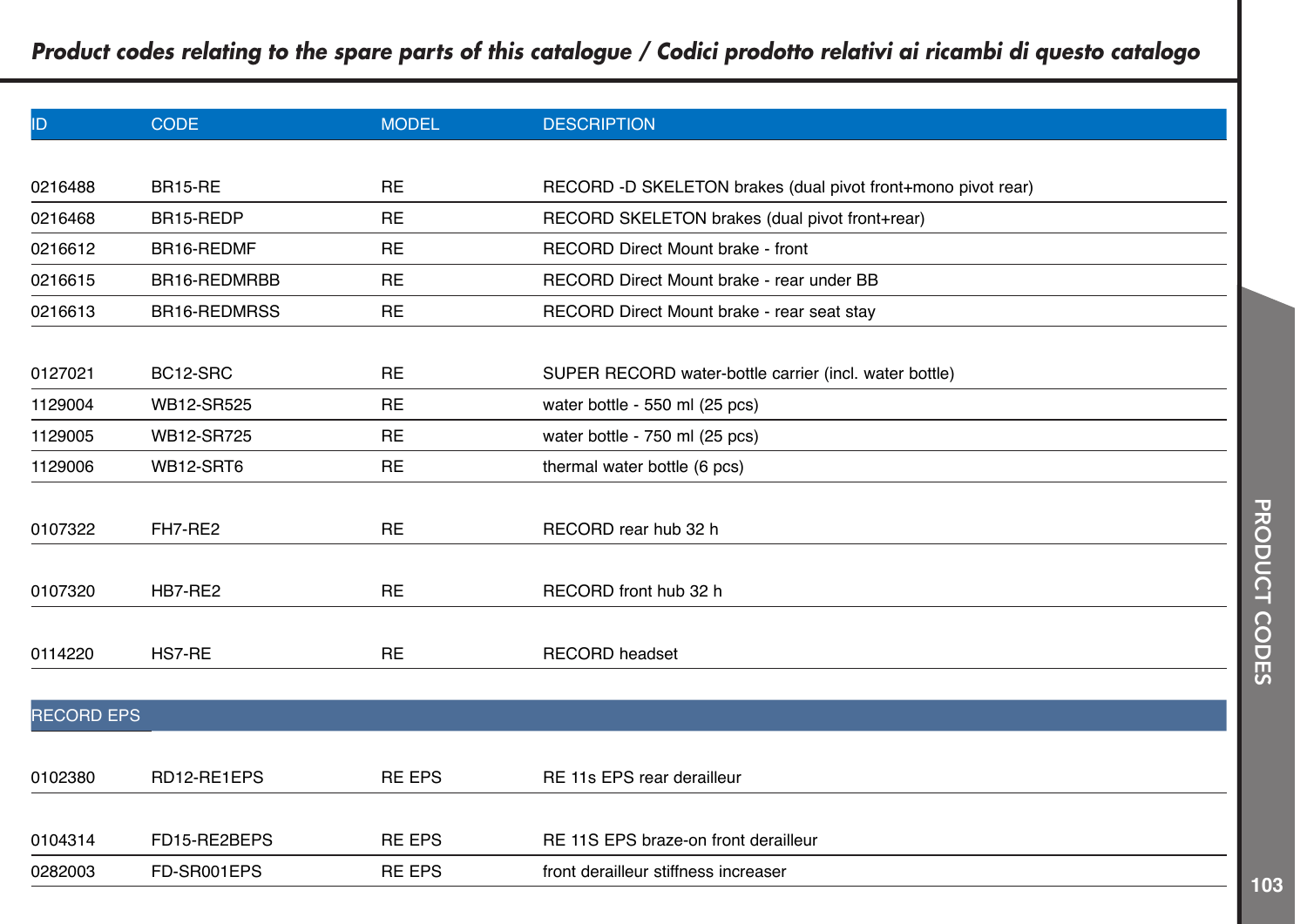| ID                | <b>CODE</b>    | <b>MODEL</b>  | <b>DESCRIPTION</b>                                           |
|-------------------|----------------|---------------|--------------------------------------------------------------|
|                   |                |               |                                                              |
| 0216488           | <b>BR15-RE</b> | <b>RE</b>     | RECORD -D SKELETON brakes (dual pivot front+mono pivot rear) |
| 0216468           | BR15-REDP      | <b>RE</b>     | RECORD SKELETON brakes (dual pivot front+rear)               |
| 0216612           | BR16-REDMF     | <b>RE</b>     | RECORD Direct Mount brake - front                            |
| 0216615           | BR16-REDMRBB   | <b>RE</b>     | RECORD Direct Mount brake - rear under BB                    |
| 0216613           | BR16-REDMRSS   | <b>RE</b>     | RECORD Direct Mount brake - rear seat stay                   |
|                   |                |               |                                                              |
| 0127021           | BC12-SRC       | <b>RE</b>     | SUPER RECORD water-bottle carrier (incl. water bottle)       |
| 1129004           | WB12-SR525     | <b>RE</b>     | water bottle - 550 ml (25 pcs)                               |
| 1129005           | WB12-SR725     | <b>RE</b>     | water bottle - 750 ml (25 pcs)                               |
| 1129006           | WB12-SRT6      | <b>RE</b>     | thermal water bottle (6 pcs)                                 |
|                   |                |               |                                                              |
| 0107322           | FH7-RE2        | <b>RE</b>     | RECORD rear hub 32 h                                         |
|                   |                |               |                                                              |
| 0107320           | HB7-RE2        | <b>RE</b>     | RECORD front hub 32 h                                        |
|                   |                |               |                                                              |
| 0114220           | HS7-RE         | <b>RE</b>     | <b>RECORD</b> headset                                        |
|                   |                |               |                                                              |
| <b>RECORD EPS</b> |                |               |                                                              |
|                   |                |               |                                                              |
| 0102380           | RD12-RE1EPS    | <b>RE EPS</b> | RE 11s EPS rear derailleur                                   |
|                   |                |               |                                                              |
| 0104314           | FD15-RE2BEPS   | <b>RE EPS</b> | RE 11S EPS braze-on front derailleur                         |
| 0282003           | FD-SR001EPS    | <b>RE EPS</b> | front derailleur stiffness increaser                         |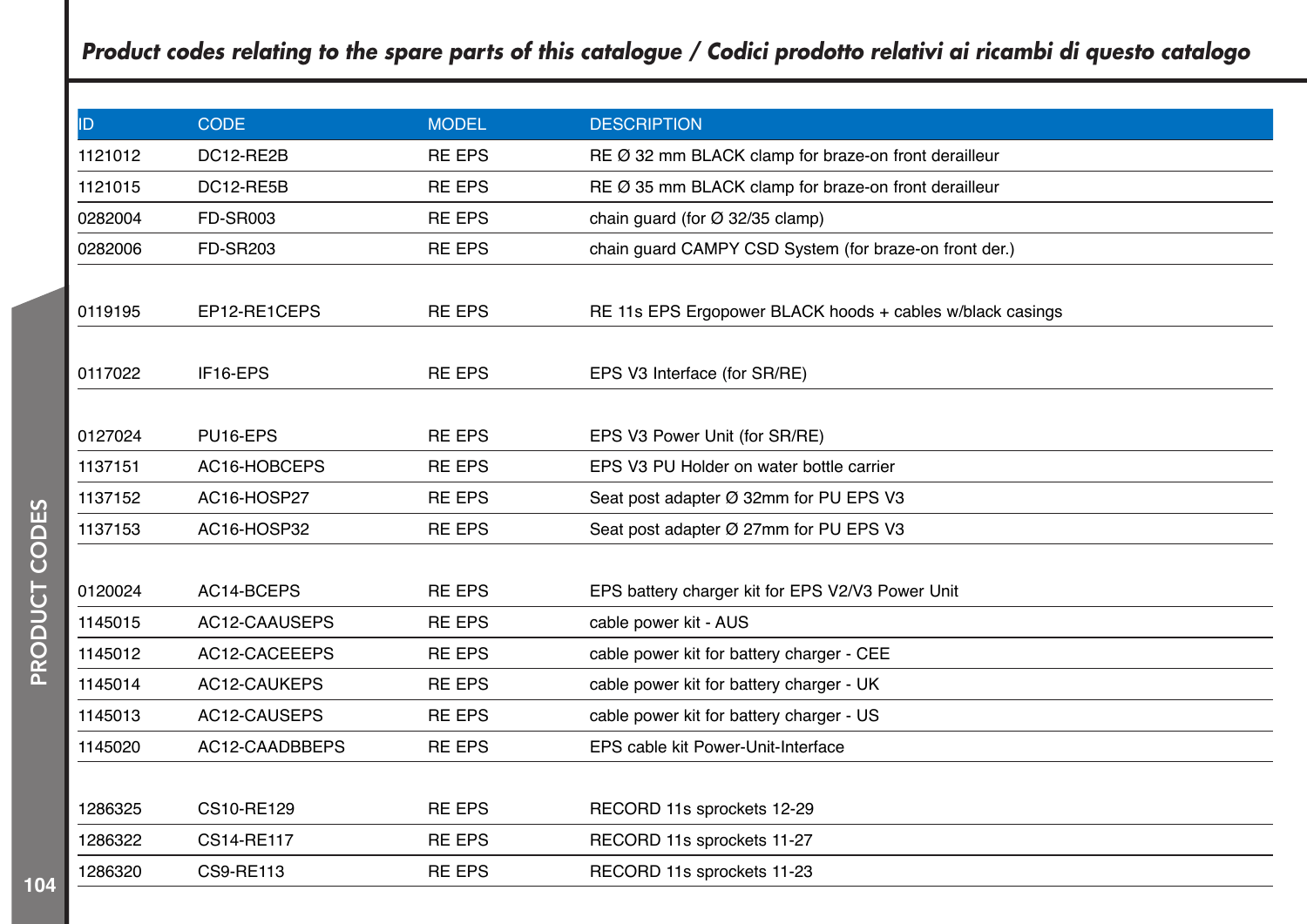| ID      | <b>CODE</b>      | <b>MODEL</b>  | <b>DESCRIPTION</b>                                        |
|---------|------------------|---------------|-----------------------------------------------------------|
| 1121012 | DC12-RE2B        | <b>RE EPS</b> | RE Ø 32 mm BLACK clamp for braze-on front derailleur      |
| 1121015 | DC12-RE5B        | <b>RE EPS</b> | RE Ø 35 mm BLACK clamp for braze-on front derailleur      |
| 0282004 | <b>FD-SR003</b>  | <b>RE EPS</b> | chain quard (for $\varnothing$ 32/35 clamp)               |
| 0282006 | <b>FD-SR203</b>  | <b>RE EPS</b> | chain guard CAMPY CSD System (for braze-on front der.)    |
|         |                  |               |                                                           |
| 0119195 | EP12-RE1CEPS     | <b>RE EPS</b> | RE 11s EPS Ergopower BLACK hoods + cables w/black casings |
|         |                  |               |                                                           |
| 0117022 | IF16-EPS         | <b>RE EPS</b> | EPS V3 Interface (for SR/RE)                              |
|         |                  |               |                                                           |
| 0127024 | PU16-EPS         | <b>RE EPS</b> | EPS V3 Power Unit (for SR/RE)                             |
| 1137151 | AC16-HOBCEPS     | <b>RE EPS</b> | EPS V3 PU Holder on water bottle carrier                  |
| 1137152 | AC16-HOSP27      | <b>RE EPS</b> | Seat post adapter Ø 32mm for PU EPS V3                    |
| 1137153 | AC16-HOSP32      | <b>RE EPS</b> | Seat post adapter Ø 27mm for PU EPS V3                    |
|         |                  |               |                                                           |
| 0120024 | AC14-BCEPS       | <b>RE EPS</b> | EPS battery charger kit for EPS V2/V3 Power Unit          |
| 1145015 | AC12-CAAUSEPS    | <b>RE EPS</b> | cable power kit - AUS                                     |
| 1145012 | AC12-CACEEEPS    | <b>RE EPS</b> | cable power kit for battery charger - CEE                 |
| 1145014 | AC12-CAUKEPS     | <b>RE EPS</b> | cable power kit for battery charger - UK                  |
| 1145013 | AC12-CAUSEPS     | <b>RE EPS</b> | cable power kit for battery charger - US                  |
| 1145020 | AC12-CAADBBEPS   | <b>RE EPS</b> | EPS cable kit Power-Unit-Interface                        |
|         |                  |               |                                                           |
| 1286325 | CS10-RE129       | <b>RE EPS</b> | RECORD 11s sprockets 12-29                                |
| 1286322 | CS14-RE117       | <b>RE EPS</b> | RECORD 11s sprockets 11-27                                |
| 1286320 | <b>CS9-RE113</b> | <b>RE EPS</b> | RECORD 11s sprockets 11-23                                |
|         |                  |               |                                                           |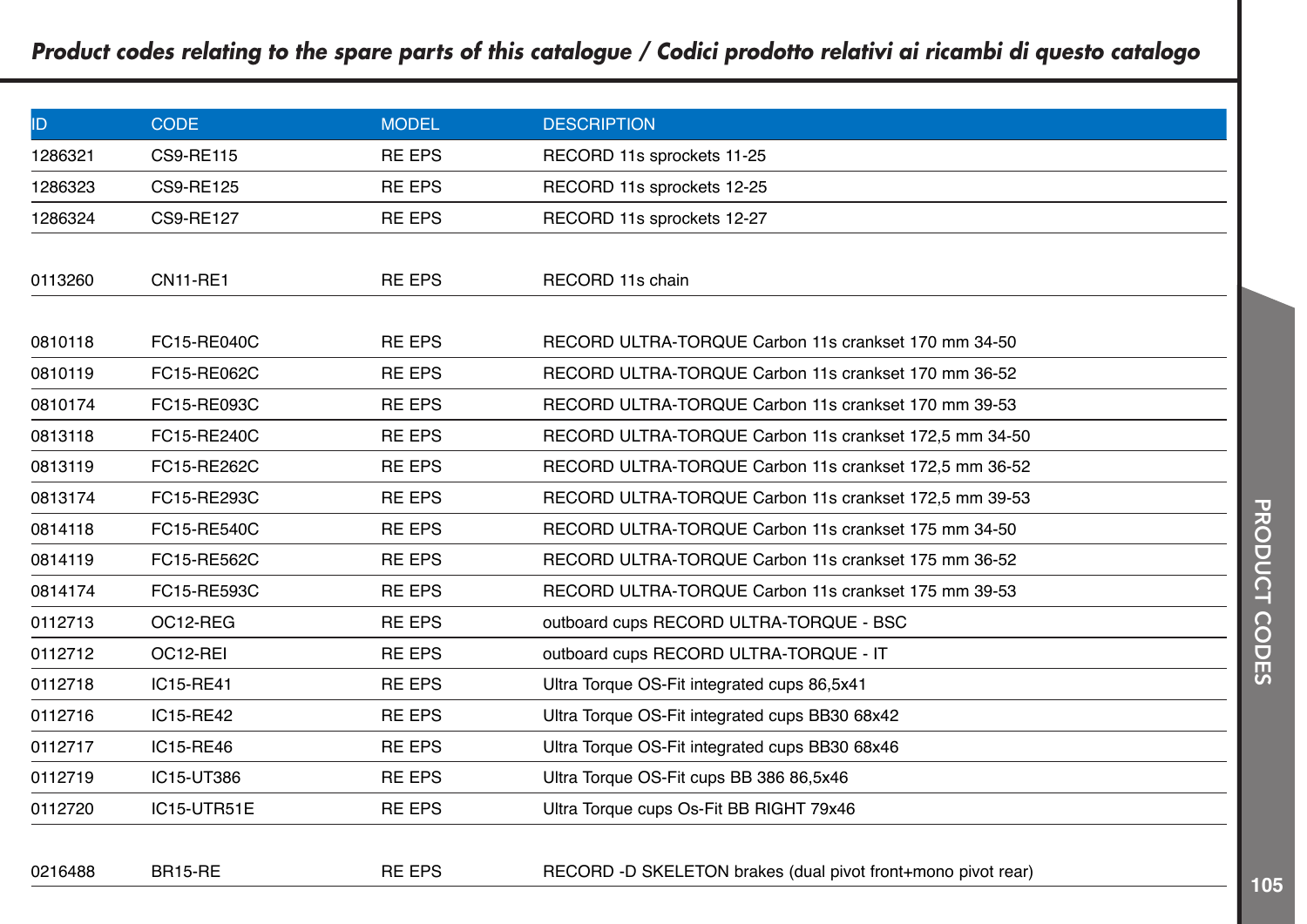| ID      | <b>CODE</b>      | <b>MODEL</b>  | <b>DESCRIPTION</b>                                           |
|---------|------------------|---------------|--------------------------------------------------------------|
| 1286321 | <b>CS9-RE115</b> | <b>RE EPS</b> | RECORD 11s sprockets 11-25                                   |
| 1286323 | <b>CS9-RE125</b> | <b>RE EPS</b> | RECORD 11s sprockets 12-25                                   |
| 1286324 | <b>CS9-RE127</b> | <b>RE EPS</b> | RECORD 11s sprockets 12-27                                   |
|         |                  |               |                                                              |
| 0113260 | <b>CN11-RE1</b>  | <b>RE EPS</b> | RECORD 11s chain                                             |
|         |                  |               |                                                              |
| 0810118 | FC15-RE040C      | <b>RE EPS</b> | RECORD ULTRA-TORQUE Carbon 11s crankset 170 mm 34-50         |
| 0810119 | FC15-RE062C      | <b>RE EPS</b> | RECORD ULTRA-TORQUE Carbon 11s crankset 170 mm 36-52         |
| 0810174 | FC15-RE093C      | <b>RE EPS</b> | RECORD ULTRA-TORQUE Carbon 11s crankset 170 mm 39-53         |
| 0813118 | FC15-RE240C      | <b>RE EPS</b> | RECORD ULTRA-TORQUE Carbon 11s crankset 172,5 mm 34-50       |
| 0813119 | FC15-RE262C      | <b>RE EPS</b> | RECORD ULTRA-TORQUE Carbon 11s crankset 172,5 mm 36-52       |
| 0813174 | FC15-RE293C      | <b>RE EPS</b> | RECORD ULTRA-TORQUE Carbon 11s crankset 172,5 mm 39-53       |
| 0814118 | FC15-RE540C      | <b>RE EPS</b> | RECORD ULTRA-TORQUE Carbon 11s crankset 175 mm 34-50         |
| 0814119 | FC15-RE562C      | <b>RE EPS</b> | RECORD ULTRA-TORQUE Carbon 11s crankset 175 mm 36-52         |
| 0814174 | FC15-RE593C      | <b>RE EPS</b> | RECORD ULTRA-TORQUE Carbon 11s crankset 175 mm 39-53         |
| 0112713 | OC12-REG         | <b>RE EPS</b> | outboard cups RECORD ULTRA-TORQUE - BSC                      |
| 0112712 | OC12-REI         | <b>RE EPS</b> | outboard cups RECORD ULTRA-TORQUE - IT                       |
| 0112718 | IC15-RE41        | <b>RE EPS</b> | Ultra Torque OS-Fit integrated cups 86,5x41                  |
| 0112716 | IC15-RE42        | <b>RE EPS</b> | Ultra Torque OS-Fit integrated cups BB30 68x42               |
| 0112717 | IC15-RE46        | <b>RE EPS</b> | Ultra Torque OS-Fit integrated cups BB30 68x46               |
| 0112719 | IC15-UT386       | <b>RE EPS</b> | Ultra Torque OS-Fit cups BB 386 86,5x46                      |
| 0112720 | IC15-UTR51E      | <b>RE EPS</b> | Ultra Torque cups Os-Fit BB RIGHT 79x46                      |
|         |                  |               |                                                              |
| 0216488 | BR15-RE          | <b>RE EPS</b> | RECORD -D SKELETON brakes (dual pivot front+mono pivot rear) |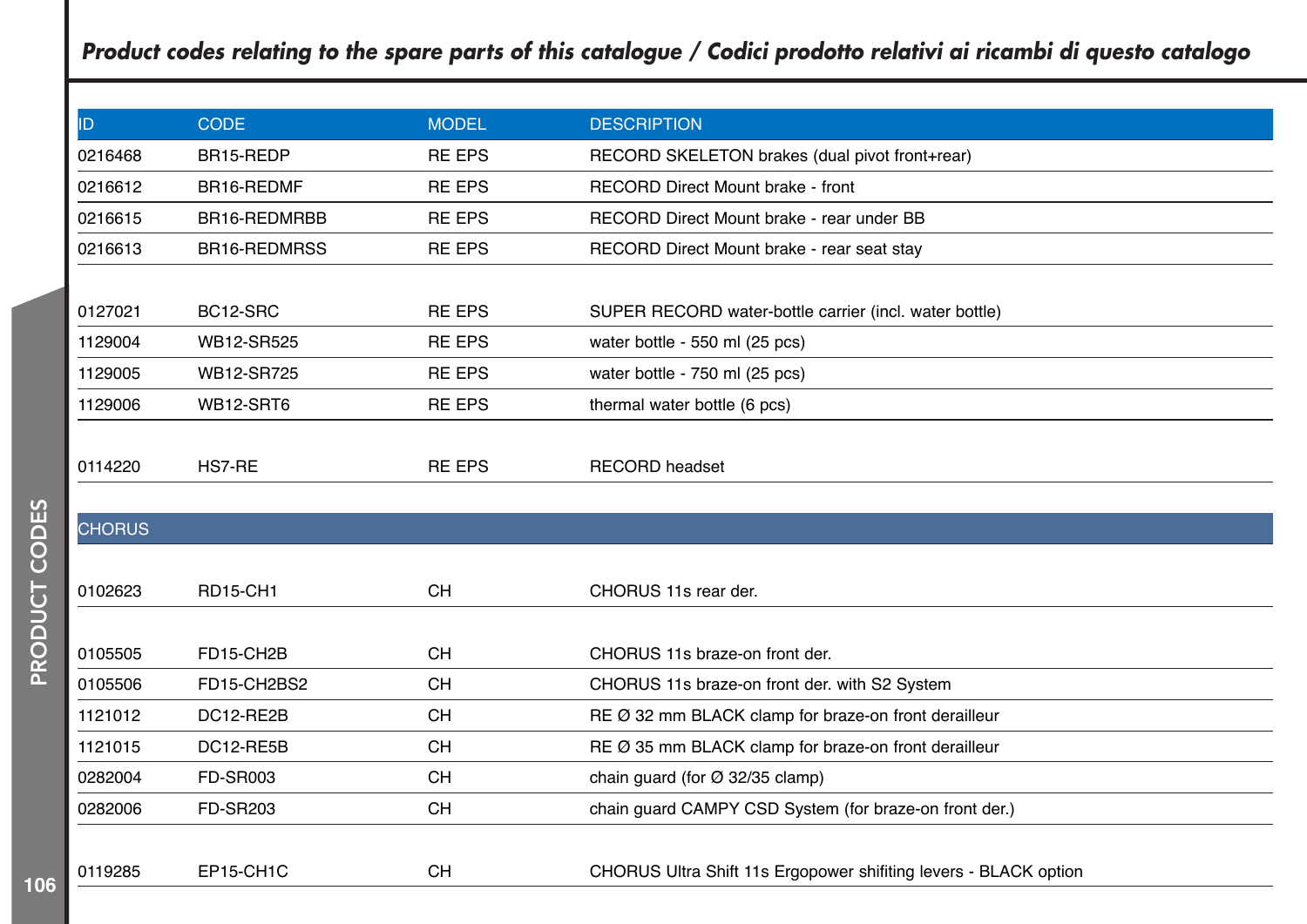| ID            | <b>CODE</b>         | <b>MODEL</b>  | <b>DESCRIPTION</b>                                              |
|---------------|---------------------|---------------|-----------------------------------------------------------------|
| 0216468       | BR15-REDP           | <b>RE EPS</b> | RECORD SKELETON brakes (dual pivot front+rear)                  |
| 0216612       | BR16-REDMF          | <b>RE EPS</b> | RECORD Direct Mount brake - front                               |
| 0216615       | BR16-REDMRBB        | <b>RE EPS</b> | RECORD Direct Mount brake - rear under BB                       |
| 0216613       | <b>BR16-REDMRSS</b> | <b>RE EPS</b> | RECORD Direct Mount brake - rear seat stay                      |
|               |                     |               |                                                                 |
| 0127021       | BC12-SRC            | <b>RE EPS</b> | SUPER RECORD water-bottle carrier (incl. water bottle)          |
| 1129004       | WB12-SR525          | <b>RE EPS</b> | water bottle - 550 ml (25 pcs)                                  |
| 1129005       | WB12-SR725          | <b>RE EPS</b> | water bottle - 750 ml (25 pcs)                                  |
| 1129006       | WB12-SRT6           | <b>RE EPS</b> | thermal water bottle (6 pcs)                                    |
|               |                     |               |                                                                 |
| 0114220       | HS7-RE              | <b>RE EPS</b> | <b>RECORD</b> headset                                           |
|               |                     |               |                                                                 |
| <b>CHORUS</b> |                     |               |                                                                 |
|               |                     |               |                                                                 |
| 0102623       | <b>RD15-CH1</b>     | <b>CH</b>     | CHORUS 11s rear der.                                            |
|               |                     |               |                                                                 |
| 0105505       | FD15-CH2B           | <b>CH</b>     | CHORUS 11s braze-on front der.                                  |
| 0105506       | FD15-CH2BS2         | <b>CH</b>     | CHORUS 11s braze-on front der. with S2 System                   |
| 1121012       | DC12-RE2B           | <b>CH</b>     | RE Ø 32 mm BLACK clamp for braze-on front derailleur            |
| 1121015       | DC12-RE5B           | <b>CH</b>     | RE Ø 35 mm BLACK clamp for braze-on front derailleur            |
| 0282004       | <b>FD-SR003</b>     | <b>CH</b>     | chain guard (for $\varnothing$ 32/35 clamp)                     |
| 0282006       | <b>FD-SR203</b>     | <b>CH</b>     | chain guard CAMPY CSD System (for braze-on front der.)          |
|               |                     |               |                                                                 |
| 0119285       | EP15-CH1C           | <b>CH</b>     | CHORUS Ultra Shift 11s Ergopower shifting levers - BLACK option |
|               |                     |               |                                                                 |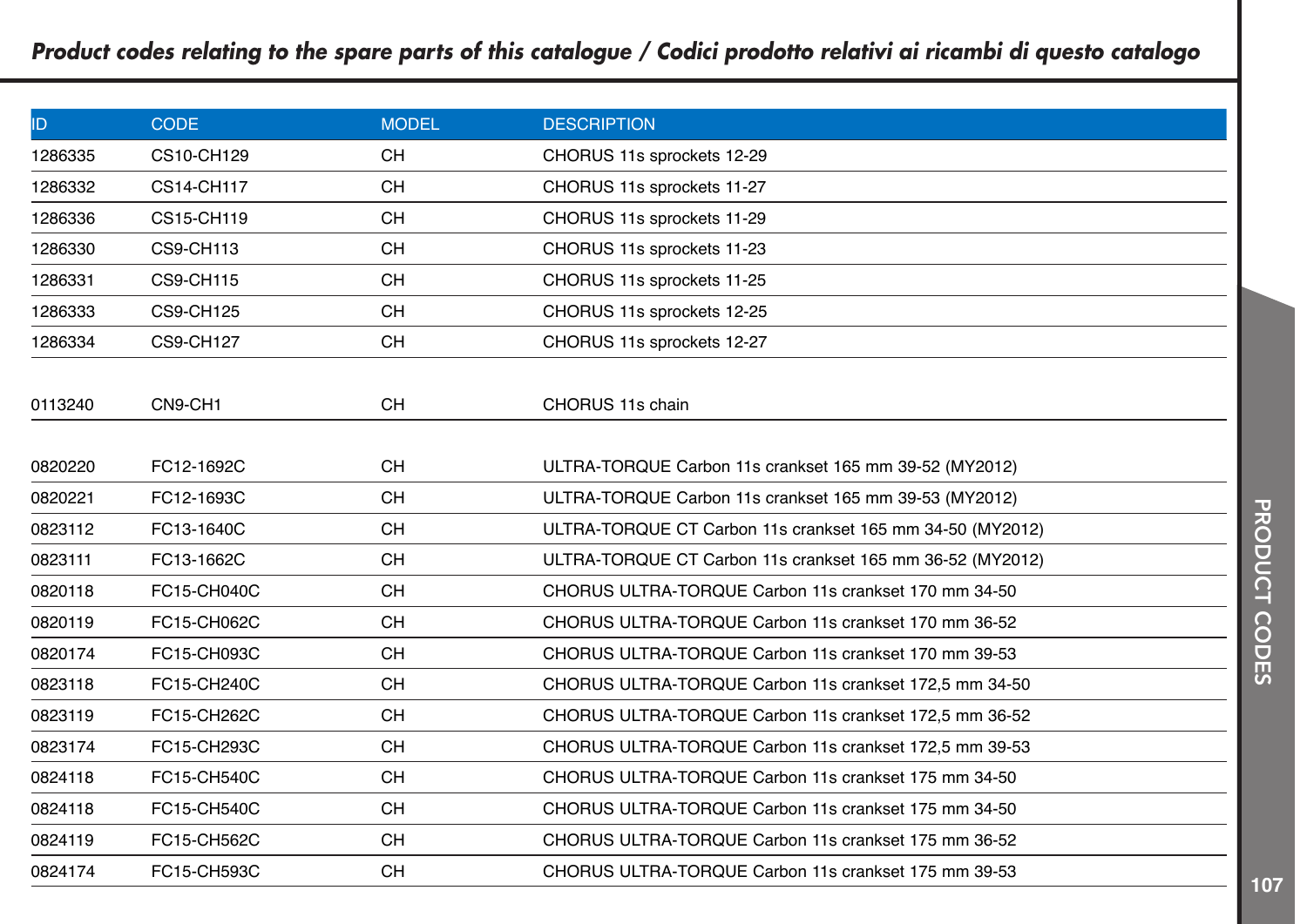| ID.     | <b>CODE</b>       | <b>MODEL</b> | <b>DESCRIPTION</b>                                        |
|---------|-------------------|--------------|-----------------------------------------------------------|
| 1286335 | CS10-CH129        | <b>CH</b>    | CHORUS 11s sprockets 12-29                                |
|         |                   |              |                                                           |
| 1286332 | <b>CS14-CH117</b> | <b>CH</b>    | CHORUS 11s sprockets 11-27                                |
| 1286336 | CS15-CH119        | <b>CH</b>    | CHORUS 11s sprockets 11-29                                |
| 1286330 | <b>CS9-CH113</b>  | <b>CH</b>    | CHORUS 11s sprockets 11-23                                |
| 1286331 | <b>CS9-CH115</b>  | <b>CH</b>    | CHORUS 11s sprockets 11-25                                |
| 1286333 | <b>CS9-CH125</b>  | <b>CH</b>    | CHORUS 11s sprockets 12-25                                |
| 1286334 | <b>CS9-CH127</b>  | <b>CH</b>    | CHORUS 11s sprockets 12-27                                |
|         |                   |              |                                                           |
| 0113240 | CN9-CH1           | <b>CH</b>    | CHORUS 11s chain                                          |
| 0820220 | FC12-1692C        | <b>CH</b>    | ULTRA-TORQUE Carbon 11s crankset 165 mm 39-52 (MY2012)    |
| 0820221 | FC12-1693C        | <b>CH</b>    | ULTRA-TORQUE Carbon 11s crankset 165 mm 39-53 (MY2012)    |
| 0823112 | FC13-1640C        | <b>CH</b>    | ULTRA-TORQUE CT Carbon 11s crankset 165 mm 34-50 (MY2012) |
| 0823111 | FC13-1662C        | <b>CH</b>    | ULTRA-TORQUE CT Carbon 11s crankset 165 mm 36-52 (MY2012) |
| 0820118 | FC15-CH040C       | <b>CH</b>    | CHORUS ULTRA-TORQUE Carbon 11s crankset 170 mm 34-50      |
| 0820119 | FC15-CH062C       | <b>CH</b>    | CHORUS ULTRA-TORQUE Carbon 11s crankset 170 mm 36-52      |
| 0820174 | FC15-CH093C       | <b>CH</b>    | CHORUS ULTRA-TORQUE Carbon 11s crankset 170 mm 39-53      |
| 0823118 | FC15-CH240C       | <b>CH</b>    | CHORUS ULTRA-TORQUE Carbon 11s crankset 172,5 mm 34-50    |
| 0823119 | FC15-CH262C       | <b>CH</b>    | CHORUS ULTRA-TORQUE Carbon 11s crankset 172,5 mm 36-52    |
| 0823174 | FC15-CH293C       | <b>CH</b>    | CHORUS ULTRA-TORQUE Carbon 11s crankset 172,5 mm 39-53    |
| 0824118 | FC15-CH540C       | <b>CH</b>    | CHORUS ULTRA-TORQUE Carbon 11s crankset 175 mm 34-50      |
| 0824118 | FC15-CH540C       | <b>CH</b>    | CHORUS ULTRA-TORQUE Carbon 11s crankset 175 mm 34-50      |
| 0824119 | FC15-CH562C       | <b>CH</b>    | CHORUS ULTRA-TORQUE Carbon 11s crankset 175 mm 36-52      |
| 0824174 | FC15-CH593C       | <b>CH</b>    | CHORUS ULTRA-TORQUE Carbon 11s crankset 175 mm 39-53      |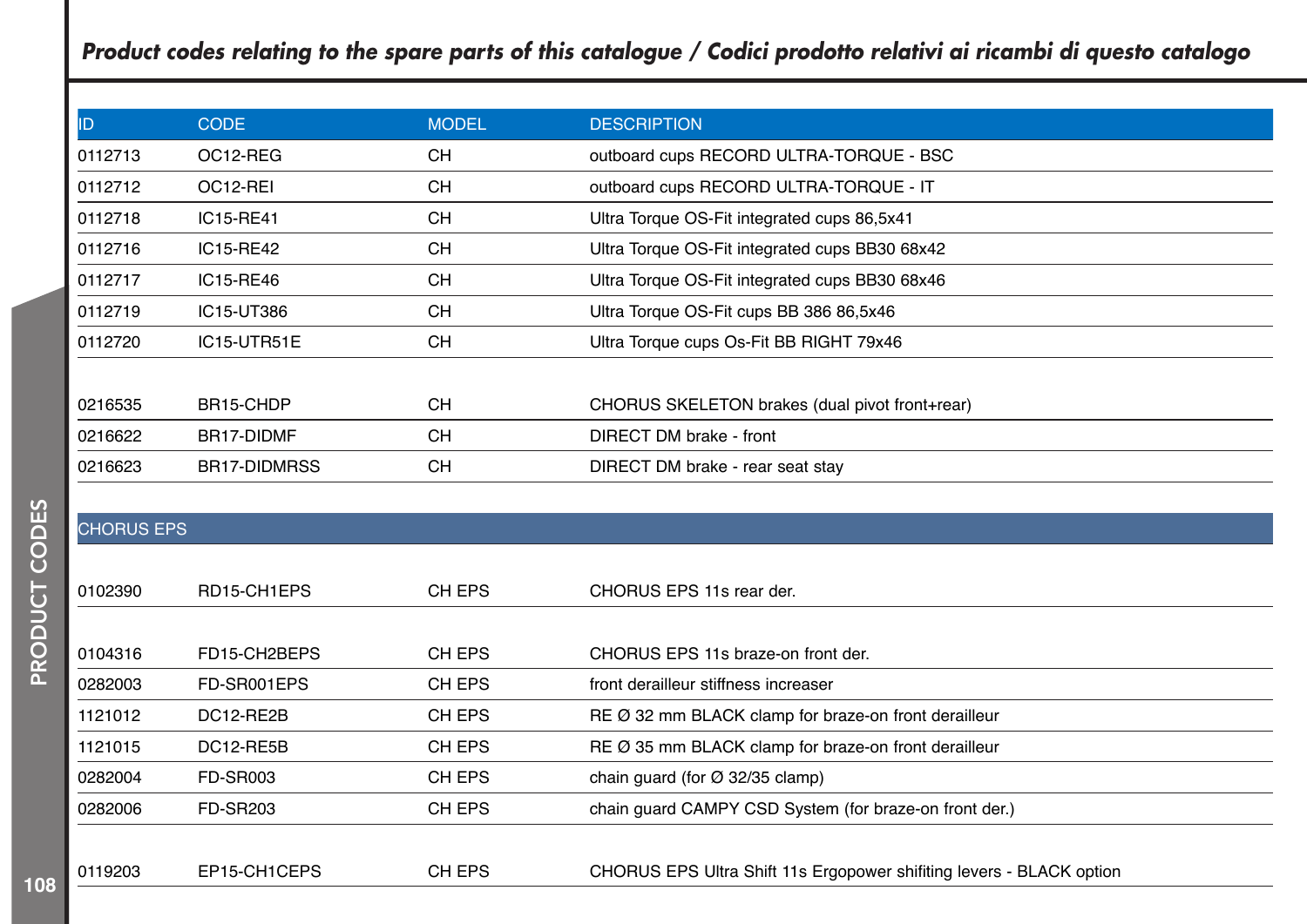| ID      | <b>CODE</b>           | <b>MODEL</b> | <b>DESCRIPTION</b>                             |
|---------|-----------------------|--------------|------------------------------------------------|
| 0112713 | OC <sub>12</sub> -REG | <b>CH</b>    | outboard cups RECORD ULTRA-TORQUE - BSC        |
| 0112712 | OC <sub>12</sub> -REI | <b>CH</b>    | outboard cups RECORD ULTRA-TORQUE - IT         |
| 0112718 | IC15-RE41             | <b>CH</b>    | Ultra Torque OS-Fit integrated cups 86,5x41    |
| 0112716 | IC15-RE42             | <b>CH</b>    | Ultra Torque OS-Fit integrated cups BB30 68x42 |
| 0112717 | IC15-RE46             | <b>CH</b>    | Ultra Torque OS-Fit integrated cups BB30 68x46 |
| 0112719 | IC15-UT386            | <b>CH</b>    | Ultra Torque OS-Fit cups BB 386 86,5x46        |
| 0112720 | IC15-UTR51E           | <b>CH</b>    | Ultra Torque cups Os-Fit BB RIGHT 79x46        |
|         |                       |              |                                                |
| 0216535 | BR15-CHDP             | CH           | CHORUS SKELETON brakes (dual pivot front+rear) |
| 0216622 | BR17-DIDMF            | CH           | DIRECT DM brake - front                        |
| 0216623 | BR17-DIDMRSS          | <b>CH</b>    | DIRECT DM brake - rear seat stay               |
|         |                       |              |                                                |

PRODUCT CODES PRODUCT CODES

|         | <b>CHORUS EPS</b> |        |                                                                     |  |  |  |
|---------|-------------------|--------|---------------------------------------------------------------------|--|--|--|
|         |                   |        |                                                                     |  |  |  |
| 0102390 | RD15-CH1EPS       | CH EPS | CHORUS EPS 11s rear der.                                            |  |  |  |
|         |                   |        |                                                                     |  |  |  |
| 0104316 | FD15-CH2BEPS      | CH EPS | CHORUS EPS 11s braze-on front der.                                  |  |  |  |
| 0282003 | FD-SR001EPS       | CH EPS | front derailleur stiffness increaser                                |  |  |  |
| 1121012 | DC12-RE2B         | CH EPS | RE Ø 32 mm BLACK clamp for braze-on front derailleur                |  |  |  |
| 1121015 | DC12-RE5B         | CH EPS | RE Ø 35 mm BLACK clamp for braze-on front derailleur                |  |  |  |
| 0282004 | <b>FD-SR003</b>   | CH EPS | chain quard (for $\varnothing$ 32/35 clamp)                         |  |  |  |
| 0282006 | <b>FD-SR203</b>   | CH EPS | chain quard CAMPY CSD System (for braze-on front der.)              |  |  |  |
|         |                   |        |                                                                     |  |  |  |
| 0119203 | EP15-CH1CEPS      | CH EPS | CHORUS EPS Ultra Shift 11s Ergopower shifting levers - BLACK option |  |  |  |
|         |                   |        |                                                                     |  |  |  |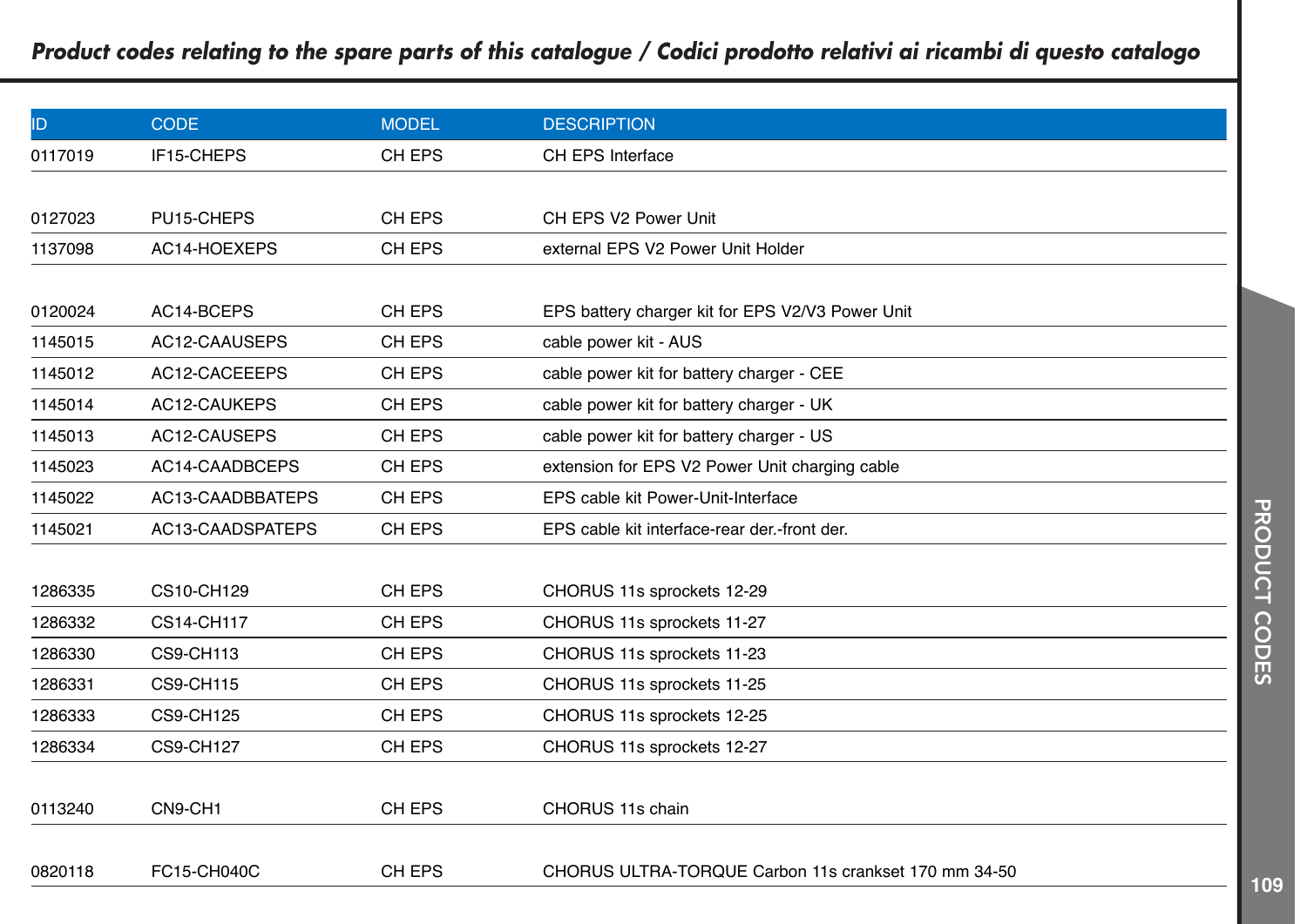| ID      | <b>CODE</b>       | <b>MODEL</b> | <b>DESCRIPTION</b>                                   |
|---------|-------------------|--------------|------------------------------------------------------|
| 0117019 | IF15-CHEPS        | CH EPS       | CH EPS Interface                                     |
|         |                   |              |                                                      |
| 0127023 | PU15-CHEPS        | CH EPS       | CH EPS V2 Power Unit                                 |
| 1137098 | AC14-HOEXEPS      | CH EPS       | external EPS V2 Power Unit Holder                    |
|         |                   |              |                                                      |
| 0120024 | AC14-BCEPS        | CH EPS       | EPS battery charger kit for EPS V2/V3 Power Unit     |
| 1145015 | AC12-CAAUSEPS     | CH EPS       | cable power kit - AUS                                |
| 1145012 | AC12-CACEEEPS     | CH EPS       | cable power kit for battery charger - CEE            |
| 1145014 | AC12-CAUKEPS      | CH EPS       | cable power kit for battery charger - UK             |
| 1145013 | AC12-CAUSEPS      | CH EPS       | cable power kit for battery charger - US             |
| 1145023 | AC14-CAADBCEPS    | CH EPS       | extension for EPS V2 Power Unit charging cable       |
| 1145022 | AC13-CAADBBATEPS  | CH EPS       | EPS cable kit Power-Unit-Interface                   |
| 1145021 | AC13-CAADSPATEPS  | CH EPS       | EPS cable kit interface-rear der.-front der.         |
|         |                   |              |                                                      |
| 1286335 | <b>CS10-CH129</b> | CH EPS       | CHORUS 11s sprockets 12-29                           |
| 1286332 | <b>CS14-CH117</b> | CH EPS       | CHORUS 11s sprockets 11-27                           |
| 1286330 | <b>CS9-CH113</b>  | CH EPS       | CHORUS 11s sprockets 11-23                           |
| 1286331 | <b>CS9-CH115</b>  | CH EPS       | CHORUS 11s sprockets 11-25                           |
| 1286333 | <b>CS9-CH125</b>  | CH EPS       | CHORUS 11s sprockets 12-25                           |
| 1286334 | <b>CS9-CH127</b>  | CH EPS       | CHORUS 11s sprockets 12-27                           |
|         |                   |              |                                                      |
| 0113240 | CN9-CH1           | CH EPS       | CHORUS 11s chain                                     |
|         |                   |              |                                                      |
| 0820118 | FC15-CH040C       | CH EPS       | CHORUS ULTRA-TORQUE Carbon 11s crankset 170 mm 34-50 |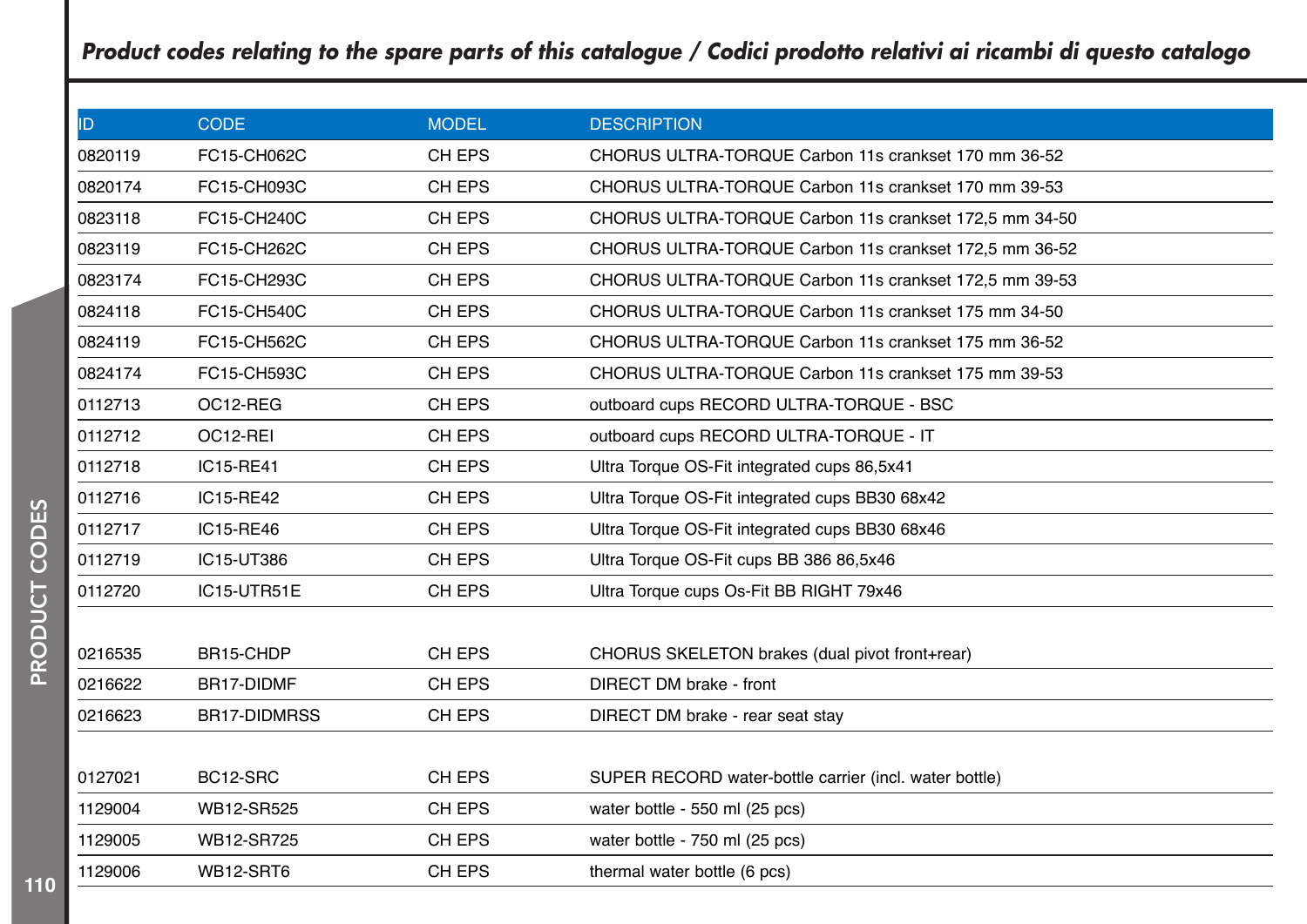| ID      | <b>CODE</b>         | <b>MODEL</b> | <b>DESCRIPTION</b>                                     |
|---------|---------------------|--------------|--------------------------------------------------------|
| 0820119 | FC15-CH062C         | CH EPS       | CHORUS ULTRA-TORQUE Carbon 11s crankset 170 mm 36-52   |
| 0820174 | FC15-CH093C         | CH EPS       | CHORUS ULTRA-TORQUE Carbon 11s crankset 170 mm 39-53   |
| 0823118 | FC15-CH240C         | CH EPS       | CHORUS ULTRA-TORQUE Carbon 11s crankset 172,5 mm 34-50 |
| 0823119 | FC15-CH262C         | CH EPS       | CHORUS ULTRA-TORQUE Carbon 11s crankset 172,5 mm 36-52 |
| 0823174 | FC15-CH293C         | CH EPS       | CHORUS ULTRA-TORQUE Carbon 11s crankset 172,5 mm 39-53 |
| 0824118 | FC15-CH540C         | CH EPS       | CHORUS ULTRA-TORQUE Carbon 11s crankset 175 mm 34-50   |
| 0824119 | FC15-CH562C         | CH EPS       | CHORUS ULTRA-TORQUE Carbon 11s crankset 175 mm 36-52   |
| 0824174 | FC15-CH593C         | CH EPS       | CHORUS ULTRA-TORQUE Carbon 11s crankset 175 mm 39-53   |
| 0112713 | OC12-REG            | CH EPS       | outboard cups RECORD ULTRA-TORQUE - BSC                |
| 0112712 | OC12-REI            | CH EPS       | outboard cups RECORD ULTRA-TORQUE - IT                 |
| 0112718 | IC15-RE41           | CH EPS       | Ultra Torque OS-Fit integrated cups 86,5x41            |
| 0112716 | IC15-RE42           | CH EPS       | Ultra Torque OS-Fit integrated cups BB30 68x42         |
| 0112717 | IC15-RE46           | CH EPS       | Ultra Torque OS-Fit integrated cups BB30 68x46         |
| 0112719 | IC15-UT386          | CH EPS       | Ultra Torque OS-Fit cups BB 386 86,5x46                |
| 0112720 | IC15-UTR51E         | CH EPS       | Ultra Torque cups Os-Fit BB RIGHT 79x46                |
|         |                     |              |                                                        |
| 0216535 | BR15-CHDP           | CH EPS       | CHORUS SKELETON brakes (dual pivot front+rear)         |
| 0216622 | BR17-DIDMF          | CH EPS       | DIRECT DM brake - front                                |
| 0216623 | <b>BR17-DIDMRSS</b> | CH EPS       | DIRECT DM brake - rear seat stay                       |
|         |                     |              |                                                        |
| 0127021 | BC12-SRC            | CH EPS       | SUPER RECORD water-bottle carrier (incl. water bottle) |
| 1129004 | WB12-SR525          | CH EPS       | water bottle - 550 ml (25 pcs)                         |
| 1129005 | WB12-SR725          | CH EPS       | water bottle - 750 ml (25 pcs)                         |
| 1129006 | WB12-SRT6           | CH EPS       | thermal water bottle (6 pcs)                           |
|         |                     |              |                                                        |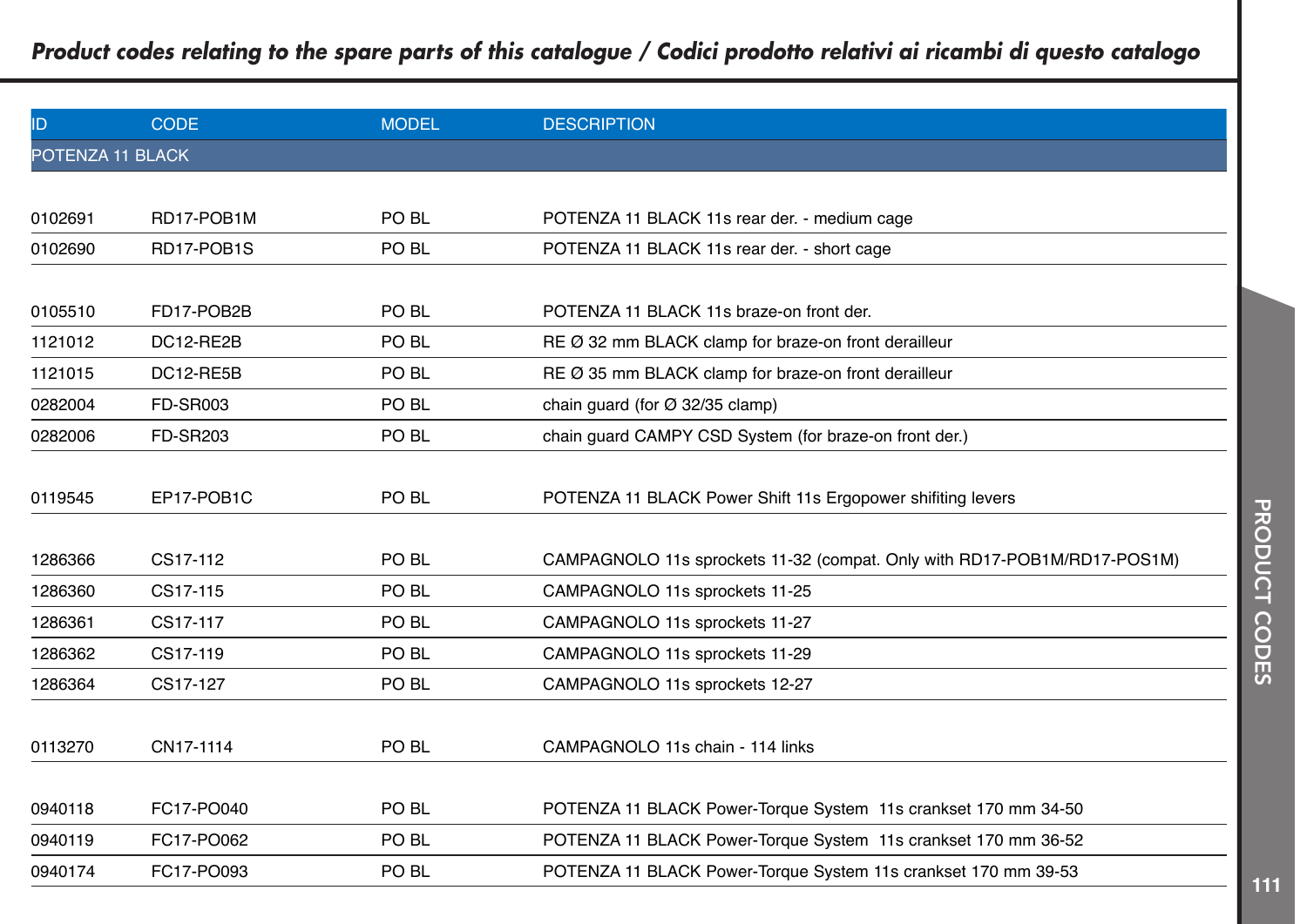| ID               | <b>CODE</b>     | <b>MODEL</b>     | <b>DESCRIPTION</b>                                                       |
|------------------|-----------------|------------------|--------------------------------------------------------------------------|
| POTENZA 11 BLACK |                 |                  |                                                                          |
|                  |                 |                  |                                                                          |
| 0102691          | RD17-POB1M      | PO BL            | POTENZA 11 BLACK 11s rear der. - medium cage                             |
| 0102690          | RD17-POB1S      | PO <sub>BL</sub> | POTENZA 11 BLACK 11s rear der. - short cage                              |
|                  |                 |                  |                                                                          |
| 0105510          | FD17-POB2B      | PO BL            | POTENZA 11 BLACK 11s braze-on front der.                                 |
| 1121012          | DC12-RE2B       | PO <sub>BL</sub> | RE Ø 32 mm BLACK clamp for braze-on front derailleur                     |
| 1121015          | DC12-RE5B       | PO <sub>BL</sub> | RE Ø 35 mm BLACK clamp for braze-on front derailleur                     |
| 0282004          | <b>FD-SR003</b> | PO <sub>BL</sub> | chain guard (for $\varnothing$ 32/35 clamp)                              |
| 0282006          | <b>FD-SR203</b> | PO <sub>BL</sub> | chain guard CAMPY CSD System (for braze-on front der.)                   |
|                  |                 |                  |                                                                          |
| 0119545          | EP17-POB1C      | PO BL            | POTENZA 11 BLACK Power Shift 11s Ergopower shiftting levers              |
|                  |                 |                  |                                                                          |
| 1286366          | CS17-112        | PO <sub>BL</sub> | CAMPAGNOLO 11s sprockets 11-32 (compat. Only with RD17-POB1M/RD17-POS1M) |
| 1286360          | CS17-115        | PO <sub>BL</sub> | CAMPAGNOLO 11s sprockets 11-25                                           |
| 1286361          | CS17-117        | PO <sub>BL</sub> | CAMPAGNOLO 11s sprockets 11-27                                           |
| 1286362          | CS17-119        | PO <sub>BL</sub> | CAMPAGNOLO 11s sprockets 11-29                                           |
| 1286364          | CS17-127        | PO BL            | CAMPAGNOLO 11s sprockets 12-27                                           |
|                  |                 |                  |                                                                          |
| 0113270          | CN17-1114       | PO BL            | CAMPAGNOLO 11s chain - 114 links                                         |
|                  |                 |                  |                                                                          |
| 0940118          | FC17-PO040      | PO BL            | POTENZA 11 BLACK Power-Torque System 11s crankset 170 mm 34-50           |
| 0940119          | FC17-PO062      | PO <sub>BL</sub> | POTENZA 11 BLACK Power-Torque System 11s crankset 170 mm 36-52           |
| 0940174          | FC17-PO093      | PO <sub>BL</sub> | POTENZA 11 BLACK Power-Torque System 11s crankset 170 mm 39-53           |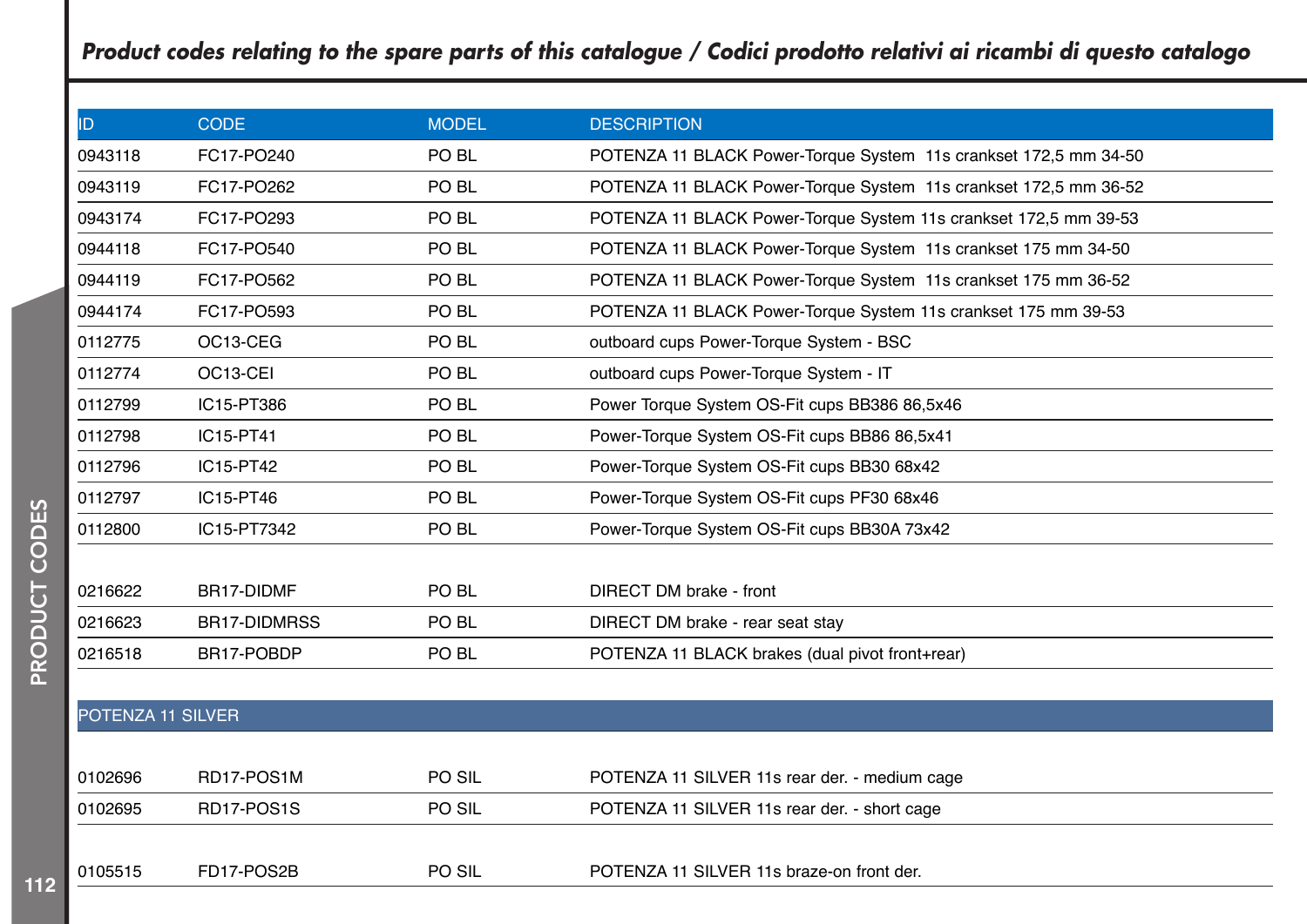| ID                | <b>CODE</b>         | <b>MODEL</b> | <b>DESCRIPTION</b>                                               |
|-------------------|---------------------|--------------|------------------------------------------------------------------|
| 0943118           | FC17-PO240          | PO BL        | POTENZA 11 BLACK Power-Torque System 11s crankset 172,5 mm 34-50 |
| 0943119           | FC17-PO262          | PO BL        | POTENZA 11 BLACK Power-Torque System 11s crankset 172,5 mm 36-52 |
| 0943174           | FC17-PO293          | PO BL        | POTENZA 11 BLACK Power-Torque System 11s crankset 172,5 mm 39-53 |
| 0944118           | FC17-PO540          | PO BL        | POTENZA 11 BLACK Power-Torque System 11s crankset 175 mm 34-50   |
| 0944119           | FC17-PO562          | PO BL        | POTENZA 11 BLACK Power-Torque System 11s crankset 175 mm 36-52   |
| 0944174           | FC17-PO593          | PO BL        | POTENZA 11 BLACK Power-Torque System 11s crankset 175 mm 39-53   |
| 0112775           | OC13-CEG            | PO BL        | outboard cups Power-Torque System - BSC                          |
| 0112774           | OC13-CEI            | PO BL        | outboard cups Power-Torque System - IT                           |
| 0112799           | IC15-PT386          | PO BL        | Power Torque System OS-Fit cups BB386 86,5x46                    |
| 0112798           | IC15-PT41           | PO BL        | Power-Torque System OS-Fit cups BB86 86,5x41                     |
| 0112796           | IC15-PT42           | PO BL        | Power-Torque System OS-Fit cups BB30 68x42                       |
| 0112797           | IC15-PT46           | PO BL        | Power-Torque System OS-Fit cups PF30 68x46                       |
| 0112800           | IC15-PT7342         | PO BL        | Power-Torque System OS-Fit cups BB30A 73x42                      |
|                   |                     |              |                                                                  |
| 0216622           | BR17-DIDMF          | PO BL        | DIRECT DM brake - front                                          |
| 0216623           | <b>BR17-DIDMRSS</b> | PO BL        | DIRECT DM brake - rear seat stay                                 |
| 0216518           | BR17-POBDP          | PO BL        | POTENZA 11 BLACK brakes (dual pivot front+rear)                  |
|                   |                     |              |                                                                  |
| POTENZA 11 SILVER |                     |              |                                                                  |
|                   |                     |              |                                                                  |

| 0102696 | RD17-POS1M | PO SIL        | POTENZA 11 SILVER 11s rear der. - medium cage |
|---------|------------|---------------|-----------------------------------------------|
| 0102695 | RD17-POS1S | <b>PO SIL</b> | POTENZA 11 SILVER 11s rear der. - short cage  |
|         |            |               |                                               |
| 0105515 | FD17-POS2B | PO SIL        | POTENZA 11 SILVER 11s braze-on front der.     |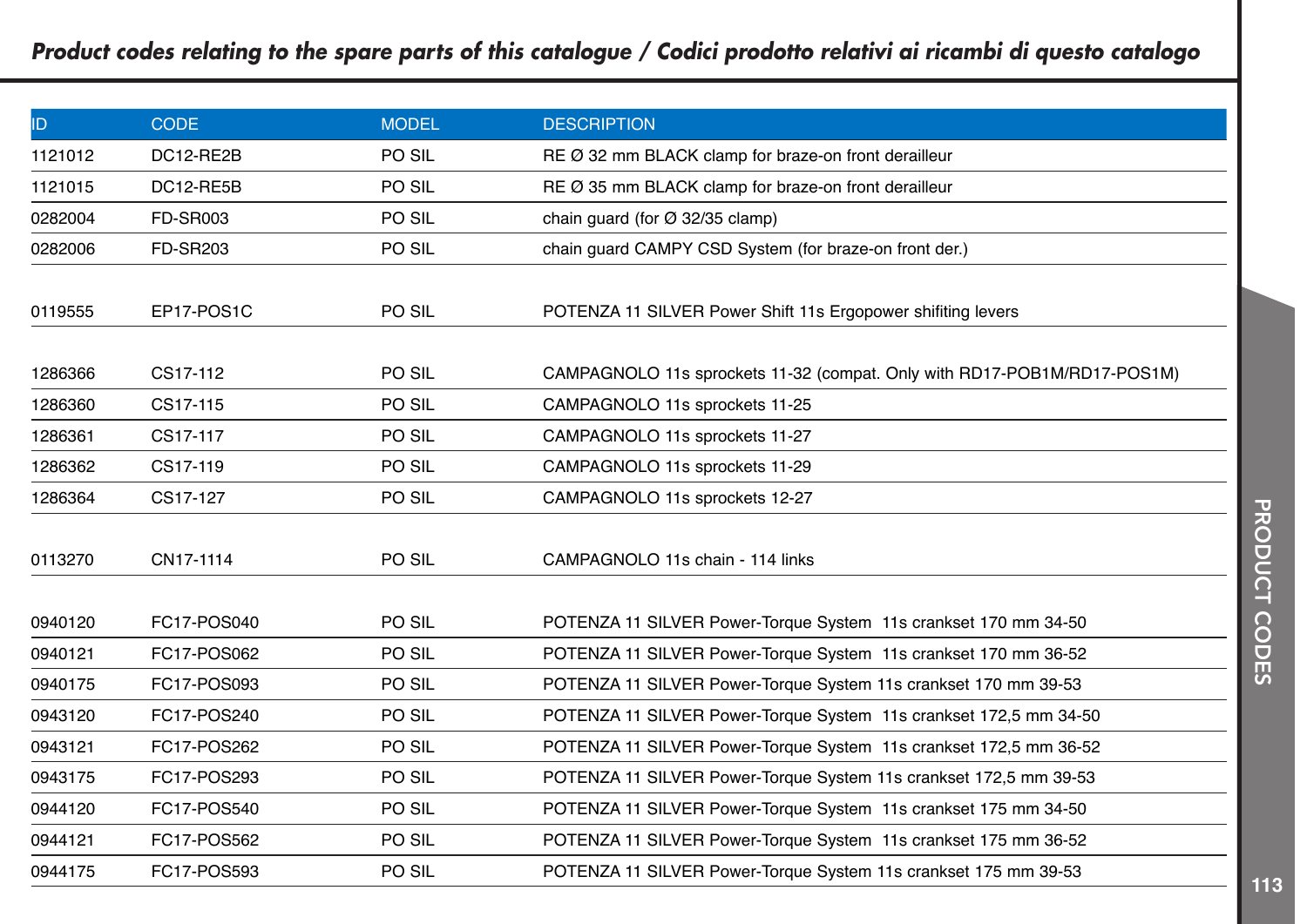| ID      | <b>CODE</b>     | <b>MODEL</b> | <b>DESCRIPTION</b>                                                       |
|---------|-----------------|--------------|--------------------------------------------------------------------------|
| 1121012 | DC12-RE2B       | PO SIL       | RE Ø 32 mm BLACK clamp for braze-on front derailleur                     |
| 1121015 | DC12-RE5B       | PO SIL       | RE Ø 35 mm BLACK clamp for braze-on front derailleur                     |
| 0282004 | <b>FD-SR003</b> | PO SIL       | chain guard (for $\varnothing$ 32/35 clamp)                              |
| 0282006 | <b>FD-SR203</b> | PO SIL       | chain guard CAMPY CSD System (for braze-on front der.)                   |
|         |                 |              |                                                                          |
| 0119555 | EP17-POS1C      | PO SIL       | POTENZA 11 SILVER Power Shift 11s Ergopower shifting levers              |
|         |                 |              |                                                                          |
| 1286366 | CS17-112        | PO SIL       | CAMPAGNOLO 11s sprockets 11-32 (compat. Only with RD17-POB1M/RD17-POS1M) |
| 1286360 | CS17-115        | PO SIL       | CAMPAGNOLO 11s sprockets 11-25                                           |
| 1286361 | CS17-117        | PO SIL       | CAMPAGNOLO 11s sprockets 11-27                                           |
| 1286362 | CS17-119        | PO SIL       | CAMPAGNOLO 11s sprockets 11-29                                           |
| 1286364 | CS17-127        | PO SIL       | CAMPAGNOLO 11s sprockets 12-27                                           |
|         |                 |              |                                                                          |
| 0113270 | CN17-1114       | PO SIL       | CAMPAGNOLO 11s chain - 114 links                                         |
|         |                 |              |                                                                          |
| 0940120 | FC17-POS040     | PO SIL       | POTENZA 11 SILVER Power-Torque System 11s crankset 170 mm 34-50          |
| 0940121 | FC17-POS062     | PO SIL       | POTENZA 11 SILVER Power-Torque System 11s crankset 170 mm 36-52          |
| 0940175 | FC17-POS093     | PO SIL       | POTENZA 11 SILVER Power-Torque System 11s crankset 170 mm 39-53          |
| 0943120 | FC17-POS240     | PO SIL       | POTENZA 11 SILVER Power-Torque System 11s crankset 172,5 mm 34-50        |
| 0943121 | FC17-POS262     | PO SIL       | POTENZA 11 SILVER Power-Torque System 11s crankset 172,5 mm 36-52        |
| 0943175 | FC17-POS293     | PO SIL       | POTENZA 11 SILVER Power-Torque System 11s crankset 172,5 mm 39-53        |
| 0944120 | FC17-POS540     | PO SIL       | POTENZA 11 SILVER Power-Torque System 11s crankset 175 mm 34-50          |
| 0944121 | FC17-POS562     | PO SIL       | POTENZA 11 SILVER Power-Torque System 11s crankset 175 mm 36-52          |
| 0944175 | FC17-POS593     | PO SIL       | POTENZA 11 SILVER Power-Torque System 11s crankset 175 mm 39-53          |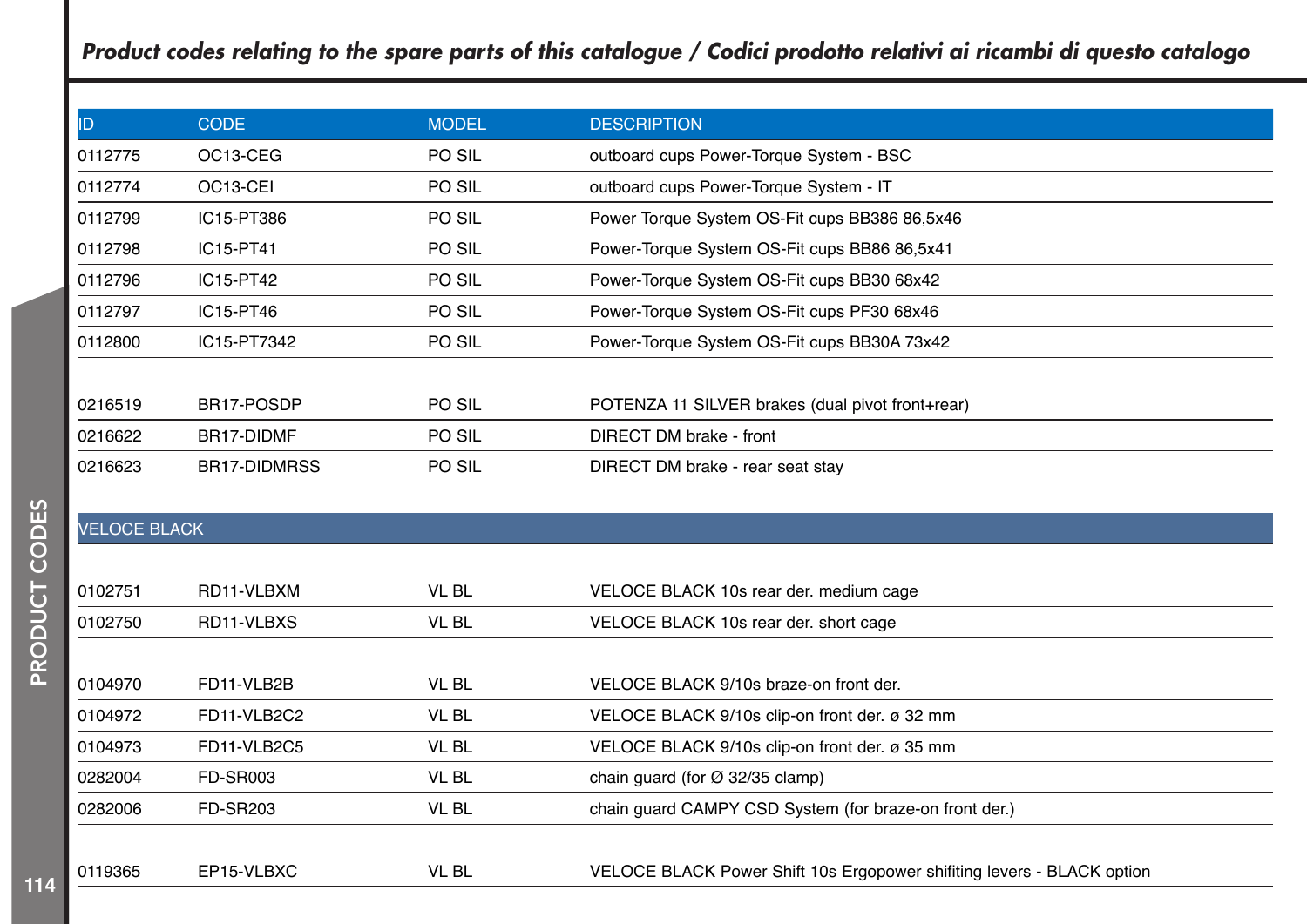| ID      | <b>CODE</b>           | <b>MODEL</b> | <b>DESCRIPTION</b>                               |  |
|---------|-----------------------|--------------|--------------------------------------------------|--|
| 0112775 | OC <sub>13</sub> -CEG | PO SIL       | outboard cups Power-Torque System - BSC          |  |
| 0112774 | OC <sub>13</sub> -CEI | PO SIL       | outboard cups Power-Torque System - IT           |  |
| 0112799 | IC15-PT386            | PO SIL       | Power Torque System OS-Fit cups BB386 86,5x46    |  |
| 0112798 | IC15-PT41             | PO SIL       | Power-Torque System OS-Fit cups BB86 86,5x41     |  |
| 0112796 | IC15-PT42             | PO SIL       | Power-Torque System OS-Fit cups BB30 68x42       |  |
| 0112797 | IC15-PT46             | PO SIL       | Power-Torque System OS-Fit cups PF30 68x46       |  |
| 0112800 | IC15-PT7342           | PO SIL       | Power-Torque System OS-Fit cups BB30A 73x42      |  |
|         |                       |              |                                                  |  |
| 0216519 | BR17-POSDP            | PO SIL       | POTENZA 11 SILVER brakes (dual pivot front+rear) |  |
| 0216622 | BR17-DIDMF            | PO SIL       | DIRECT DM brake - front                          |  |
| 0216623 | BR17-DIDMRSS          | PO SIL       | DIRECT DM brake - rear seat stay                 |  |
|         |                       |              |                                                  |  |

VELOCE BLACK

| 0102751 | RD11-VLBXM      | VL BL        | VELOCE BLACK 10s rear der. medium cage                                |
|---------|-----------------|--------------|-----------------------------------------------------------------------|
| 0102750 | RD11-VLBXS      | VL BL        | VELOCE BLACK 10s rear der. short cage                                 |
|         |                 |              |                                                                       |
| 0104970 | FD11-VLB2B      | VL BL        | VELOCE BLACK 9/10s braze-on front der.                                |
| 0104972 | FD11-VLB2C2     | VL BL        | VELOCE BLACK 9/10s clip-on front der. ø 32 mm                         |
| 0104973 | FD11-VLB2C5     | <b>VL BL</b> | VELOCE BLACK 9/10s clip-on front der. ø 35 mm                         |
| 0282004 | <b>FD-SR003</b> | <b>VL BL</b> | chain quard (for $\varnothing$ 32/35 clamp)                           |
| 0282006 | <b>FD-SR203</b> | <b>VL BL</b> | chain quard CAMPY CSD System (for braze-on front der.)                |
|         |                 |              |                                                                       |
| 0119365 | EP15-VLBXC      | VL BL        | VELOCE BLACK Power Shift 10s Ergopower shifting levers - BLACK option |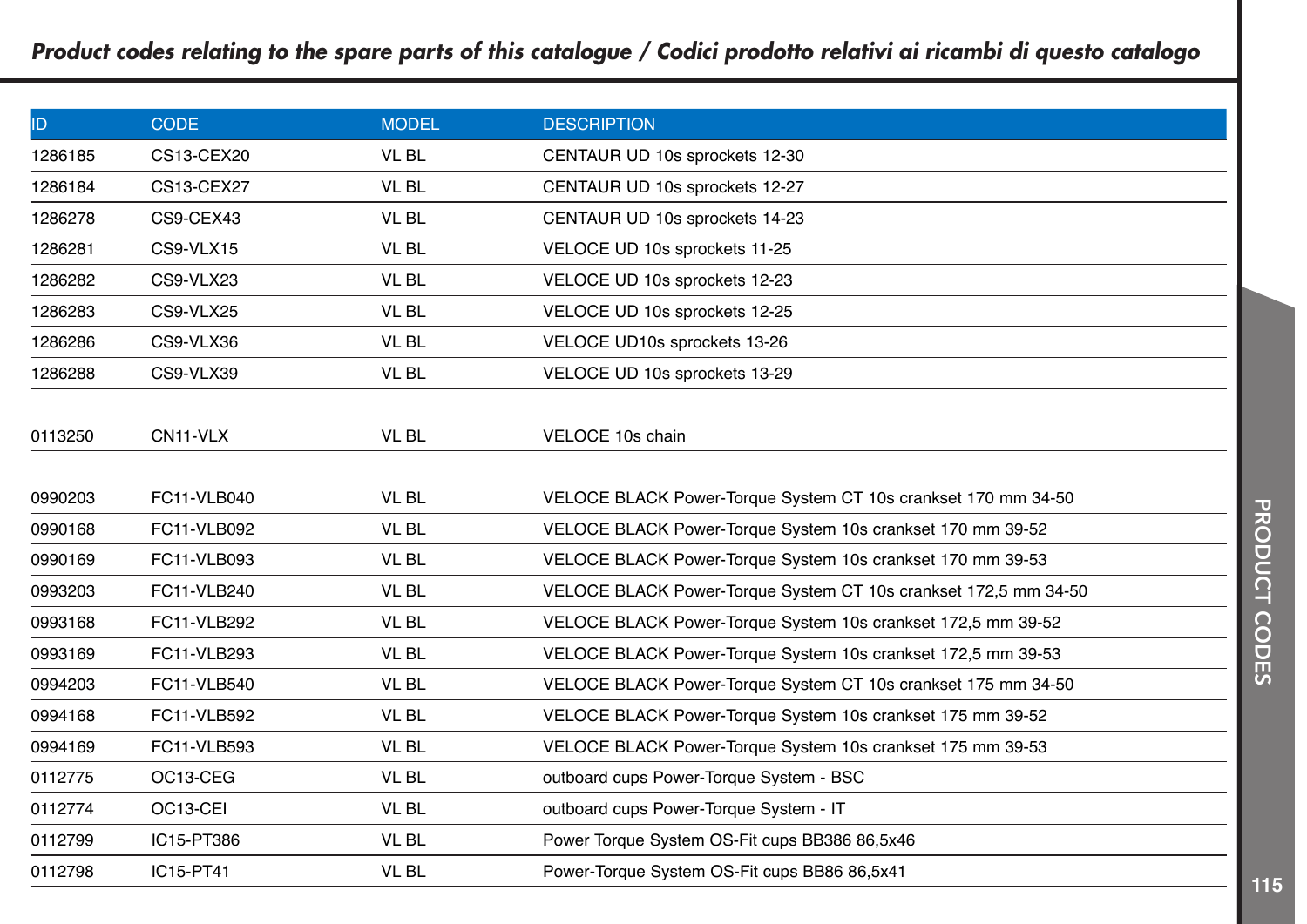| ID      | <b>CODE</b>       | <b>MODEL</b> | <b>DESCRIPTION</b>                                              |
|---------|-------------------|--------------|-----------------------------------------------------------------|
| 1286185 | <b>CS13-CEX20</b> | <b>VL BL</b> | CENTAUR UD 10s sprockets 12-30                                  |
| 1286184 | CS13-CEX27        | <b>VL BL</b> | CENTAUR UD 10s sprockets 12-27                                  |
| 1286278 | CS9-CEX43         | <b>VL BL</b> | CENTAUR UD 10s sprockets 14-23                                  |
| 1286281 | CS9-VLX15         | <b>VL BL</b> | VELOCE UD 10s sprockets 11-25                                   |
| 1286282 | CS9-VLX23         | <b>VL BL</b> | VELOCE UD 10s sprockets 12-23                                   |
| 1286283 | CS9-VLX25         | <b>VL BL</b> | VELOCE UD 10s sprockets 12-25                                   |
| 1286286 | CS9-VLX36         | VL BL        | VELOCE UD10s sprockets 13-26                                    |
| 1286288 | CS9-VLX39         | <b>VL BL</b> | VELOCE UD 10s sprockets 13-29                                   |
|         |                   |              |                                                                 |
| 0113250 | CN11-VLX          | VL BL        | VELOCE 10s chain                                                |
|         |                   |              |                                                                 |
| 0990203 | FC11-VLB040       | <b>VL BL</b> | VELOCE BLACK Power-Torque System CT 10s crankset 170 mm 34-50   |
| 0990168 | FC11-VLB092       | VL BL        | VELOCE BLACK Power-Torque System 10s crankset 170 mm 39-52      |
| 0990169 | FC11-VLB093       | <b>VL BL</b> | VELOCE BLACK Power-Torque System 10s crankset 170 mm 39-53      |
| 0993203 | FC11-VLB240       | <b>VL BL</b> | VELOCE BLACK Power-Torque System CT 10s crankset 172,5 mm 34-50 |
| 0993168 | FC11-VLB292       | <b>VL BL</b> | VELOCE BLACK Power-Torque System 10s crankset 172,5 mm 39-52    |
| 0993169 | FC11-VLB293       | <b>VL BL</b> | VELOCE BLACK Power-Torque System 10s crankset 172,5 mm 39-53    |
| 0994203 | FC11-VLB540       | <b>VL BL</b> | VELOCE BLACK Power-Torque System CT 10s crankset 175 mm 34-50   |
| 0994168 | FC11-VLB592       | VL BL        | VELOCE BLACK Power-Torque System 10s crankset 175 mm 39-52      |
| 0994169 | FC11-VLB593       | VL BL        | VELOCE BLACK Power-Torque System 10s crankset 175 mm 39-53      |
| 0112775 | OC13-CEG          | <b>VL BL</b> | outboard cups Power-Torque System - BSC                         |
| 0112774 | OC13-CEI          | VL BL        | outboard cups Power-Torque System - IT                          |
| 0112799 | IC15-PT386        | VL BL        | Power Torque System OS-Fit cups BB386 86,5x46                   |
| 0112798 | IC15-PT41         | VL BL        | Power-Torque System OS-Fit cups BB86 86,5x41                    |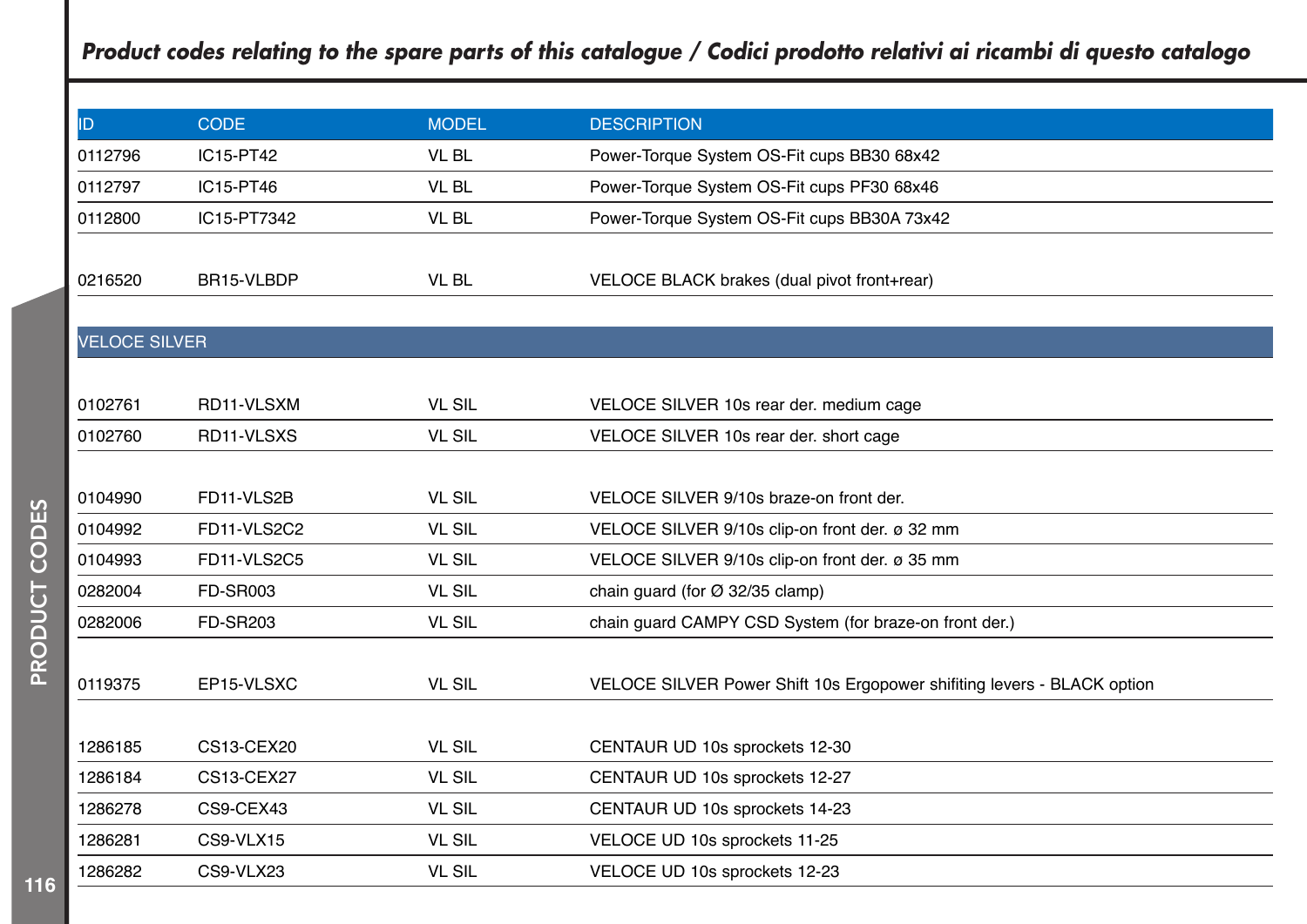| ID                   | <b>CODE</b>       | <b>MODEL</b>  | <b>DESCRIPTION</b>                                                     |
|----------------------|-------------------|---------------|------------------------------------------------------------------------|
| 0112796              | IC15-PT42         | VL BL         | Power-Torque System OS-Fit cups BB30 68x42                             |
| 0112797              | IC15-PT46         | <b>VL BL</b>  | Power-Torque System OS-Fit cups PF30 68x46                             |
| 0112800              | IC15-PT7342       | VL BL         | Power-Torque System OS-Fit cups BB30A 73x42                            |
|                      |                   |               |                                                                        |
| 0216520              | BR15-VLBDP        | VL BL         | VELOCE BLACK brakes (dual pivot front+rear)                            |
|                      |                   |               |                                                                        |
| <b>VELOCE SILVER</b> |                   |               |                                                                        |
|                      |                   |               |                                                                        |
| 0102761              | RD11-VLSXM        | <b>VL SIL</b> | VELOCE SILVER 10s rear der. medium cage                                |
| 0102760              | RD11-VLSXS        | <b>VL SIL</b> | VELOCE SILVER 10s rear der. short cage                                 |
|                      |                   |               |                                                                        |
| 0104990              | FD11-VLS2B        | <b>VL SIL</b> | VELOCE SILVER 9/10s braze-on front der.                                |
| 0104992              | FD11-VLS2C2       | <b>VL SIL</b> | VELOCE SILVER 9/10s clip-on front der. ø 32 mm                         |
| 0104993              | FD11-VLS2C5       | <b>VL SIL</b> | VELOCE SILVER 9/10s clip-on front der. ø 35 mm                         |
| 0282004              | <b>FD-SR003</b>   | <b>VL SIL</b> | chain guard (for Ø 32/35 clamp)                                        |
| 0282006              | <b>FD-SR203</b>   | <b>VL SIL</b> | chain guard CAMPY CSD System (for braze-on front der.)                 |
|                      |                   |               |                                                                        |
| 0119375              | EP15-VLSXC        | <b>VL SIL</b> | VELOCE SILVER Power Shift 10s Ergopower shifting levers - BLACK option |
|                      |                   |               |                                                                        |
| 1286185              | <b>CS13-CEX20</b> | <b>VL SIL</b> | CENTAUR UD 10s sprockets 12-30                                         |
| 1286184              | <b>CS13-CEX27</b> | <b>VL SIL</b> | CENTAUR UD 10s sprockets 12-27                                         |
| 1286278              | CS9-CEX43         | <b>VL SIL</b> | CENTAUR UD 10s sprockets 14-23                                         |
| 1286281              | CS9-VLX15         | <b>VL SIL</b> | VELOCE UD 10s sprockets 11-25                                          |
| 1286282              | CS9-VLX23         | <b>VL SIL</b> | VELOCE UD 10s sprockets 12-23                                          |
|                      |                   |               |                                                                        |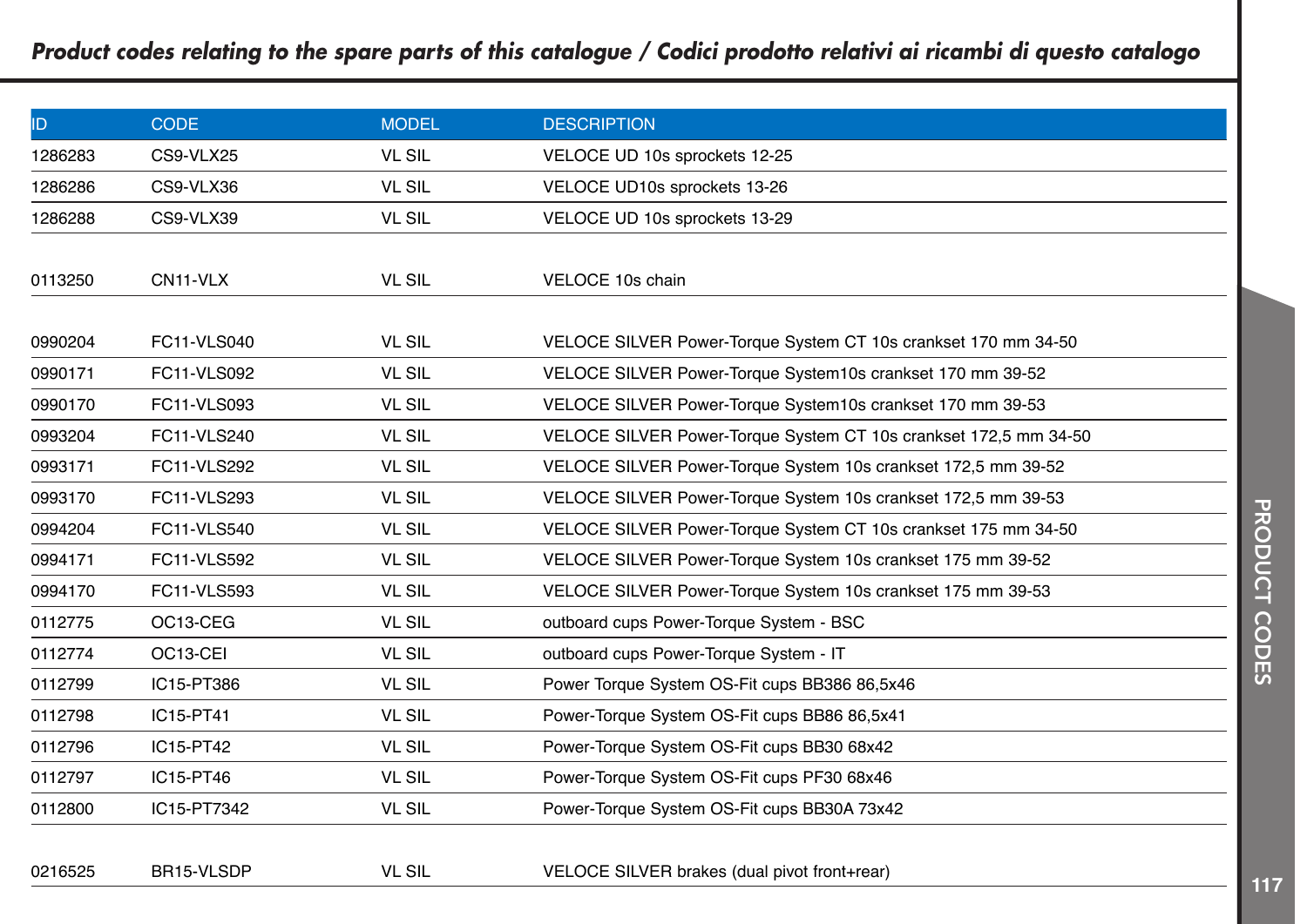| ID      | <b>CODE</b>        | <b>MODEL</b>  | <b>DESCRIPTION</b>                                               |
|---------|--------------------|---------------|------------------------------------------------------------------|
| 1286283 | CS9-VLX25          | <b>VL SIL</b> | VELOCE UD 10s sprockets 12-25                                    |
| 1286286 | CS9-VLX36          | <b>VL SIL</b> | VELOCE UD10s sprockets 13-26                                     |
| 1286288 | CS9-VLX39          | <b>VL SIL</b> | VELOCE UD 10s sprockets 13-29                                    |
|         |                    |               |                                                                  |
| 0113250 | CN11-VLX           | <b>VL SIL</b> | VELOCE 10s chain                                                 |
|         |                    |               |                                                                  |
| 0990204 | <b>FC11-VLS040</b> | <b>VL SIL</b> | VELOCE SILVER Power-Torque System CT 10s crankset 170 mm 34-50   |
| 0990171 | <b>FC11-VLS092</b> | <b>VL SIL</b> | VELOCE SILVER Power-Torque System10s crankset 170 mm 39-52       |
| 0990170 | FC11-VLS093        | <b>VL SIL</b> | VELOCE SILVER Power-Torque System10s crankset 170 mm 39-53       |
| 0993204 | <b>FC11-VLS240</b> | <b>VL SIL</b> | VELOCE SILVER Power-Torque System CT 10s crankset 172,5 mm 34-50 |
| 0993171 | <b>FC11-VLS292</b> | <b>VL SIL</b> | VELOCE SILVER Power-Torque System 10s crankset 172,5 mm 39-52    |
| 0993170 | FC11-VLS293        | <b>VL SIL</b> | VELOCE SILVER Power-Torque System 10s crankset 172,5 mm 39-53    |
| 0994204 | <b>FC11-VLS540</b> | <b>VL SIL</b> | VELOCE SILVER Power-Torque System CT 10s crankset 175 mm 34-50   |
| 0994171 | <b>FC11-VLS592</b> | <b>VL SIL</b> | VELOCE SILVER Power-Torque System 10s crankset 175 mm 39-52      |
| 0994170 | FC11-VLS593        | <b>VL SIL</b> | VELOCE SILVER Power-Torque System 10s crankset 175 mm 39-53      |
| 0112775 | OC13-CEG           | <b>VL SIL</b> | outboard cups Power-Torque System - BSC                          |
| 0112774 | OC13-CEI           | <b>VL SIL</b> | outboard cups Power-Torque System - IT                           |
| 0112799 | IC15-PT386         | <b>VL SIL</b> | Power Torque System OS-Fit cups BB386 86,5x46                    |
| 0112798 | IC15-PT41          | <b>VL SIL</b> | Power-Torque System OS-Fit cups BB86 86,5x41                     |
| 0112796 | IC15-PT42          | <b>VL SIL</b> | Power-Torque System OS-Fit cups BB30 68x42                       |
| 0112797 | IC15-PT46          | <b>VL SIL</b> | Power-Torque System OS-Fit cups PF30 68x46                       |
| 0112800 | IC15-PT7342        | <b>VL SIL</b> | Power-Torque System OS-Fit cups BB30A 73x42                      |
|         |                    |               |                                                                  |
| 0216525 | BR15-VLSDP         | <b>VL SIL</b> | VELOCE SILVER brakes (dual pivot front+rear)                     |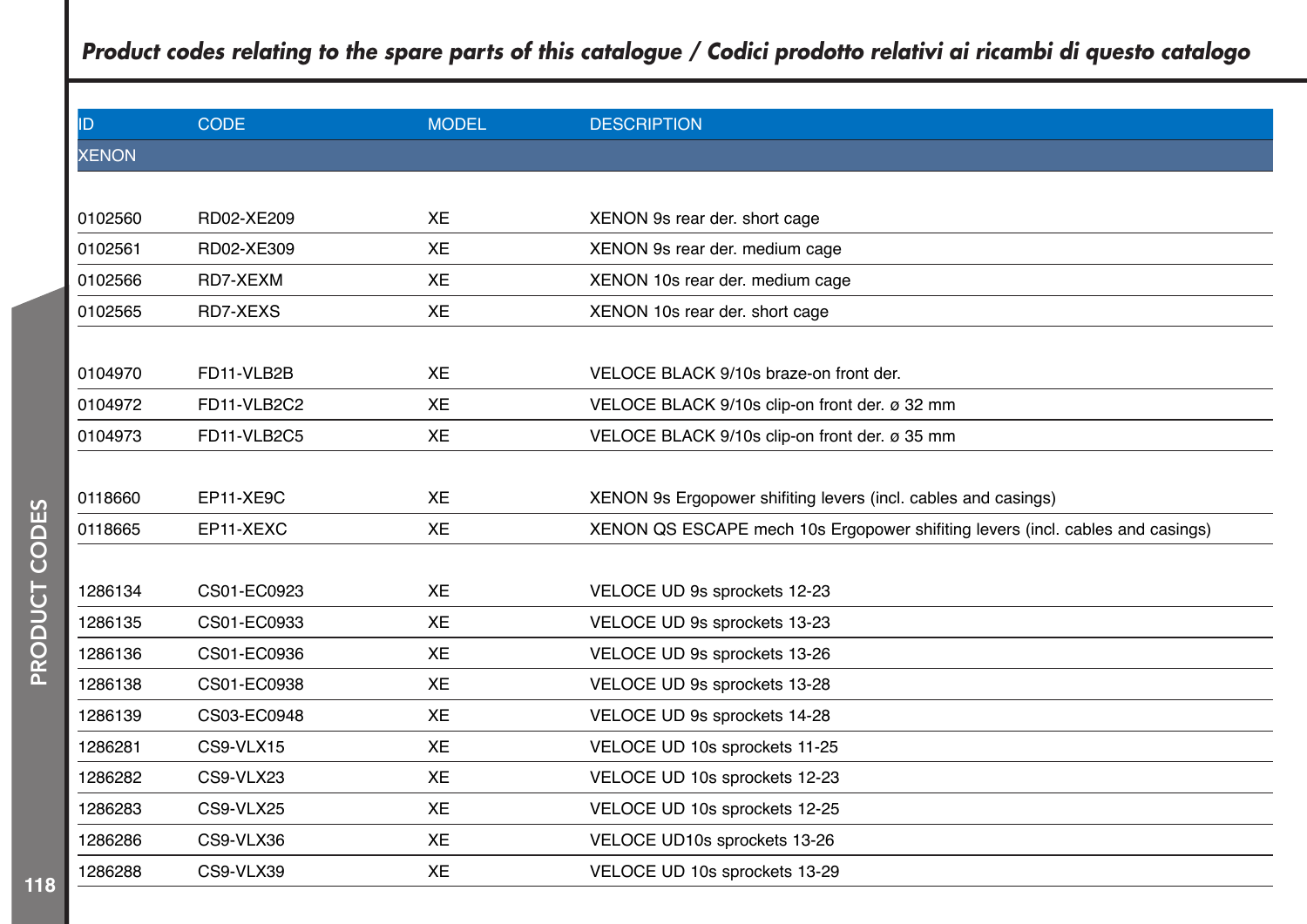|              |             |              | Product codes relating to the spare parts of this catalogue / Codici prodotto relativi ai ricambi di questo catalogo |
|--------------|-------------|--------------|----------------------------------------------------------------------------------------------------------------------|
| ID           | <b>CODE</b> | <b>MODEL</b> | <b>DESCRIPTION</b>                                                                                                   |
| <b>XENON</b> |             |              |                                                                                                                      |
|              |             |              |                                                                                                                      |
| 0102560      | RD02-XE209  | XE           | XENON 9s rear der. short cage                                                                                        |
| 0102561      | RD02-XE309  | XE           | XENON 9s rear der. medium cage                                                                                       |
| 0102566      | RD7-XEXM    | XE           | XENON 10s rear der. medium cage                                                                                      |
| 0102565      | RD7-XEXS    | XE           | XENON 10s rear der. short cage                                                                                       |
|              |             |              |                                                                                                                      |
| 0104970      | FD11-VLB2B  | XE           | VELOCE BLACK 9/10s braze-on front der.                                                                               |
| 0104972      | FD11-VLB2C2 | XE           | VELOCE BLACK 9/10s clip-on front der. ø 32 mm                                                                        |
| 0104973      | FD11-VLB2C5 | XE           | VELOCE BLACK 9/10s clip-on front der. ø 35 mm                                                                        |
|              |             |              |                                                                                                                      |
| 0118660      | EP11-XE9C   | XE           | XENON 9s Ergopower shifting levers (incl. cables and casings)                                                        |
| 0118665      | EP11-XEXC   | XE           | XENON QS ESCAPE mech 10s Ergopower shifting levers (incl. cables and casings)                                        |
|              |             |              |                                                                                                                      |
| 1286134      | CS01-EC0923 | <b>XE</b>    | VELOCE UD 9s sprockets 12-23                                                                                         |
| 1286135      | CS01-EC0933 | XE           | VELOCE UD 9s sprockets 13-23                                                                                         |
| 1286136      | CS01-EC0936 | XE           | VELOCE UD 9s sprockets 13-26                                                                                         |
| 1286138      | CS01-EC0938 | XE           | VELOCE UD 9s sprockets 13-28                                                                                         |
| 1286139      | CS03-EC0948 | XE           | VELOCE UD 9s sprockets 14-28                                                                                         |
| 1286281      | CS9-VLX15   | XE           | VELOCE UD 10s sprockets 11-25                                                                                        |
| 1286282      | CS9-VLX23   | XE           | VELOCE UD 10s sprockets 12-23                                                                                        |
| 1286283      | CS9-VLX25   | XE           | VELOCE UD 10s sprockets 12-25                                                                                        |
| 1286286      | CS9-VLX36   | XE           | VELOCE UD10s sprockets 13-26                                                                                         |
| 1286288      | CS9-VLX39   | XE           | VELOCE UD 10s sprockets 13-29                                                                                        |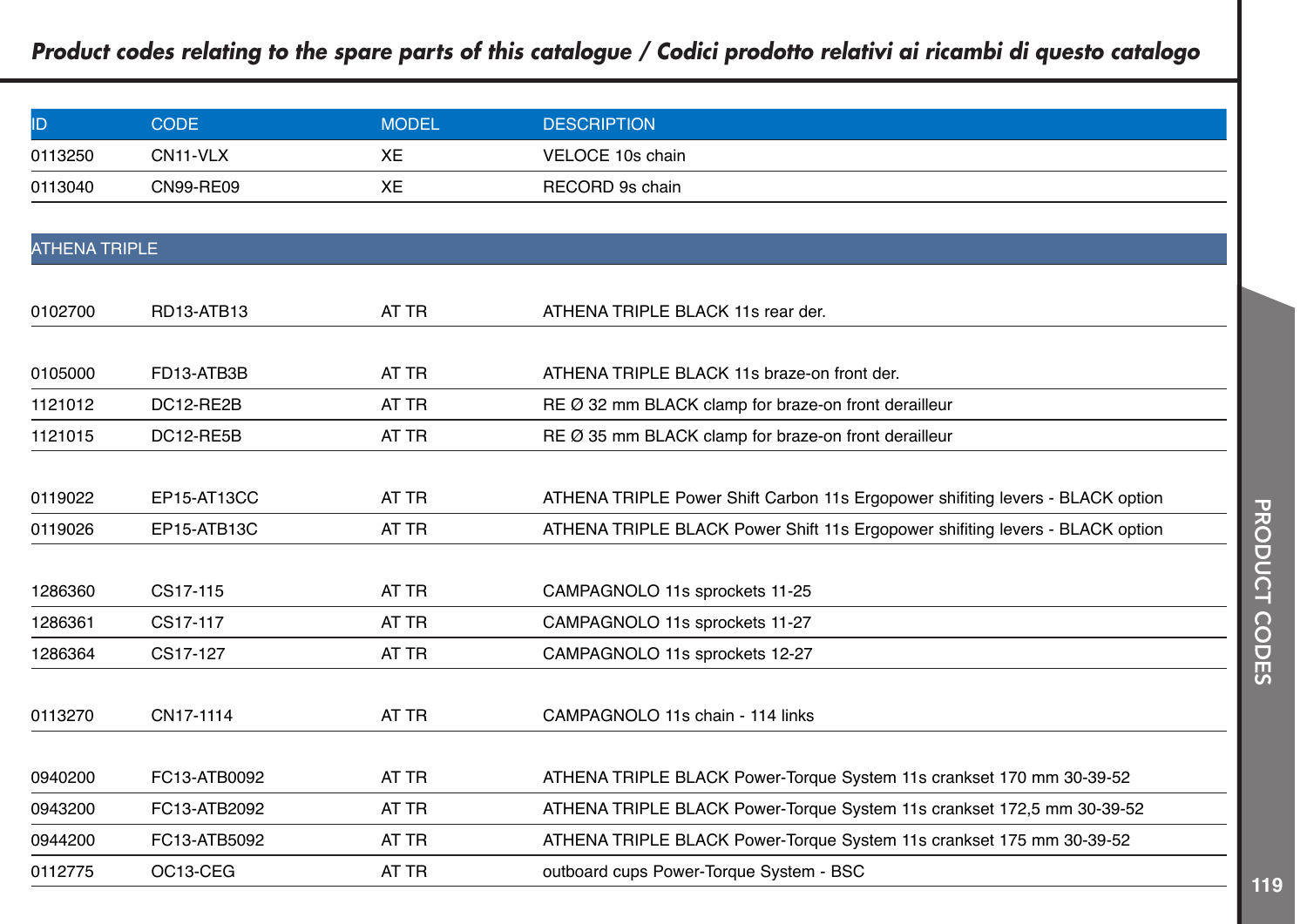| ID                   | <b>CODE</b>      | <b>MODEL</b> | <b>DESCRIPTION</b>                                                            |
|----------------------|------------------|--------------|-------------------------------------------------------------------------------|
| 0113250              | CN11-VLX         | XE           | VELOCE 10s chain                                                              |
| 0113040              | <b>CN99-RE09</b> | XE           | RECORD 9s chain                                                               |
|                      |                  |              |                                                                               |
| <b>ATHENA TRIPLE</b> |                  |              |                                                                               |
|                      |                  |              |                                                                               |
| 0102700              | RD13-ATB13       | AT TR        | ATHENA TRIPLE BLACK 11s rear der.                                             |
|                      |                  |              |                                                                               |
| 0105000              | FD13-ATB3B       | AT TR        | ATHENA TRIPLE BLACK 11s braze-on front der.                                   |
| 1121012              | DC12-RE2B        | AT TR        | RE Ø 32 mm BLACK clamp for braze-on front derailleur                          |
| 1121015              | DC12-RE5B        | AT TR        | RE Ø 35 mm BLACK clamp for braze-on front derailleur                          |
|                      |                  |              |                                                                               |
| 0119022              | EP15-AT13CC      | AT TR        | ATHENA TRIPLE Power Shift Carbon 11s Ergopower shifting levers - BLACK option |
| 0119026              | EP15-ATB13C      | AT TR        | ATHENA TRIPLE BLACK Power Shift 11s Ergopower shifting levers - BLACK option  |
|                      |                  |              |                                                                               |
| 1286360              | CS17-115         | AT TR        | CAMPAGNOLO 11s sprockets 11-25                                                |
| 1286361              | CS17-117         | AT TR        | CAMPAGNOLO 11s sprockets 11-27                                                |
| 1286364              | CS17-127         | AT TR        | CAMPAGNOLO 11s sprockets 12-27                                                |
|                      |                  |              |                                                                               |
| 0113270              | CN17-1114        | AT TR        | CAMPAGNOLO 11s chain - 114 links                                              |
|                      |                  |              |                                                                               |
| 0940200              | FC13-ATB0092     | AT TR        | ATHENA TRIPLE BLACK Power-Torque System 11s crankset 170 mm 30-39-52          |
| 0943200              | FC13-ATB2092     | AT TR        | ATHENA TRIPLE BLACK Power-Torque System 11s crankset 172,5 mm 30-39-52        |
| 0944200              | FC13-ATB5092     | AT TR        | ATHENA TRIPLE BLACK Power-Torque System 11s crankset 175 mm 30-39-52          |
| 0112775              | OC13-CEG         | AT TR        | outboard cups Power-Torque System - BSC                                       |
|                      |                  |              |                                                                               |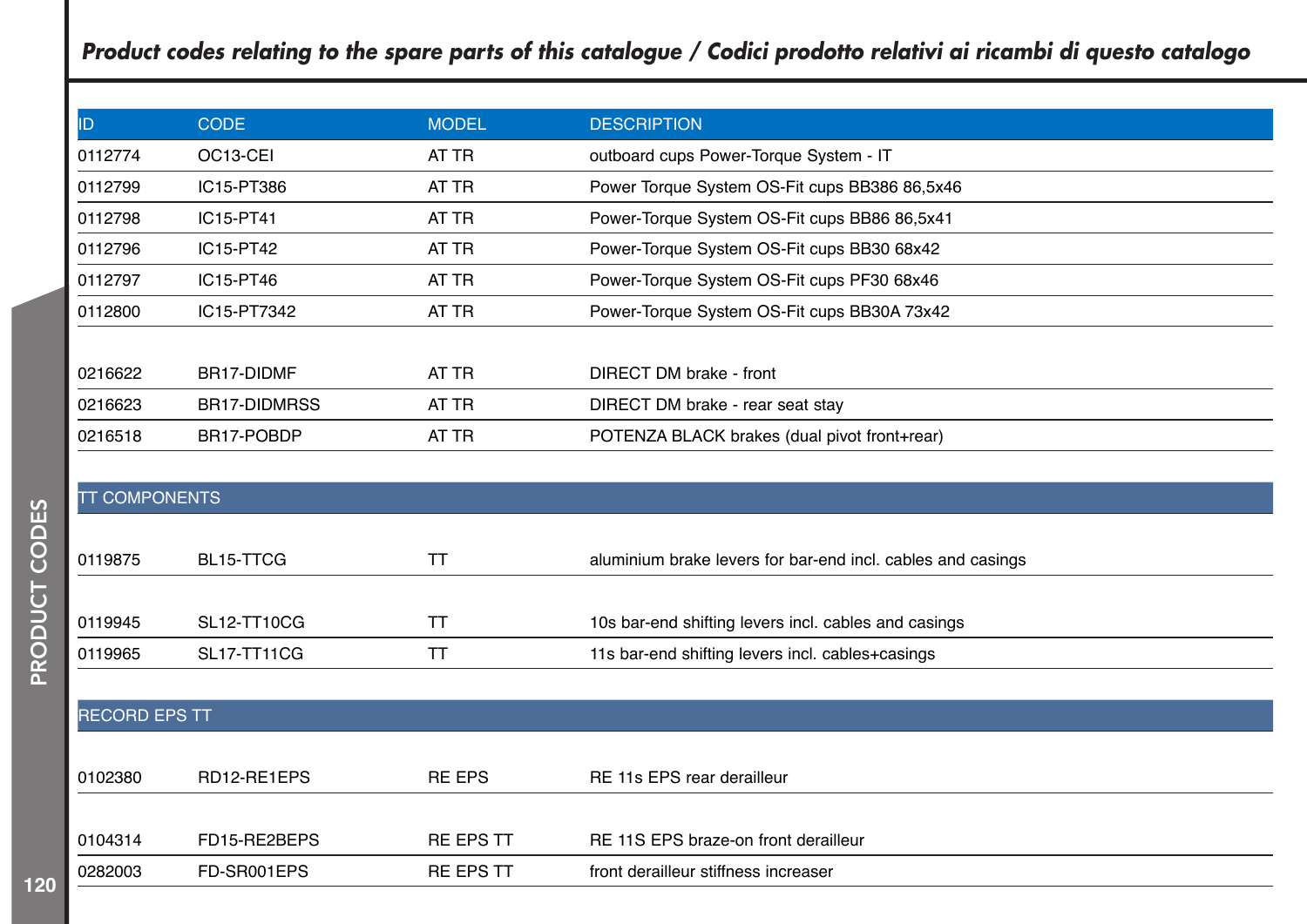| ID.                  | <b>CODE</b>         | <b>MODEL</b>     | <b>DESCRIPTION</b>                                          |
|----------------------|---------------------|------------------|-------------------------------------------------------------|
| 0112774              | OC13-CEI            | AT TR            | outboard cups Power-Torque System - IT                      |
| 0112799              | IC15-PT386          | AT TR            | Power Torque System OS-Fit cups BB386 86,5x46               |
| 0112798              | IC15-PT41           | AT TR            | Power-Torque System OS-Fit cups BB86 86,5x41                |
| 0112796              | IC15-PT42           | AT TR            | Power-Torque System OS-Fit cups BB30 68x42                  |
| 0112797              | IC15-PT46           | AT TR            | Power-Torque System OS-Fit cups PF30 68x46                  |
| 0112800              | IC15-PT7342         | AT TR            | Power-Torque System OS-Fit cups BB30A 73x42                 |
|                      |                     |                  |                                                             |
| 0216622              | BR17-DIDMF          | AT TR            | DIRECT DM brake - front                                     |
| 0216623              | <b>BR17-DIDMRSS</b> | AT TR            | DIRECT DM brake - rear seat stay                            |
| 0216518              | BR17-POBDP          | AT TR            | POTENZA BLACK brakes (dual pivot front+rear)                |
|                      |                     |                  |                                                             |
| <b>TT COMPONENTS</b> |                     |                  |                                                             |
|                      |                     |                  |                                                             |
| 0119875              | BL15-TTCG           | <b>TT</b>        | aluminium brake levers for bar-end incl. cables and casings |
|                      |                     |                  |                                                             |
| 0119945              | <b>SL12-TT10CG</b>  | <b>TT</b>        | 10s bar-end shifting levers incl. cables and casings        |
| 0119965              | <b>SL17-TT11CG</b>  | <b>TT</b>        | 11s bar-end shifting levers incl. cables+casings            |
|                      |                     |                  |                                                             |
| <b>RECORD EPS TT</b> |                     |                  |                                                             |
|                      |                     |                  |                                                             |
| 0102380              | RD12-RE1EPS         | <b>RE EPS</b>    | RE 11s EPS rear derailleur                                  |
|                      |                     |                  |                                                             |
| 0104314              | FD15-RE2BEPS        | <b>RE EPS TT</b> | RE 11S EPS braze-on front derailleur                        |
| 0282003              | FD-SR001EPS         | <b>RE EPS TT</b> | front derailleur stiffness increaser                        |
|                      |                     |                  |                                                             |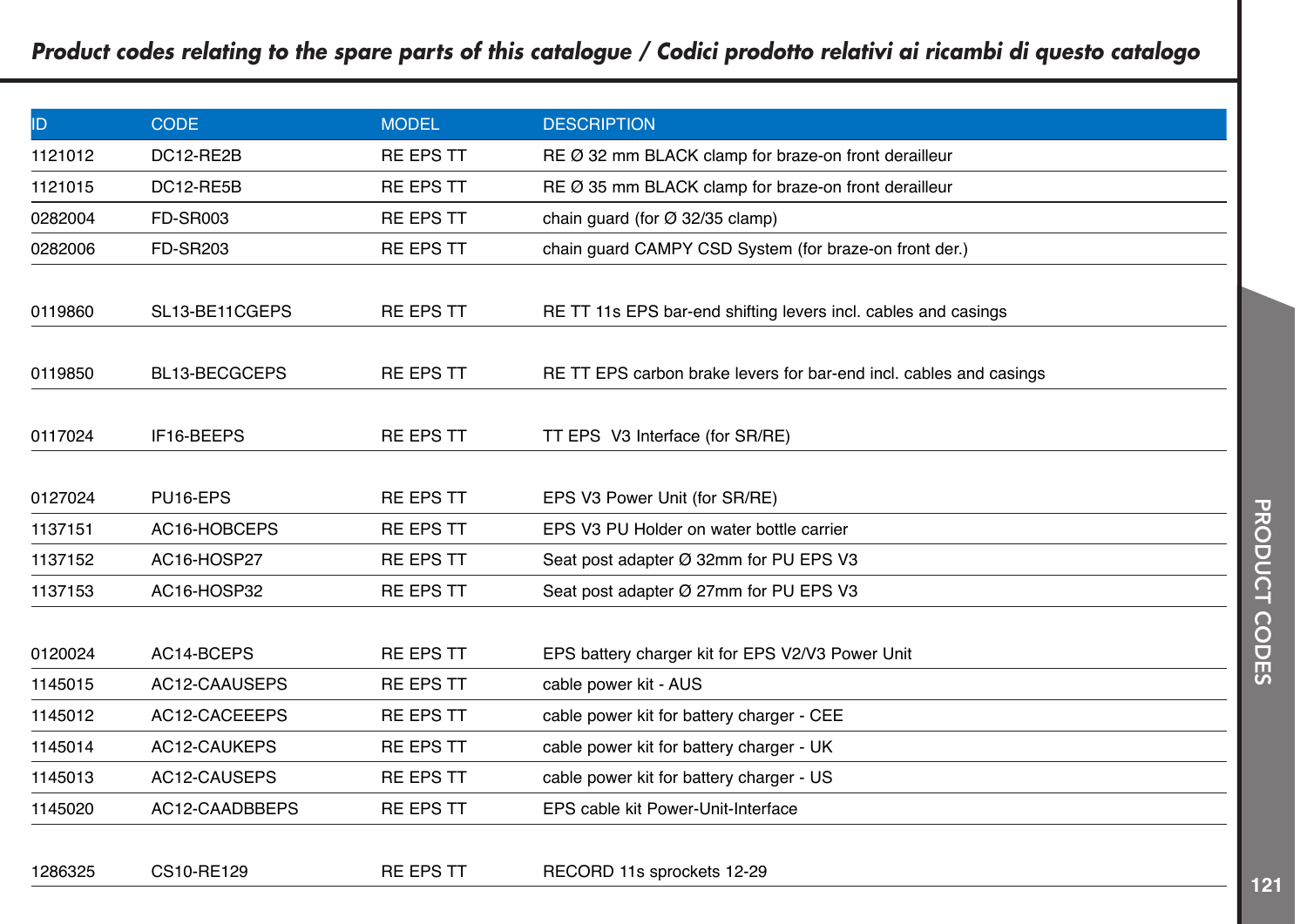| ID      | <b>CODE</b>     | <b>MODEL</b>     | <b>DESCRIPTION</b>                                                 |
|---------|-----------------|------------------|--------------------------------------------------------------------|
| 1121012 | DC12-RE2B       | <b>RE EPS TT</b> | RE Ø 32 mm BLACK clamp for braze-on front derailleur               |
| 1121015 | DC12-RE5B       | <b>RE EPS TT</b> | RE Ø 35 mm BLACK clamp for braze-on front derailleur               |
| 0282004 | <b>FD-SR003</b> | <b>RE EPS TT</b> | chain guard (for $\varnothing$ 32/35 clamp)                        |
| 0282006 | <b>FD-SR203</b> | <b>RE EPS TT</b> | chain quard CAMPY CSD System (for braze-on front der.)             |
| 0119860 | SL13-BE11CGEPS  | <b>RE EPS TT</b> | RE TT 11s EPS bar-end shifting levers incl. cables and casings     |
| 0119850 | BL13-BECGCEPS   | <b>RE EPS TT</b> | RE TT EPS carbon brake levers for bar-end incl. cables and casings |
| 0117024 | IF16-BEEPS      | <b>RE EPS TT</b> | TT EPS V3 Interface (for SR/RE)                                    |
| 0127024 | PU16-EPS        | <b>RE EPS TT</b> | EPS V3 Power Unit (for SR/RE)                                      |
| 1137151 | AC16-HOBCEPS    | <b>RE EPS TT</b> | EPS V3 PU Holder on water bottle carrier                           |
| 1137152 | AC16-HOSP27     | <b>RE EPS TT</b> | Seat post adapter Ø 32mm for PU EPS V3                             |
| 1137153 | AC16-HOSP32     | <b>RE EPS TT</b> | Seat post adapter Ø 27mm for PU EPS V3                             |
| 0120024 | AC14-BCEPS      | <b>RE EPS TT</b> | EPS battery charger kit for EPS V2/V3 Power Unit                   |
| 1145015 | AC12-CAAUSEPS   | <b>RE EPS TT</b> | cable power kit - AUS                                              |
| 1145012 | AC12-CACEEEPS   | <b>RE EPS TT</b> | cable power kit for battery charger - CEE                          |
| 1145014 | AC12-CAUKEPS    | <b>RE EPS TT</b> | cable power kit for battery charger - UK                           |
| 1145013 | AC12-CAUSEPS    | <b>RE EPS TT</b> | cable power kit for battery charger - US                           |
| 1145020 | AC12-CAADBBEPS  | <b>RE EPS TT</b> | EPS cable kit Power-Unit-Interface                                 |
| 1286325 | CS10-RE129      | <b>RE EPS TT</b> | RECORD 11s sprockets 12-29                                         |

**PRODUCT CODES** PRODUCT CODES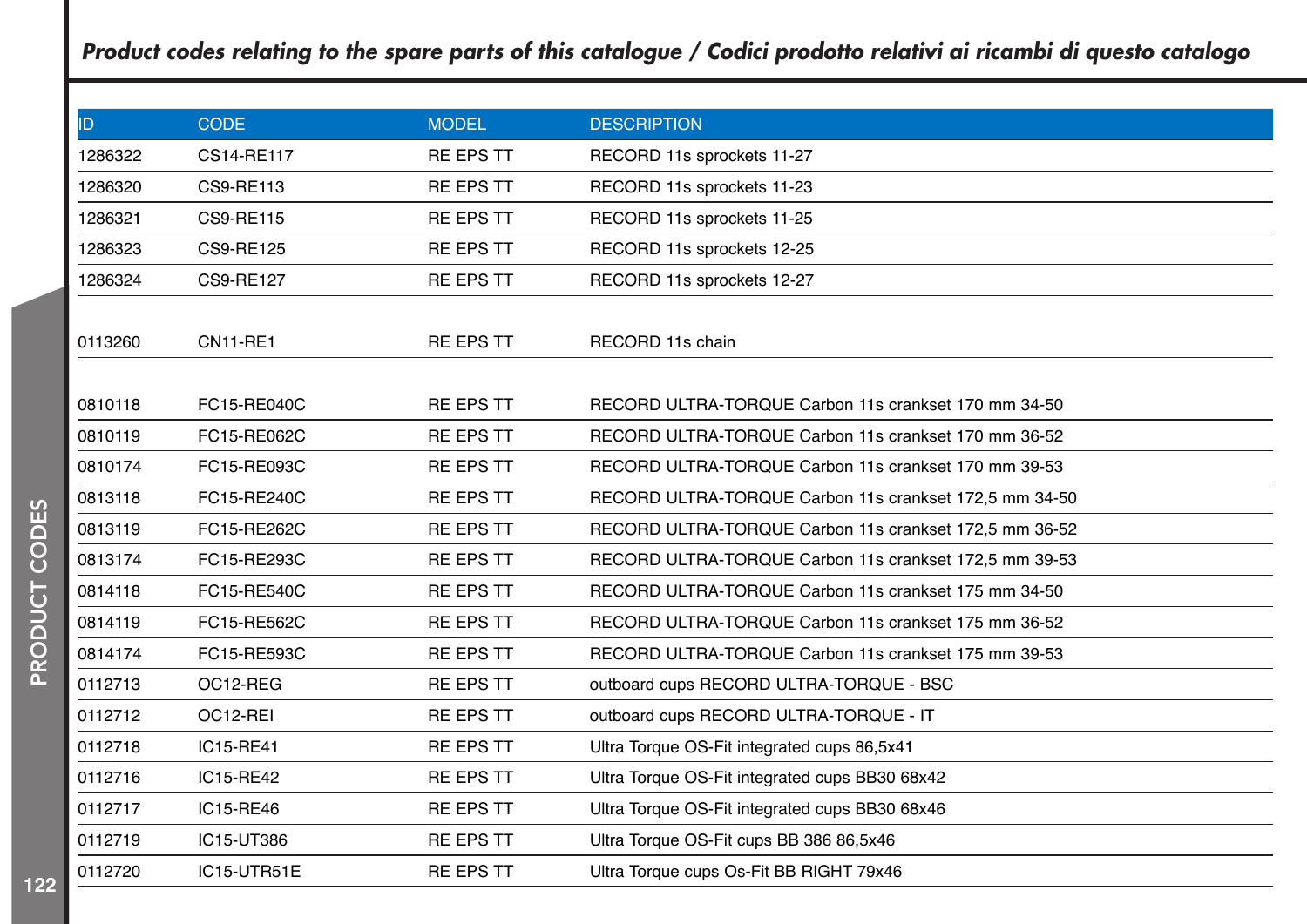| ID      | <b>CODE</b>      | <b>MODEL</b>     | <b>DESCRIPTION</b>                                     |
|---------|------------------|------------------|--------------------------------------------------------|
| 1286322 | CS14-RE117       | <b>RE EPS TT</b> | RECORD 11s sprockets 11-27                             |
| 1286320 | <b>CS9-RE113</b> | <b>RE EPS TT</b> | RECORD 11s sprockets 11-23                             |
| 1286321 | <b>CS9-RE115</b> | <b>RE EPS TT</b> | RECORD 11s sprockets 11-25                             |
| 1286323 | <b>CS9-RE125</b> | <b>RE EPS TT</b> | RECORD 11s sprockets 12-25                             |
| 1286324 | <b>CS9-RE127</b> | <b>RE EPS TT</b> | RECORD 11s sprockets 12-27                             |
|         |                  |                  |                                                        |
| 0113260 | <b>CN11-RE1</b>  | <b>RE EPS TT</b> | RECORD 11s chain                                       |
|         |                  |                  |                                                        |
| 0810118 | FC15-RE040C      | <b>RE EPS TT</b> | RECORD ULTRA-TORQUE Carbon 11s crankset 170 mm 34-50   |
| 0810119 | FC15-RE062C      | <b>RE EPS TT</b> | RECORD ULTRA-TORQUE Carbon 11s crankset 170 mm 36-52   |
| 0810174 | FC15-RE093C      | <b>RE EPS TT</b> | RECORD ULTRA-TORQUE Carbon 11s crankset 170 mm 39-53   |
| 0813118 | FC15-RE240C      | <b>RE EPS TT</b> | RECORD ULTRA-TORQUE Carbon 11s crankset 172,5 mm 34-50 |
| 0813119 | FC15-RE262C      | <b>RE EPS TT</b> | RECORD ULTRA-TORQUE Carbon 11s crankset 172,5 mm 36-52 |
| 0813174 | FC15-RE293C      | <b>RE EPS TT</b> | RECORD ULTRA-TORQUE Carbon 11s crankset 172,5 mm 39-53 |
| 0814118 | FC15-RE540C      | <b>RE EPS TT</b> | RECORD ULTRA-TORQUE Carbon 11s crankset 175 mm 34-50   |
| 0814119 | FC15-RE562C      | <b>RE EPS TT</b> | RECORD ULTRA-TORQUE Carbon 11s crankset 175 mm 36-52   |
| 0814174 | FC15-RE593C      | <b>RE EPS TT</b> | RECORD ULTRA-TORQUE Carbon 11s crankset 175 mm 39-53   |
| 0112713 | OC12-REG         | <b>RE EPS TT</b> | outboard cups RECORD ULTRA-TORQUE - BSC                |
| 0112712 | OC12-REI         | <b>RE EPS TT</b> | outboard cups RECORD ULTRA-TORQUE - IT                 |
| 0112718 | IC15-RE41        | <b>RE EPS TT</b> | Ultra Torque OS-Fit integrated cups 86,5x41            |
| 0112716 | IC15-RE42        | <b>RE EPS TT</b> | Ultra Torque OS-Fit integrated cups BB30 68x42         |
| 0112717 | IC15-RE46        | <b>RE EPS TT</b> | Ultra Torque OS-Fit integrated cups BB30 68x46         |
| 0112719 | IC15-UT386       | <b>RE EPS TT</b> | Ultra Torque OS-Fit cups BB 386 86,5x46                |
| 0112720 | IC15-UTR51E      | <b>RE EPS TT</b> | Ultra Torque cups Os-Fit BB RIGHT 79x46                |
|         |                  |                  |                                                        |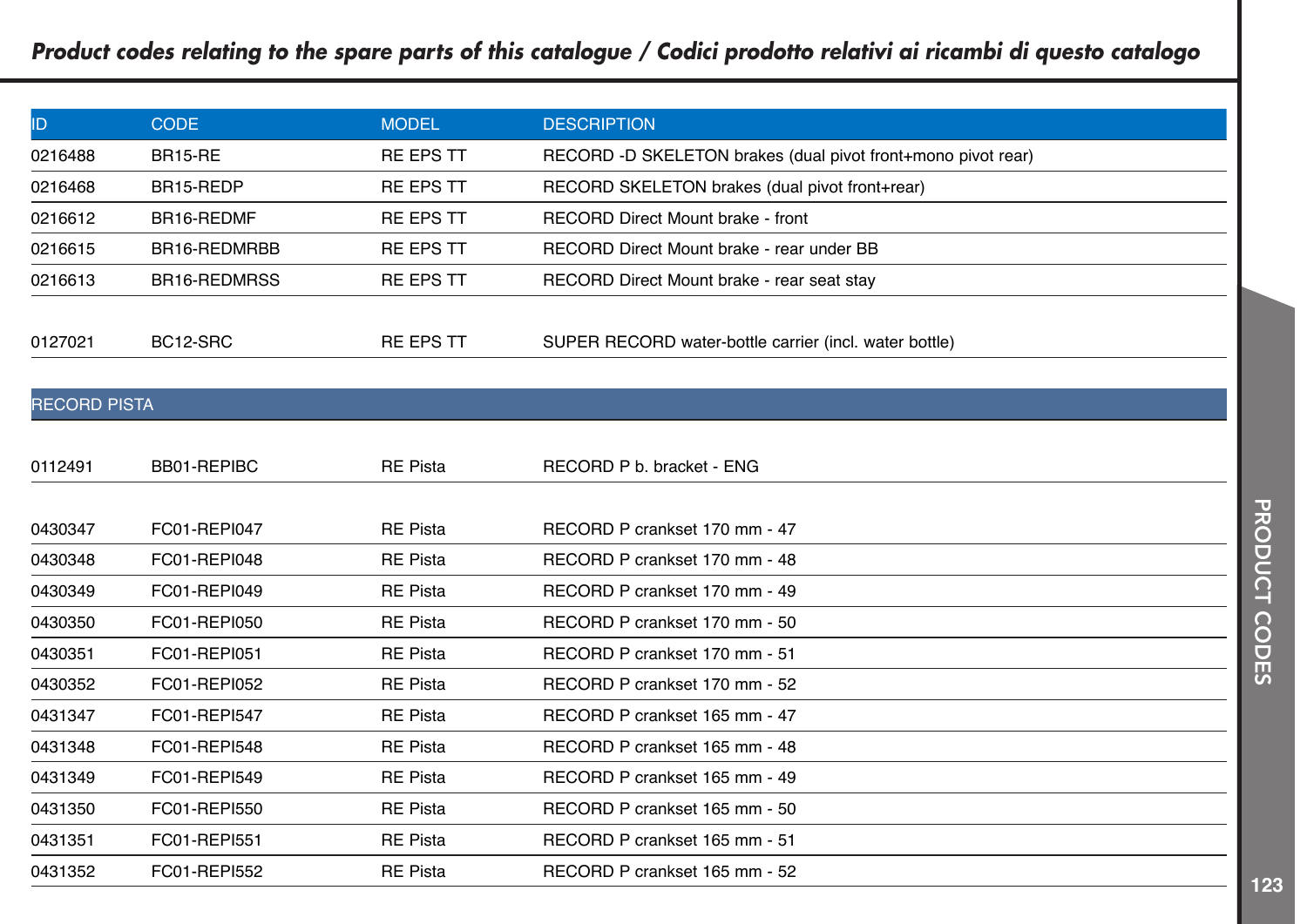| ID                  | <b>CODE</b>    | <b>MODEL</b>     | <b>DESCRIPTION</b>                                           |
|---------------------|----------------|------------------|--------------------------------------------------------------|
| 0216488             | <b>BR15-RE</b> | <b>RE EPS TT</b> | RECORD -D SKELETON brakes (dual pivot front+mono pivot rear) |
| 0216468             | BR15-REDP      | <b>RE EPS TT</b> | RECORD SKELETON brakes (dual pivot front+rear)               |
| 0216612             | BR16-REDMF     | <b>RE EPS TT</b> | RECORD Direct Mount brake - front                            |
| 0216615             | BR16-REDMRBB   | <b>RE EPS TT</b> | RECORD Direct Mount brake - rear under BB                    |
| 0216613             | BR16-REDMRSS   | <b>RE EPS TT</b> | RECORD Direct Mount brake - rear seat stay                   |
| 0127021             | BC12-SRC       | <b>RE EPS TT</b> | SUPER RECORD water-bottle carrier (incl. water bottle)       |
| <b>RECORD PISTA</b> |                |                  |                                                              |
| 0112491             | BB01-REPIBC    | <b>RE Pista</b>  | RECORD P b. bracket - ENG                                    |
| 0430347             | FC01-REPI047   | <b>RE Pista</b>  | RECORD P crankset 170 mm - 47                                |
| 0430348             | FC01-REPI048   | <b>RE Pista</b>  | RECORD P crankset 170 mm - 48                                |
| 0430349             | FC01-REPI049   | <b>RE Pista</b>  | RECORD P crankset 170 mm - 49                                |
| 0430350             | FC01-REPI050   | <b>RE Pista</b>  | RECORD P crankset 170 mm - 50                                |
| 0430351             | FC01-REPI051   | <b>RE Pista</b>  | RECORD P crankset 170 mm - 51                                |
| 0430352             | FC01-REPI052   | <b>RE Pista</b>  | RECORD P crankset 170 mm - 52                                |
| 0431347             | FC01-REPI547   | <b>RE Pista</b>  | RECORD P crankset 165 mm - 47                                |
| 0431348             | FC01-REPI548   | <b>RE Pista</b>  | RECORD P crankset 165 mm - 48                                |
| 0431349             | FC01-REPI549   | <b>RE Pista</b>  | RECORD P crankset 165 mm - 49                                |
| 0431350             | FC01-REPI550   | <b>RE Pista</b>  | RECORD P crankset 165 mm - 50                                |
| 0431351             | FC01-REPI551   | <b>RE Pista</b>  | RECORD P crankset 165 mm - 51                                |

FC01-REPI552 RE Pista RECORD P crankset 165 mm - 52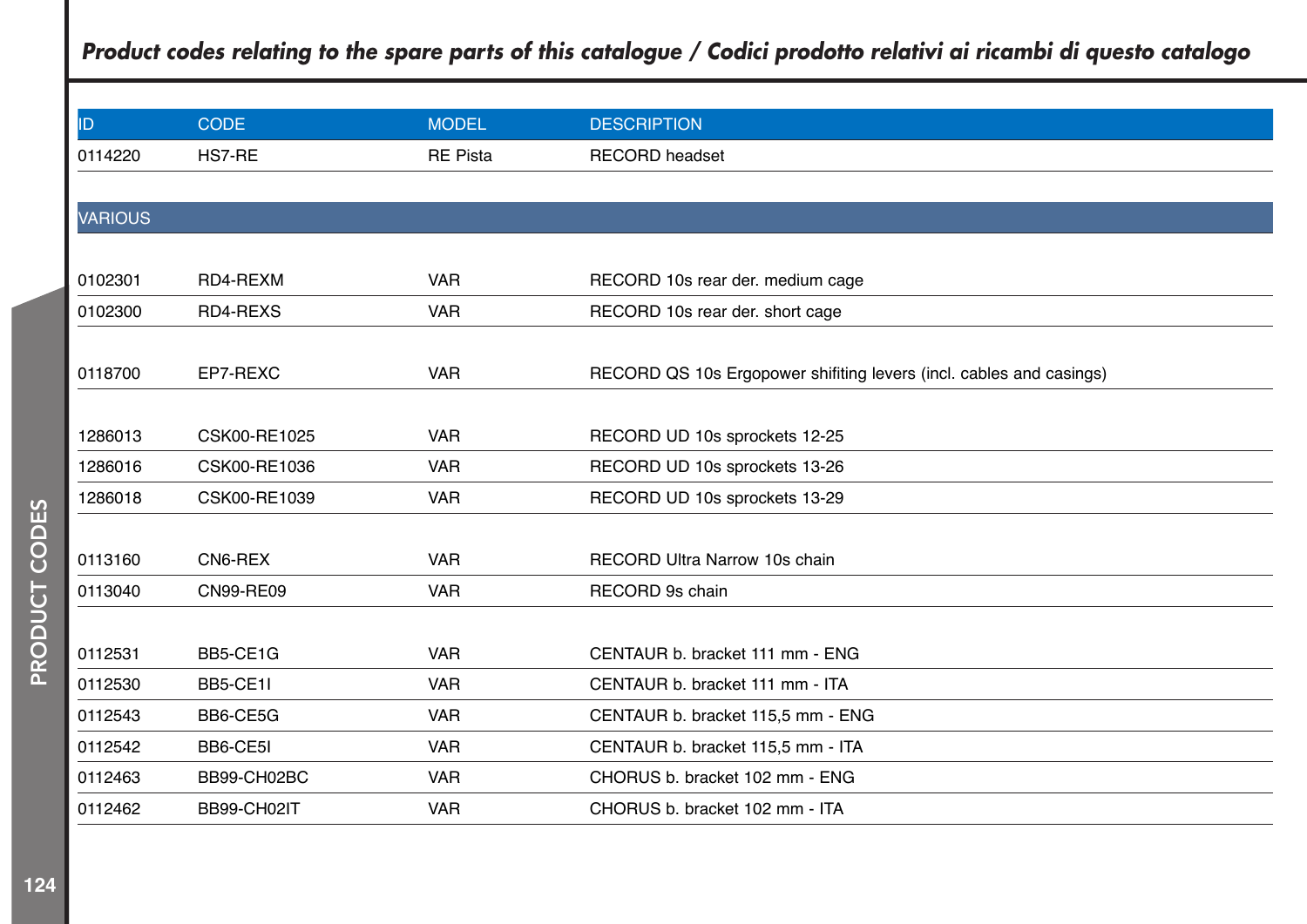|                  |                 | <b>DESCRIPTION</b>                                                 |
|------------------|-----------------|--------------------------------------------------------------------|
| HS7-RE           | <b>RE Pista</b> | <b>RECORD</b> headset                                              |
|                  |                 |                                                                    |
|                  |                 |                                                                    |
|                  |                 |                                                                    |
| RD4-REXM         | <b>VAR</b>      | RECORD 10s rear der. medium cage                                   |
| RD4-REXS         | <b>VAR</b>      | RECORD 10s rear der. short cage                                    |
|                  |                 |                                                                    |
| EP7-REXC         | <b>VAR</b>      | RECORD QS 10s Ergopower shifting levers (incl. cables and casings) |
|                  |                 |                                                                    |
| CSK00-RE1025     | <b>VAR</b>      | RECORD UD 10s sprockets 12-25                                      |
| CSK00-RE1036     | <b>VAR</b>      | RECORD UD 10s sprockets 13-26                                      |
| CSK00-RE1039     | <b>VAR</b>      | RECORD UD 10s sprockets 13-29                                      |
|                  |                 |                                                                    |
| CN6-REX          | <b>VAR</b>      | RECORD Ultra Narrow 10s chain                                      |
| <b>CN99-RE09</b> | <b>VAR</b>      | RECORD 9s chain                                                    |
|                  |                 |                                                                    |
| BB5-CE1G         | <b>VAR</b>      | CENTAUR b. bracket 111 mm - ENG                                    |
| BB5-CE1I         | <b>VAR</b>      | CENTAUR b. bracket 111 mm - ITA                                    |
| BB6-CE5G         | <b>VAR</b>      | CENTAUR b. bracket 115,5 mm - ENG                                  |
| BB6-CE5I         | <b>VAR</b>      | CENTAUR b. bracket 115,5 mm - ITA                                  |
| BB99-CH02BC      | <b>VAR</b>      | CHORUS b. bracket 102 mm - ENG                                     |
| BB99-CH02IT      | <b>VAR</b>      | CHORUS b. bracket 102 mm - ITA                                     |
|                  | <b>CODE</b>     | <b>MODEL</b>                                                       |

I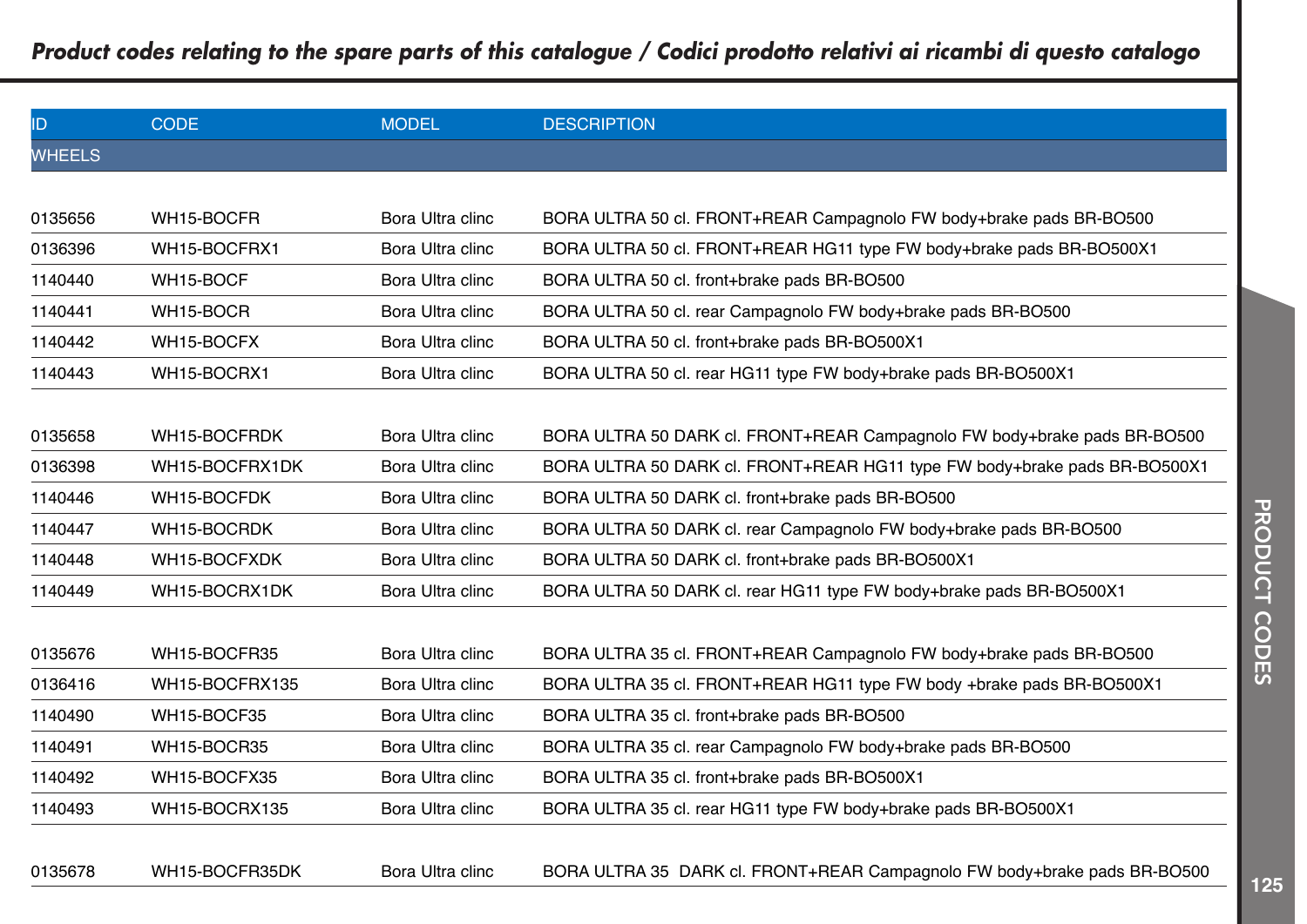| ID            | <b>CODE</b>    | <b>MODEL</b>     | <b>DESCRIPTION</b>                                                        |
|---------------|----------------|------------------|---------------------------------------------------------------------------|
| <b>WHEELS</b> |                |                  |                                                                           |
|               |                |                  |                                                                           |
| 0135656       | WH15-BOCFR     | Bora Ultra clinc | BORA ULTRA 50 cl. FRONT+REAR Campagnolo FW body+brake pads BR-BO500       |
| 0136396       | WH15-BOCFRX1   | Bora Ultra clinc | BORA ULTRA 50 cl. FRONT+REAR HG11 type FW body+brake pads BR-BO500X1      |
| 1140440       | WH15-BOCF      | Bora Ultra clinc | BORA ULTRA 50 cl. front+brake pads BR-BO500                               |
| 1140441       | WH15-BOCR      | Bora Ultra clinc | BORA ULTRA 50 cl. rear Campagnolo FW body+brake pads BR-BO500             |
| 1140442       | WH15-BOCFX     | Bora Ultra clinc | BORA ULTRA 50 cl. front+brake pads BR-BO500X1                             |
| 1140443       | WH15-BOCRX1    | Bora Ultra clinc | BORA ULTRA 50 cl. rear HG11 type FW body+brake pads BR-BO500X1            |
|               |                |                  |                                                                           |
| 0135658       | WH15-BOCFRDK   | Bora Ultra clinc | BORA ULTRA 50 DARK cl. FRONT+REAR Campagnolo FW body+brake pads BR-BO500  |
| 0136398       | WH15-BOCFRX1DK | Bora Ultra clinc | BORA ULTRA 50 DARK cl. FRONT+REAR HG11 type FW body+brake pads BR-BO500X1 |
| 1140446       | WH15-BOCFDK    | Bora Ultra clinc | BORA ULTRA 50 DARK cl. front+brake pads BR-BO500                          |
| 1140447       | WH15-BOCRDK    | Bora Ultra clinc | BORA ULTRA 50 DARK cl. rear Campagnolo FW body+brake pads BR-BO500        |
| 1140448       | WH15-BOCFXDK   | Bora Ultra clinc | BORA ULTRA 50 DARK cl. front+brake pads BR-BO500X1                        |
| 1140449       | WH15-BOCRX1DK  | Bora Ultra clinc | BORA ULTRA 50 DARK cl. rear HG11 type FW body+brake pads BR-BO500X1       |
|               |                |                  |                                                                           |
| 0135676       | WH15-BOCFR35   | Bora Ultra clinc | BORA ULTRA 35 cl. FRONT+REAR Campagnolo FW body+brake pads BR-BO500       |
| 0136416       | WH15-BOCFRX135 | Bora Ultra clinc | BORA ULTRA 35 cl. FRONT+REAR HG11 type FW body +brake pads BR-BO500X1     |
| 1140490       | WH15-BOCF35    | Bora Ultra clinc | BORA ULTRA 35 cl. front+brake pads BR-BO500                               |
| 1140491       | WH15-BOCR35    | Bora Ultra clinc | BORA ULTRA 35 cl. rear Campagnolo FW body+brake pads BR-BO500             |
| 1140492       | WH15-BOCFX35   | Bora Ultra clinc | BORA ULTRA 35 cl. front+brake pads BR-BO500X1                             |
| 1140493       | WH15-BOCRX135  | Bora Ultra clinc | BORA ULTRA 35 cl. rear HG11 type FW body+brake pads BR-BO500X1            |
|               |                |                  |                                                                           |

0135678 WH15-BOCFR35DK Bora Ultra clinc BORA ULTRA 35 DARK cl. FRONT+REAR Campagnolo FW body+brake pads BR-BO500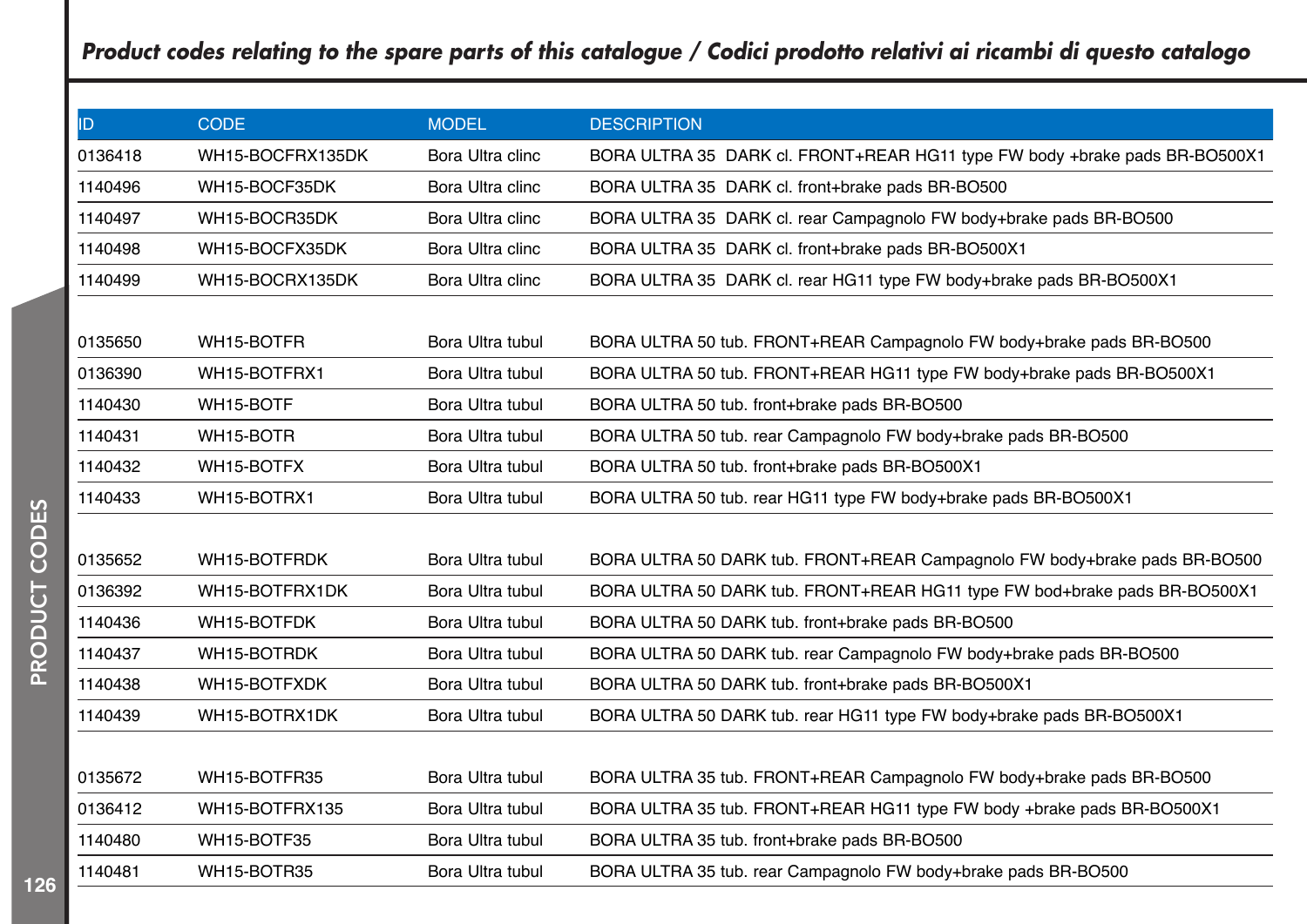| ID.     | <b>CODE</b>      | <b>MODEL</b>     | <b>DESCRIPTION</b>                                                         |
|---------|------------------|------------------|----------------------------------------------------------------------------|
| 0136418 | WH15-BOCFRX135DK | Bora Ultra clinc | BORA ULTRA 35 DARK cl. FRONT+REAR HG11 type FW body +brake pads BR-BO500X1 |
| 1140496 | WH15-BOCF35DK    | Bora Ultra clinc | BORA ULTRA 35 DARK cl. front+brake pads BR-BO500                           |
| 1140497 | WH15-BOCR35DK    | Bora Ultra clinc | BORA ULTRA 35 DARK cl. rear Campagnolo FW body+brake pads BR-BO500         |
| 1140498 | WH15-BOCFX35DK   | Bora Ultra clinc | BORA ULTRA 35 DARK cl. front+brake pads BR-BO500X1                         |
| 1140499 | WH15-BOCRX135DK  | Bora Ultra clinc | BORA ULTRA 35 DARK cl. rear HG11 type FW body+brake pads BR-BO500X1        |
|         |                  |                  |                                                                            |
| 0135650 | WH15-BOTFR       | Bora Ultra tubul | BORA ULTRA 50 tub. FRONT+REAR Campagnolo FW body+brake pads BR-BO500       |
| 0136390 | WH15-BOTFRX1     | Bora Ultra tubul | BORA ULTRA 50 tub. FRONT+REAR HG11 type FW body+brake pads BR-BO500X1      |
| 1140430 | WH15-BOTF        | Bora Ultra tubul | BORA ULTRA 50 tub. front+brake pads BR-BO500                               |
| 1140431 | WH15-BOTR        | Bora Ultra tubul | BORA ULTRA 50 tub. rear Campagnolo FW body+brake pads BR-BO500             |
| 1140432 | WH15-BOTFX       | Bora Ultra tubul | BORA ULTRA 50 tub. front+brake pads BR-BO500X1                             |
| 1140433 | WH15-BOTRX1      | Bora Ultra tubul | BORA ULTRA 50 tub. rear HG11 type FW body+brake pads BR-BO500X1            |
|         |                  |                  |                                                                            |
| 0135652 | WH15-BOTFRDK     | Bora Ultra tubul | BORA ULTRA 50 DARK tub. FRONT+REAR Campagnolo FW body+brake pads BR-BO500  |
| 0136392 | WH15-BOTFRX1DK   | Bora Ultra tubul | BORA ULTRA 50 DARK tub. FRONT+REAR HG11 type FW bod+brake pads BR-BO500X1  |
| 1140436 | WH15-BOTFDK      | Bora Ultra tubul | BORA ULTRA 50 DARK tub. front+brake pads BR-BO500                          |
| 1140437 | WH15-BOTRDK      | Bora Ultra tubul | BORA ULTRA 50 DARK tub. rear Campagnolo FW body+brake pads BR-BO500        |
| 1140438 | WH15-BOTFXDK     | Bora Ultra tubul | BORA ULTRA 50 DARK tub. front+brake pads BR-BO500X1                        |
| 1140439 | WH15-BOTRX1DK    | Bora Ultra tubul | BORA ULTRA 50 DARK tub. rear HG11 type FW body+brake pads BR-BO500X1       |
|         |                  |                  |                                                                            |
| 0135672 | WH15-BOTFR35     | Bora Ultra tubul | BORA ULTRA 35 tub. FRONT+REAR Campagnolo FW body+brake pads BR-BO500       |
| 0136412 | WH15-BOTFRX135   | Bora Ultra tubul | BORA ULTRA 35 tub. FRONT+REAR HG11 type FW body +brake pads BR-BO500X1     |
| 1140480 | WH15-BOTF35      | Bora Ultra tubul | BORA ULTRA 35 tub. front+brake pads BR-BO500                               |
| 1140481 | WH15-BOTR35      | Bora Ultra tubul | BORA ULTRA 35 tub. rear Campagnolo FW body+brake pads BR-BO500             |
|         |                  |                  |                                                                            |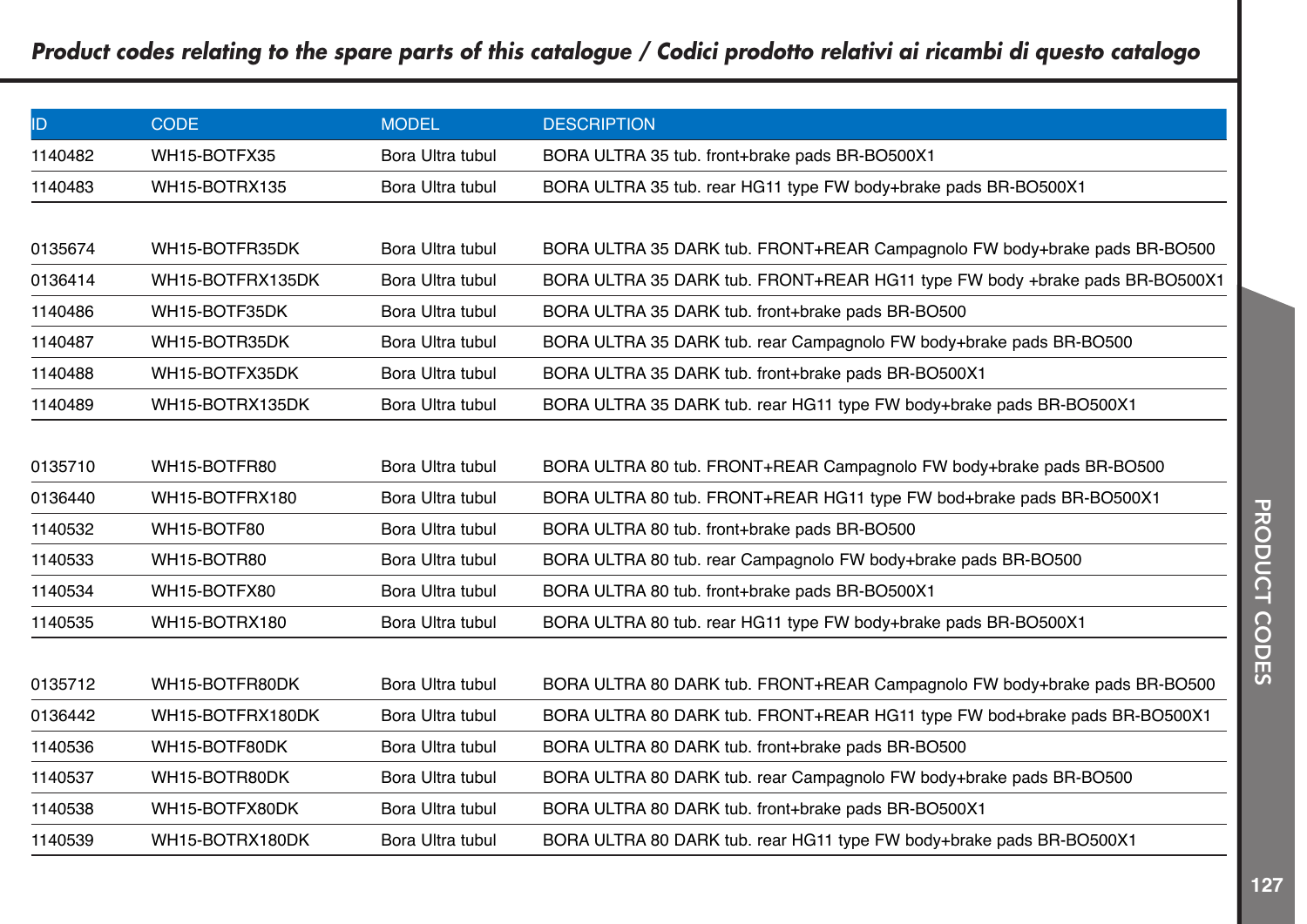| ID.     | <b>CODE</b>      | <b>MODEL</b>     | <b>DESCRIPTION</b>                                                          |
|---------|------------------|------------------|-----------------------------------------------------------------------------|
| 1140482 | WH15-BOTFX35     | Bora Ultra tubul | BORA ULTRA 35 tub. front+brake pads BR-BO500X1                              |
| 1140483 | WH15-BOTRX135    | Bora Ultra tubul | BORA ULTRA 35 tub. rear HG11 type FW body+brake pads BR-BO500X1             |
|         |                  |                  |                                                                             |
| 0135674 | WH15-BOTFR35DK   | Bora Ultra tubul | BORA ULTRA 35 DARK tub. FRONT+REAR Campagnolo FW body+brake pads BR-BO500   |
| 0136414 | WH15-BOTFRX135DK | Bora Ultra tubul | BORA ULTRA 35 DARK tub. FRONT+REAR HG11 type FW body +brake pads BR-BO500X1 |
| 1140486 | WH15-BOTF35DK    | Bora Ultra tubul | BORA ULTRA 35 DARK tub. front+brake pads BR-BO500                           |
| 1140487 | WH15-BOTR35DK    | Bora Ultra tubul | BORA ULTRA 35 DARK tub. rear Campagnolo FW body+brake pads BR-BO500         |
| 1140488 | WH15-BOTFX35DK   | Bora Ultra tubul | BORA ULTRA 35 DARK tub. front+brake pads BR-BO500X1                         |
| 1140489 | WH15-BOTRX135DK  | Bora Ultra tubul | BORA ULTRA 35 DARK tub. rear HG11 type FW body+brake pads BR-BO500X1        |
|         |                  |                  |                                                                             |
| 0135710 | WH15-BOTFR80     | Bora Ultra tubul | BORA ULTRA 80 tub. FRONT+REAR Campagnolo FW body+brake pads BR-BO500        |
| 0136440 | WH15-BOTFRX180   | Bora Ultra tubul | BORA ULTRA 80 tub. FRONT+REAR HG11 type FW bod+brake pads BR-BO500X1        |
| 1140532 | WH15-BOTF80      | Bora Ultra tubul | BORA ULTRA 80 tub. front+brake pads BR-BO500                                |
| 1140533 | WH15-BOTR80      | Bora Ultra tubul | BORA ULTRA 80 tub. rear Campagnolo FW body+brake pads BR-BO500              |
| 1140534 | WH15-BOTFX80     | Bora Ultra tubul | BORA ULTRA 80 tub. front+brake pads BR-BO500X1                              |
| 1140535 | WH15-BOTRX180    | Bora Ultra tubul | BORA ULTRA 80 tub. rear HG11 type FW body+brake pads BR-BO500X1             |
|         |                  |                  |                                                                             |
| 0135712 | WH15-BOTFR80DK   | Bora Ultra tubul | BORA ULTRA 80 DARK tub. FRONT+REAR Campagnolo FW body+brake pads BR-BO500   |
| 0136442 | WH15-BOTFRX180DK | Bora Ultra tubul | BORA ULTRA 80 DARK tub. FRONT+REAR HG11 type FW bod+brake pads BR-BO500X1   |
| 1140536 | WH15-BOTF80DK    | Bora Ultra tubul | BORA ULTRA 80 DARK tub. front+brake pads BR-BO500                           |
| 1140537 | WH15-BOTR80DK    | Bora Ultra tubul | BORA ULTRA 80 DARK tub. rear Campagnolo FW body+brake pads BR-BO500         |
| 1140538 | WH15-BOTFX80DK   | Bora Ultra tubul | BORA ULTRA 80 DARK tub. front+brake pads BR-BO500X1                         |
| 1140539 | WH15-BOTRX180DK  | Bora Ultra tubul | BORA ULTRA 80 DARK tub. rear HG11 type FW body+brake pads BR-BO500X1        |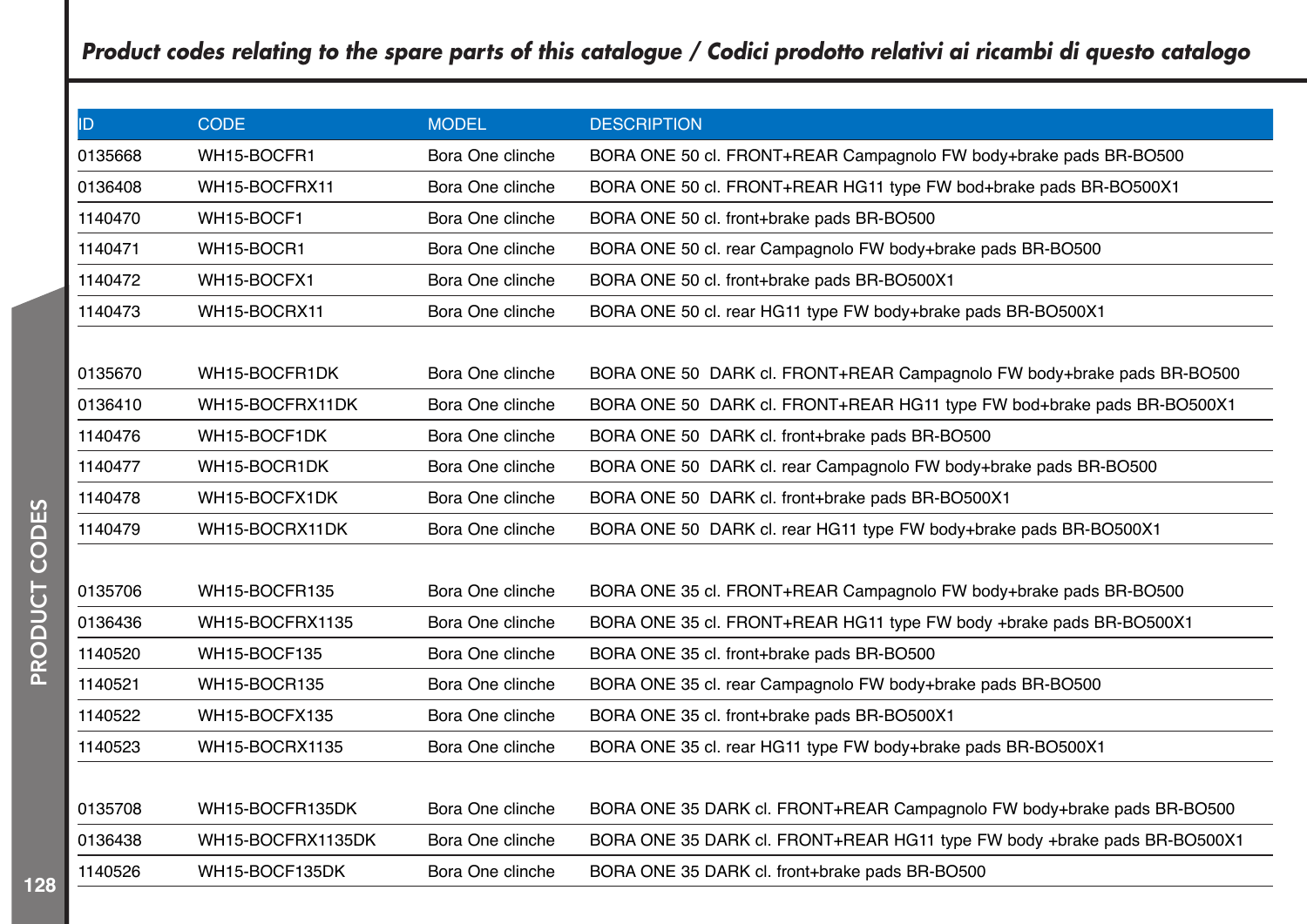| ID      | <b>CODE</b>         | <b>MODEL</b>     | <b>DESCRIPTION</b>                                                       |
|---------|---------------------|------------------|--------------------------------------------------------------------------|
| 0135668 | WH15-BOCFR1         | Bora One clinche | BORA ONE 50 cl. FRONT+REAR Campagnolo FW body+brake pads BR-BO500        |
| 0136408 | WH15-BOCFRX11       | Bora One clinche | BORA ONE 50 cl. FRONT+REAR HG11 type FW bod+brake pads BR-BO500X1        |
| 1140470 | WH15-BOCF1          | Bora One clinche | BORA ONE 50 cl. front+brake pads BR-BO500                                |
| 1140471 | WH15-BOCR1          | Bora One clinche | BORA ONE 50 cl. rear Campagnolo FW body+brake pads BR-BO500              |
| 1140472 | WH15-BOCFX1         | Bora One clinche | BORA ONE 50 cl. front+brake pads BR-BO500X1                              |
| 1140473 | WH15-BOCRX11        | Bora One clinche | BORA ONE 50 cl. rear HG11 type FW body+brake pads BR-BO500X1             |
|         |                     |                  |                                                                          |
| 0135670 | WH15-BOCFR1DK       | Bora One clinche | BORA ONE 50 DARK cl. FRONT+REAR Campagnolo FW body+brake pads BR-BO500   |
| 0136410 | WH15-BOCFRX11DK     | Bora One clinche | BORA ONE 50 DARK cl. FRONT+REAR HG11 type FW bod+brake pads BR-BO500X1   |
| 1140476 | WH15-BOCF1DK        | Bora One clinche | BORA ONE 50 DARK cl. front+brake pads BR-BO500                           |
| 1140477 | WH15-BOCR1DK        | Bora One clinche | BORA ONE 50 DARK cl. rear Campagnolo FW body+brake pads BR-BO500         |
| 1140478 | WH15-BOCFX1DK       | Bora One clinche | BORA ONE 50 DARK cl. front+brake pads BR-BO500X1                         |
| 1140479 | WH15-BOCRX11DK      | Bora One clinche | BORA ONE 50 DARK cl. rear HG11 type FW body+brake pads BR-BO500X1        |
|         |                     |                  |                                                                          |
| 0135706 | WH15-BOCFR135       | Bora One clinche | BORA ONE 35 cl. FRONT+REAR Campagnolo FW body+brake pads BR-BO500        |
| 0136436 | WH15-BOCFRX1135     | Bora One clinche | BORA ONE 35 cl. FRONT+REAR HG11 type FW body +brake pads BR-BO500X1      |
| 1140520 | WH15-BOCF135        | Bora One clinche | BORA ONE 35 cl. front+brake pads BR-BO500                                |
| 1140521 | <b>WH15-BOCR135</b> | Bora One clinche | BORA ONE 35 cl. rear Campagnolo FW body+brake pads BR-BO500              |
| 1140522 | WH15-BOCFX135       | Bora One clinche | BORA ONE 35 cl. front+brake pads BR-BO500X1                              |
| 1140523 | WH15-BOCRX1135      | Bora One clinche | BORA ONE 35 cl. rear HG11 type FW body+brake pads BR-BO500X1             |
|         |                     |                  |                                                                          |
| 0135708 | WH15-BOCFR135DK     | Bora One clinche | BORA ONE 35 DARK cl. FRONT+REAR Campagnolo FW body+brake pads BR-BO500   |
| 0136438 | WH15-BOCFRX1135DK   | Bora One clinche | BORA ONE 35 DARK cl. FRONT+REAR HG11 type FW body +brake pads BR-BO500X1 |
| 1140526 | WH15-BOCF135DK      | Bora One clinche | BORA ONE 35 DARK cl. front+brake pads BR-BO500                           |
|         |                     |                  |                                                                          |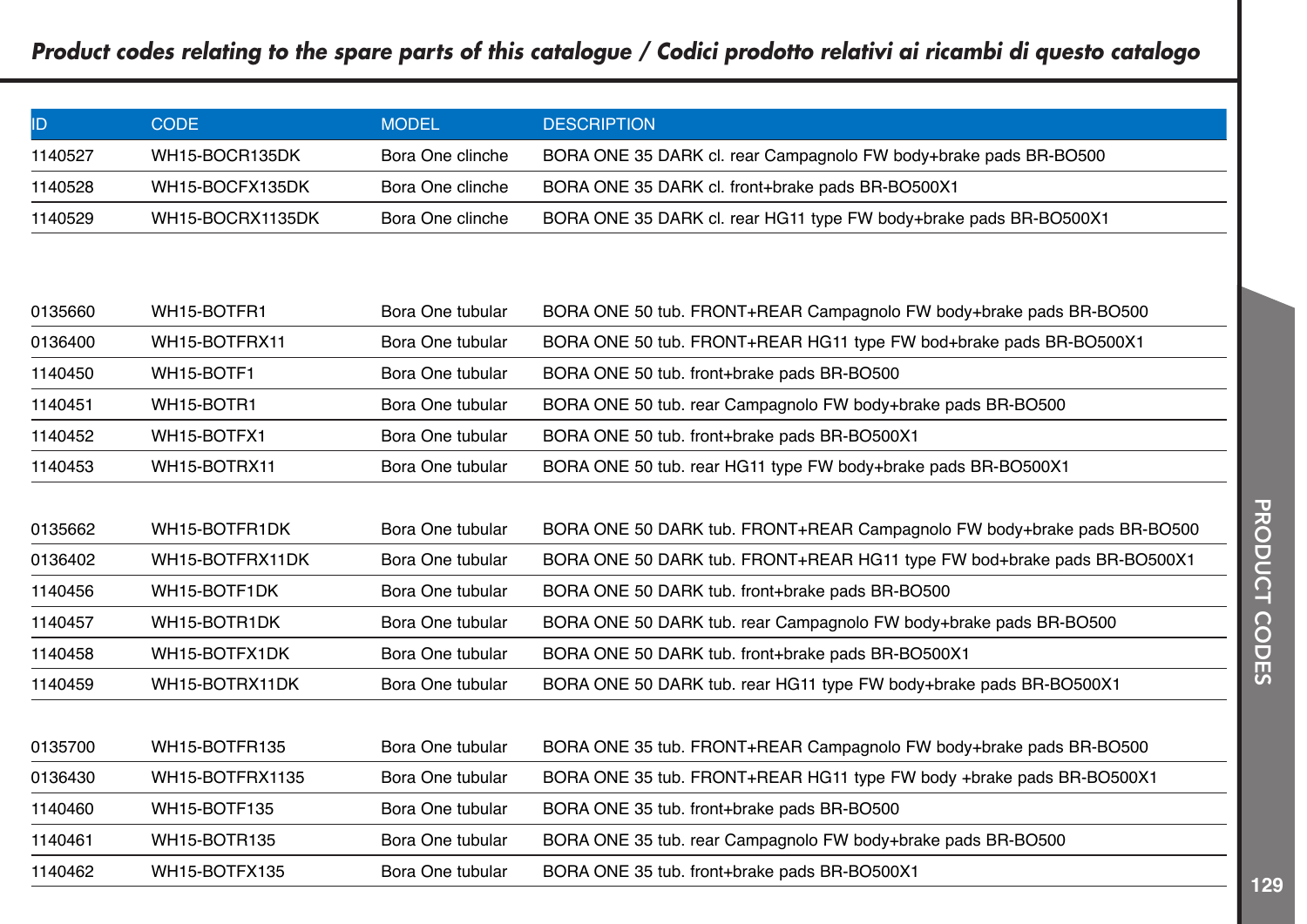|         | CODE:            | <b>MODEL</b>     | <b>DESCRIPTION</b>                                                |
|---------|------------------|------------------|-------------------------------------------------------------------|
| 1140527 | WH15-BOCR135DK   | Bora One clinche | BORA ONE 35 DARK cl. rear Campagnolo FW body+brake pads BR-BO500  |
| 1140528 | WH15-BOCFX135DK  | Bora One clinche | BORA ONE 35 DARK cl. front+brake pads BR-BO500X1                  |
| 1140529 | WH15-BOCRX1135DK | Bora One clinche | BORA ONE 35 DARK cl. rear HG11 type FW body+brake pads BR-BO500X1 |

| 0135660 | WH15-BOTFR1   | Bora One tubular | BORA ONE 50 tub. FRONT+REAR Campagnolo FW body+brake pads BR-BO500 |
|---------|---------------|------------------|--------------------------------------------------------------------|
| 0136400 | WH15-BOTFRX11 | Bora One tubular | BORA ONE 50 tub. FRONT+REAR HG11 type FW bod+brake pads BR-BO500X1 |
| 1140450 | WH15-BOTF1    | Bora One tubular | BORA ONE 50 tub. front+brake pads BR-BO500                         |
| 1140451 | WH15-BOTR1    | Bora One tubular | BORA ONE 50 tub. rear Campagnolo FW body+brake pads BR-BO500       |
| 1140452 | WH15-BOTFX1   | Bora One tubular | BORA ONE 50 tub. front+brake pads BR-BO500X1                       |
| 1140453 | WH15-BOTRX11  | Bora One tubular | BORA ONE 50 tub. rear HG11 type FW body+brake pads BR-BO500X1      |

| 0135662 | WH15-BOTFR1DK   | Bora One tubular | BORA ONE 50 DARK tub. FRONT+REAR Campagnolo FW body+brake pads BR-BO500 |
|---------|-----------------|------------------|-------------------------------------------------------------------------|
| 0136402 | WH15-BOTFRX11DK | Bora One tubular | BORA ONE 50 DARK tub. FRONT+REAR HG11 type FW bod+brake pads BR-BO500X1 |
| 1140456 | WH15-BOTF1DK    | Bora One tubular | BORA ONE 50 DARK tub. front+brake pads BR-BO500                         |
| 1140457 | WH15-BOTR1DK    | Bora One tubular | BORA ONE 50 DARK tub. rear Campagnolo FW body+brake pads BR-BO500       |
| 1140458 | WH15-BOTFX1DK   | Bora One tubular | BORA ONE 50 DARK tub. front+brake pads BR-BO500X1                       |
| 1140459 | WH15-BOTRX11DK  | Bora One tubular | BORA ONE 50 DARK tub. rear HG11 type FW body+brake pads BR-BO500X1      |

| 0135700 | WH15-BOTFR135   | Bora One tubular | BORA ONE 35 tub. FRONT+REAR Campagnolo FW body+brake pads BR-BO500   |
|---------|-----------------|------------------|----------------------------------------------------------------------|
| 0136430 | WH15-BOTFRX1135 | Bora One tubular | BORA ONE 35 tub. FRONT+REAR HG11 type FW body +brake pads BR-BO500X1 |
| 1140460 | WH15-BOTF135    | Bora One tubular | BORA ONE 35 tub. front+brake pads BR-BO500                           |
| 1140461 | WH15-BOTR135    | Bora One tubular | BORA ONE 35 tub. rear Campagnolo FW body+brake pads BR-BO500         |
| 1140462 | WH15-BOTFX135   | Bora One tubular | BORA ONE 35 tub. front+brake pads BR-BO500X1                         |

 $\begin{array}{c} \hline \hline \end{array}$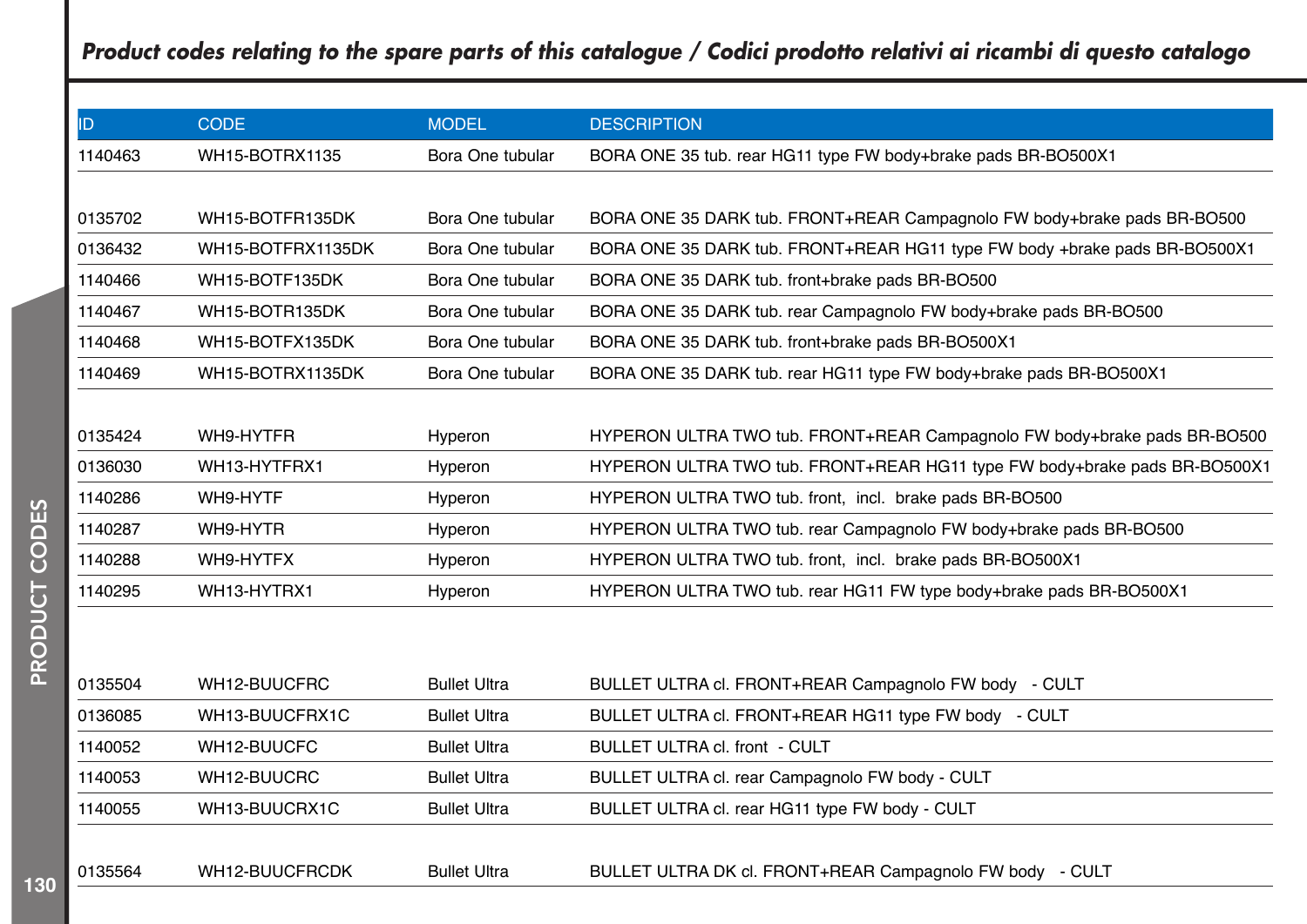| ID.     | <b>CODE</b>       | <b>MODEL</b>        | <b>DESCRIPTION</b>                                                        |
|---------|-------------------|---------------------|---------------------------------------------------------------------------|
| 1140463 | WH15-BOTRX1135    | Bora One tubular    | BORA ONE 35 tub. rear HG11 type FW body+brake pads BR-BO500X1             |
|         |                   |                     |                                                                           |
| 0135702 | WH15-BOTFR135DK   | Bora One tubular    | BORA ONE 35 DARK tub. FRONT+REAR Campagnolo FW body+brake pads BR-BO500   |
| 0136432 | WH15-BOTFRX1135DK | Bora One tubular    | BORA ONE 35 DARK tub. FRONT+REAR HG11 type FW body +brake pads BR-BO500X1 |
| 1140466 | WH15-BOTF135DK    | Bora One tubular    | BORA ONE 35 DARK tub. front+brake pads BR-BO500                           |
| 1140467 | WH15-BOTR135DK    | Bora One tubular    | BORA ONE 35 DARK tub. rear Campagnolo FW body+brake pads BR-BO500         |
| 1140468 | WH15-BOTFX135DK   | Bora One tubular    | BORA ONE 35 DARK tub. front+brake pads BR-BO500X1                         |
| 1140469 | WH15-BOTRX1135DK  | Bora One tubular    | BORA ONE 35 DARK tub. rear HG11 type FW body+brake pads BR-BO500X1        |
|         |                   |                     |                                                                           |
| 0135424 | WH9-HYTFR         | Hyperon             | HYPERON ULTRA TWO tub. FRONT+REAR Campagnolo FW body+brake pads BR-BO500  |
| 0136030 | WH13-HYTFRX1      | Hyperon             | HYPERON ULTRA TWO tub. FRONT+REAR HG11 type FW body+brake pads BR-BO500X1 |
| 1140286 | WH9-HYTF          | Hyperon             | HYPERON ULTRA TWO tub. front, incl. brake pads BR-BO500                   |
| 1140287 | WH9-HYTR          | Hyperon             | HYPERON ULTRA TWO tub. rear Campagnolo FW body+brake pads BR-BO500        |
| 1140288 | WH9-HYTFX         | Hyperon             | HYPERON ULTRA TWO tub. front, incl. brake pads BR-BO500X1                 |
| 1140295 | WH13-HYTRX1       | Hyperon             | HYPERON ULTRA TWO tub. rear HG11 FW type body+brake pads BR-BO500X1       |
|         |                   |                     |                                                                           |
|         |                   |                     |                                                                           |
| 0135504 | WH12-BUUCFRC      | <b>Bullet Ultra</b> | BULLET ULTRA cl. FRONT+REAR Campagnolo FW body - CULT                     |
| 0136085 | WH13-BUUCFRX1C    | <b>Bullet Ultra</b> | BULLET ULTRA cl. FRONT+REAR HG11 type FW body - CULT                      |
| 1140052 | WH12-BUUCFC       | <b>Bullet Ultra</b> | BULLET ULTRA cl. front - CULT                                             |
| 1140053 | WH12-BUUCRC       | <b>Bullet Ultra</b> | BULLET ULTRA cl. rear Campagnolo FW body - CULT                           |
| 1140055 | WH13-BUUCRX1C     | <b>Bullet Ultra</b> | BULLET ULTRA cl. rear HG11 type FW body - CULT                            |
|         |                   |                     |                                                                           |
| 0135564 | WH12-BUUCFRCDK    | <b>Bullet Ultra</b> | BULLET ULTRA DK cl. FRONT+REAR Campagnolo FW body - CULT                  |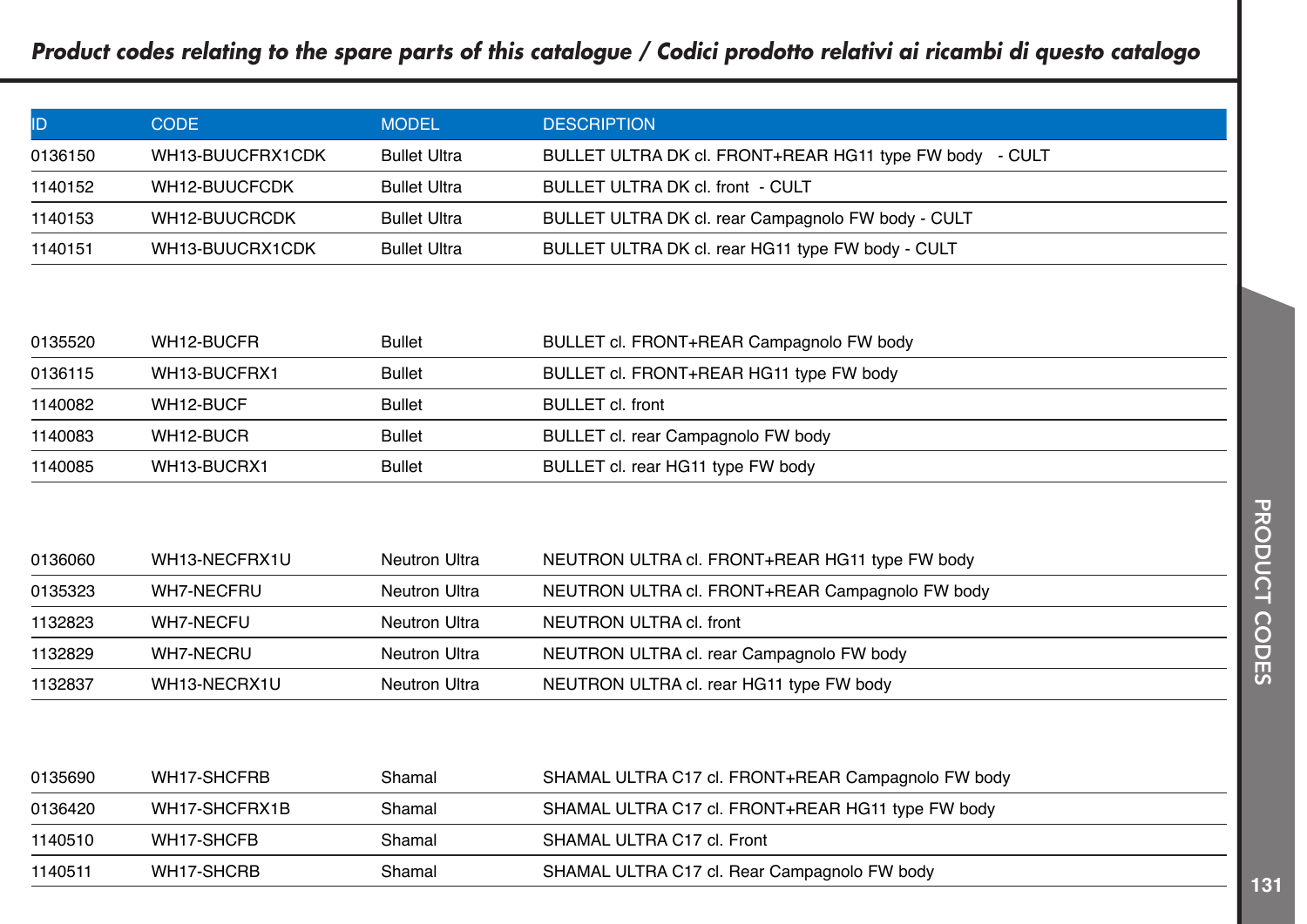| ID      | CODE             | <b>MODEL</b>        | <b>DESCRIPTION</b>                                      |
|---------|------------------|---------------------|---------------------------------------------------------|
| 0136150 | WH13-BUUCFRX1CDK | <b>Bullet Ultra</b> | BULLET ULTRA DK cl. FRONT+REAR HG11 type FW body - CULT |
| 1140152 | WH12-BUUCFCDK    | <b>Bullet Ultra</b> | BULLET ULTRA DK cl. front - CULT                        |
| 1140153 | WH12-BUUCRCDK    | <b>Bullet Ultra</b> | BULLET ULTRA DK cl. rear Campagnolo FW body - CULT      |
| 1140151 | WH13-BUUCRX1CDK  | <b>Bullet Ultra</b> | BULLET ULTRA DK cl. rear HG11 type FW body - CULT       |

| 0135520 | WH12-BUCFR   | Bullet        | BULLET cl. FRONT+REAR Campagnolo FW body |
|---------|--------------|---------------|------------------------------------------|
| 0136115 | WH13-BUCFRX1 | Bullet        | BULLET cl. FRONT+REAR HG11 type FW body  |
| 1140082 | WH12-BUCF    | <b>Bullet</b> | BULLET cl. front                         |
| 1140083 | WH12-BUCR    | Bullet        | BULLET cl. rear Campagnolo FW body       |
| 1140085 | WH13-BUCRX1  | Bullet        | BULLET cl. rear HG11 type FW body        |

| 0136060 | WH13-NECFRX1U | Neutron Ultra | NEUTRON ULTRA cl. FRONT+REAR HG11 type FW body  |
|---------|---------------|---------------|-------------------------------------------------|
| 0135323 | WH7-NECFRU    | Neutron Ultra | NEUTRON ULTRA cl. FRONT+REAR Campagnolo FW body |
| 1132823 | WH7-NECFU     | Neutron Ultra | NEUTRON ULTRA cl. front                         |
| 1132829 | WH7-NECRU     | Neutron Ultra | NEUTRON ULTRA cl. rear Campagnolo FW body       |
| 1132837 | WH13-NECRX1U  | Neutron Ultra | NEUTRON ULTRA cl. rear HG11 type FW body        |

| 0135690 | WH17-SHCFRB   | Shamal | SHAMAL ULTRA C17 cl. FRONT+REAR Campagnolo FW body |  |
|---------|---------------|--------|----------------------------------------------------|--|
| 0136420 | WH17-SHCFRX1B | Shamal | SHAMAL ULTRA C17 cl. FRONT+REAR HG11 type FW body  |  |
| 1140510 | WH17-SHCFB    | Shamal | SHAMAL ULTRA C17 cl. Front                         |  |
| 1140511 | WH17-SHCRB    | Shamal | SHAMAL ULTRA C17 cl. Rear Campagnolo FW body       |  |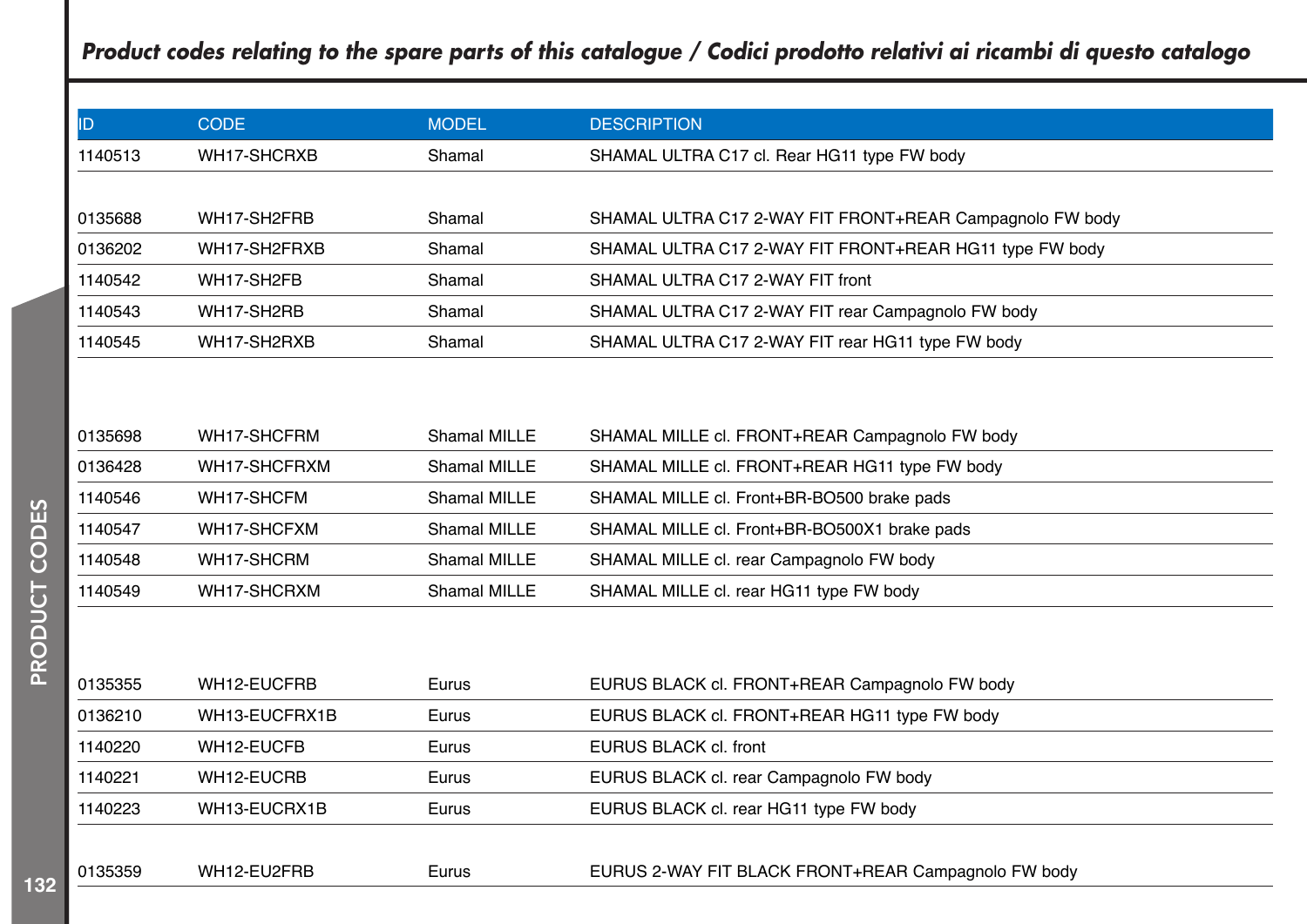| ID.     | <b>CODE</b>   | <b>MODEL</b>        | <b>DESCRIPTION</b>                                       |
|---------|---------------|---------------------|----------------------------------------------------------|
| 1140513 | WH17-SHCRXB   | Shamal              | SHAMAL ULTRA C17 cl. Rear HG11 type FW body              |
|         |               |                     |                                                          |
| 0135688 | WH17-SH2FRB   | Shamal              | SHAMAL ULTRA C17 2-WAY FIT FRONT+REAR Campagnolo FW body |
| 0136202 | WH17-SH2FRXB  | Shamal              | SHAMAL ULTRA C17 2-WAY FIT FRONT+REAR HG11 type FW body  |
| 1140542 | WH17-SH2FB    | Shamal              | SHAMAL ULTRA C17 2-WAY FIT front                         |
| 1140543 | WH17-SH2RB    | Shamal              | SHAMAL ULTRA C17 2-WAY FIT rear Campagnolo FW body       |
| 1140545 | WH17-SH2RXB   | Shamal              | SHAMAL ULTRA C17 2-WAY FIT rear HG11 type FW body        |
|         |               |                     |                                                          |
|         |               |                     |                                                          |
| 0135698 | WH17-SHCFRM   | Shamal MILLE        | SHAMAL MILLE cl. FRONT+REAR Campagnolo FW body           |
| 0136428 | WH17-SHCFRXM  | Shamal MILLE        | SHAMAL MILLE cl. FRONT+REAR HG11 type FW body            |
| 1140546 | WH17-SHCFM    | <b>Shamal MILLE</b> | SHAMAL MILLE cl. Front+BR-BO500 brake pads               |
| 1140547 | WH17-SHCFXM   | <b>Shamal MILLE</b> | SHAMAL MILLE cl. Front+BR-BO500X1 brake pads             |
| 1140548 | WH17-SHCRM    | Shamal MILLE        | SHAMAL MILLE cl. rear Campagnolo FW body                 |
| 1140549 | WH17-SHCRXM   | <b>Shamal MILLE</b> | SHAMAL MILLE cl. rear HG11 type FW body                  |
|         |               |                     |                                                          |
|         |               |                     |                                                          |
| 0135355 | WH12-EUCFRB   | Eurus               | EURUS BLACK cl. FRONT+REAR Campagnolo FW body            |
| 0136210 | WH13-EUCFRX1B | Eurus               | EURUS BLACK cl. FRONT+REAR HG11 type FW body             |
| 1140220 | WH12-EUCFB    | Eurus               | EURUS BLACK cl. front                                    |
| 1140221 | WH12-EUCRB    | Eurus               | EURUS BLACK cl. rear Campagnolo FW body                  |
| 1140223 | WH13-EUCRX1B  | Eurus               | EURUS BLACK cl. rear HG11 type FW body                   |
|         |               |                     |                                                          |
| 0135359 | WH12-EU2FRB   | Eurus               | EURUS 2-WAY FIT BLACK FRONT+REAR Campagnolo FW body      |
|         |               |                     |                                                          |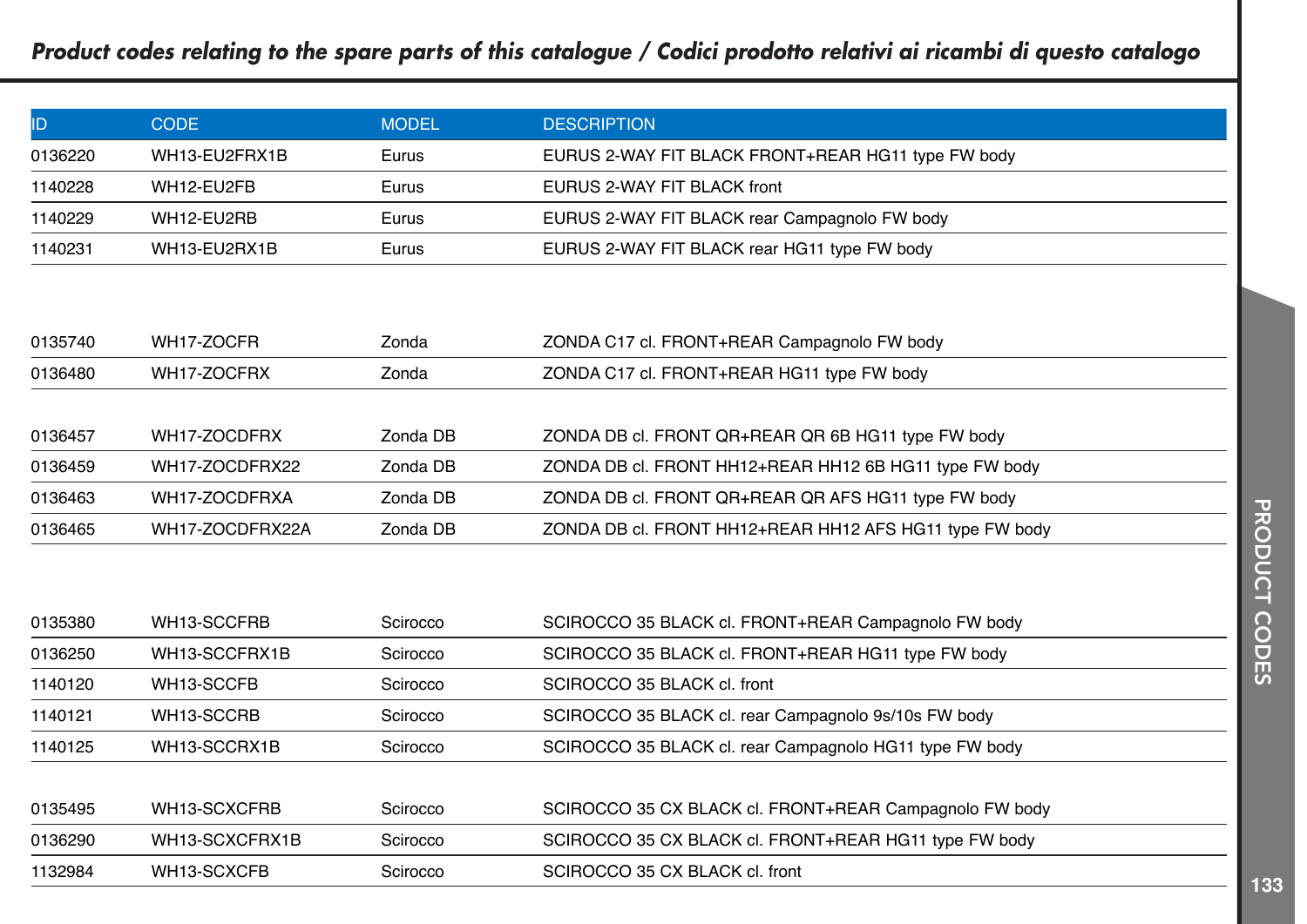| ID      | CODE:         | <b>MODEL</b> | <b>DESCRIPTION</b>                                 |
|---------|---------------|--------------|----------------------------------------------------|
| 0136220 | WH13-EU2FRX1B | Eurus        | EURUS 2-WAY FIT BLACK FRONT+REAR HG11 type FW body |
| 1140228 | WH12-EU2FB    | Eurus        | EURUS 2-WAY FIT BLACK front                        |
| 1140229 | WH12-EU2RB    | Eurus        | EURUS 2-WAY FIT BLACK rear Campagnolo FW body      |
| 1140231 | WH13-EU2RX1B  | Eurus        | EURUS 2-WAY FIT BLACK rear HG11 type FW body       |

| 0135740 | WH17-ZOCFR      | Zonda    | ZONDA C17 cl. FRONT+REAR Campagnolo FW body             |
|---------|-----------------|----------|---------------------------------------------------------|
| 0136480 | WH17-ZOCFRX     | Zonda    | ZONDA C17 cl. FRONT+REAR HG11 type FW body              |
|         |                 |          |                                                         |
| 0136457 | WH17-ZOCDFRX    | Zonda DB | ZONDA DB cl. FRONT QR+REAR QR 6B HG11 type FW body      |
| 0136459 | WH17-ZOCDFRX22  | Zonda DB | ZONDA DB cl. FRONT HH12+REAR HH12 6B HG11 type FW body  |
| 0136463 | WH17-ZOCDFRXA   | Zonda DB | ZONDA DB cl. FRONT QR+REAR QR AFS HG11 type FW body     |
| 0136465 | WH17-ZOCDFRX22A | Zonda DB | ZONDA DB cl. FRONT HH12+REAR HH12 AFS HG11 type FW body |

| 0135380 | WH13-SCCFRB    | Scirocco | SCIROCCO 35 BLACK cl. FRONT+REAR Campagnolo FW body     |  |
|---------|----------------|----------|---------------------------------------------------------|--|
| 0136250 | WH13-SCCFRX1B  | Scirocco | SCIROCCO 35 BLACK cl. FRONT+REAR HG11 type FW body      |  |
| 1140120 | WH13-SCCFB     | Scirocco | SCIROCCO 35 BLACK cl. front                             |  |
| 1140121 | WH13-SCCRB     | Scirocco | SCIROCCO 35 BLACK cl. rear Campagnolo 9s/10s FW body    |  |
| 1140125 | WH13-SCCRX1B   | Scirocco | SCIROCCO 35 BLACK cl. rear Campagnolo HG11 type FW body |  |
|         |                |          |                                                         |  |
| 0135495 | WH13-SCXCFRB   | Scirocco | SCIROCCO 35 CX BLACK cl. FRONT+REAR Campagnolo FW body  |  |
| 0136290 | WH13-SCXCFRX1B | Scirocco | SCIROCCO 35 CX BLACK cl. FRONT+REAR HG11 type FW body   |  |
| 1132984 | WH13-SCXCFB    | Scirocco | SCIROCCO 35 CX BLACK cl. front                          |  |
|         |                |          |                                                         |  |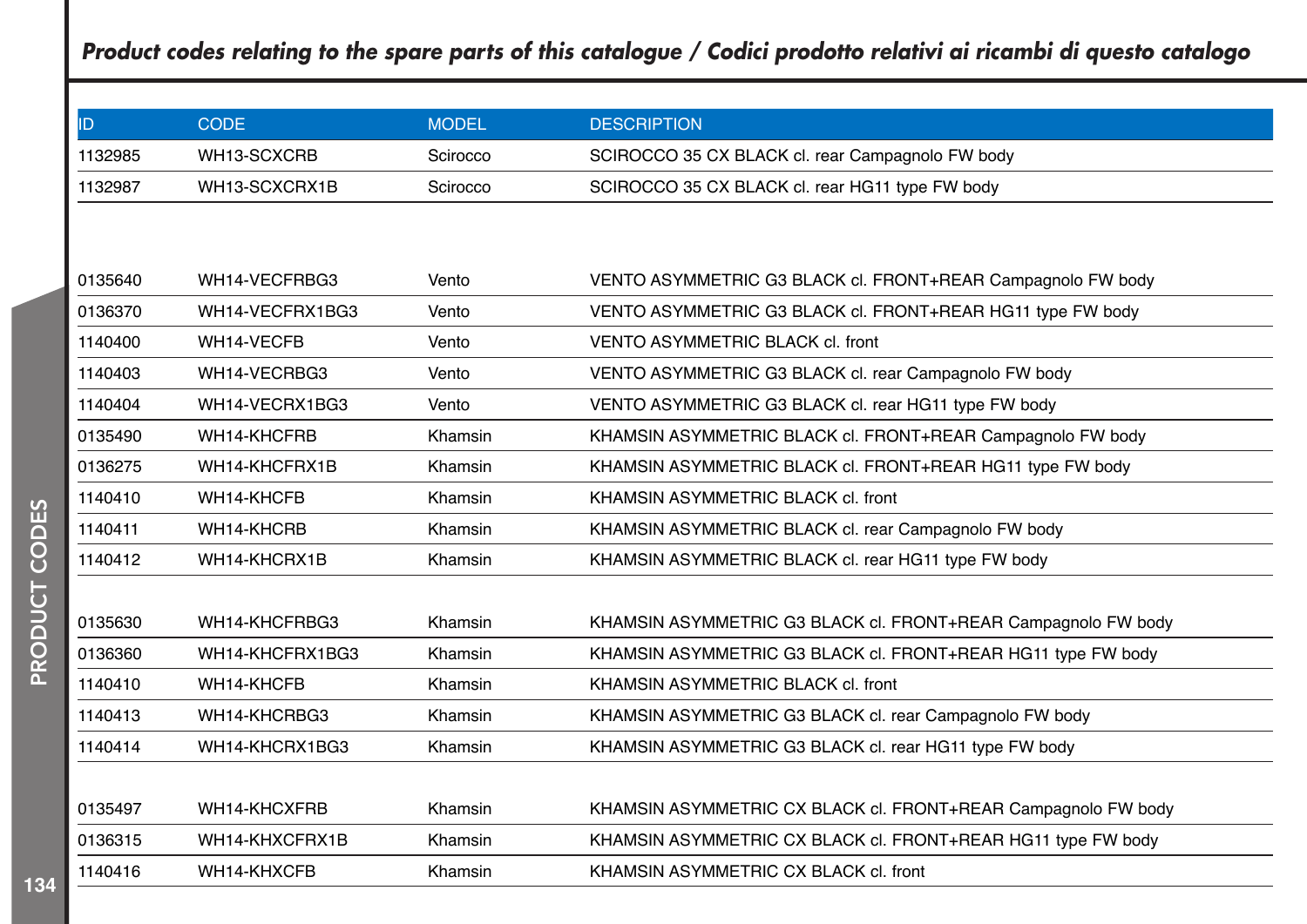| ID      | <b>CODE</b>     | <b>MODEL</b> | <b>DESCRIPTION</b>                                            |
|---------|-----------------|--------------|---------------------------------------------------------------|
| 1132985 | WH13-SCXCRB     | Scirocco     | SCIROCCO 35 CX BLACK cl. rear Campagnolo FW body              |
| 1132987 | WH13-SCXCRX1B   | Scirocco     | SCIROCCO 35 CX BLACK cl. rear HG11 type FW body               |
|         |                 |              |                                                               |
|         |                 |              |                                                               |
| 0135640 | WH14-VECFRBG3   | Vento        | VENTO ASYMMETRIC G3 BLACK cl. FRONT+REAR Campagnolo FW body   |
| 0136370 | WH14-VECFRX1BG3 | Vento        | VENTO ASYMMETRIC G3 BLACK cl. FRONT+REAR HG11 type FW body    |
| 1140400 | WH14-VECFB      | Vento        | VENTO ASYMMETRIC BLACK cl. front                              |
| 1140403 | WH14-VECRBG3    | Vento        | VENTO ASYMMETRIC G3 BLACK cl. rear Campagnolo FW body         |
| 1140404 | WH14-VECRX1BG3  | Vento        | VENTO ASYMMETRIC G3 BLACK cl. rear HG11 type FW body          |
| 0135490 | WH14-KHCFRB     | Khamsin      | KHAMSIN ASYMMETRIC BLACK cl. FRONT+REAR Campagnolo FW body    |
| 0136275 | WH14-KHCFRX1B   | Khamsin      | KHAMSIN ASYMMETRIC BLACK cl. FRONT+REAR HG11 type FW body     |
| 1140410 | WH14-KHCFB      | Khamsin      | KHAMSIN ASYMMETRIC BLACK cl. front                            |
| 1140411 | WH14-KHCRB      | Khamsin      | KHAMSIN ASYMMETRIC BLACK cl. rear Campagnolo FW body          |
| 1140412 | WH14-KHCRX1B    | Khamsin      | KHAMSIN ASYMMETRIC BLACK cl. rear HG11 type FW body           |
|         |                 |              |                                                               |
| 0135630 | WH14-KHCFRBG3   | Khamsin      | KHAMSIN ASYMMETRIC G3 BLACK cl. FRONT+REAR Campagnolo FW body |
| 0136360 | WH14-KHCFRX1BG3 | Khamsin      | KHAMSIN ASYMMETRIC G3 BLACK cl. FRONT+REAR HG11 type FW body  |
| 1140410 | WH14-KHCFB      | Khamsin      | KHAMSIN ASYMMETRIC BLACK cl. front                            |
| 1140413 | WH14-KHCRBG3    | Khamsin      | KHAMSIN ASYMMETRIC G3 BLACK cl. rear Campagnolo FW body       |
| 1140414 | WH14-KHCRX1BG3  | Khamsin      | KHAMSIN ASYMMETRIC G3 BLACK cl. rear HG11 type FW body        |
|         |                 |              |                                                               |
| 0135497 | WH14-KHCXFRB    | Khamsin      | KHAMSIN ASYMMETRIC CX BLACK cl. FRONT+REAR Campagnolo FW body |
| 0136315 | WH14-KHXCFRX1B  | Khamsin      | KHAMSIN ASYMMETRIC CX BLACK cl. FRONT+REAR HG11 type FW body  |
| 1140416 | WH14-KHXCFB     | Khamsin      | KHAMSIN ASYMMETRIC CX BLACK cl. front                         |
|         |                 |              |                                                               |